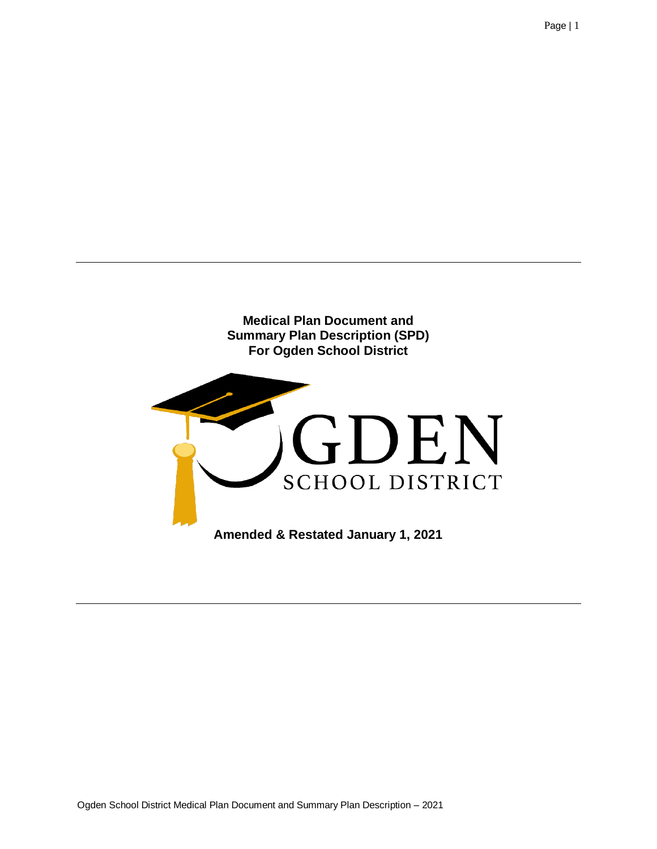

**Amended & Restated January 1, 2021**

Page | 1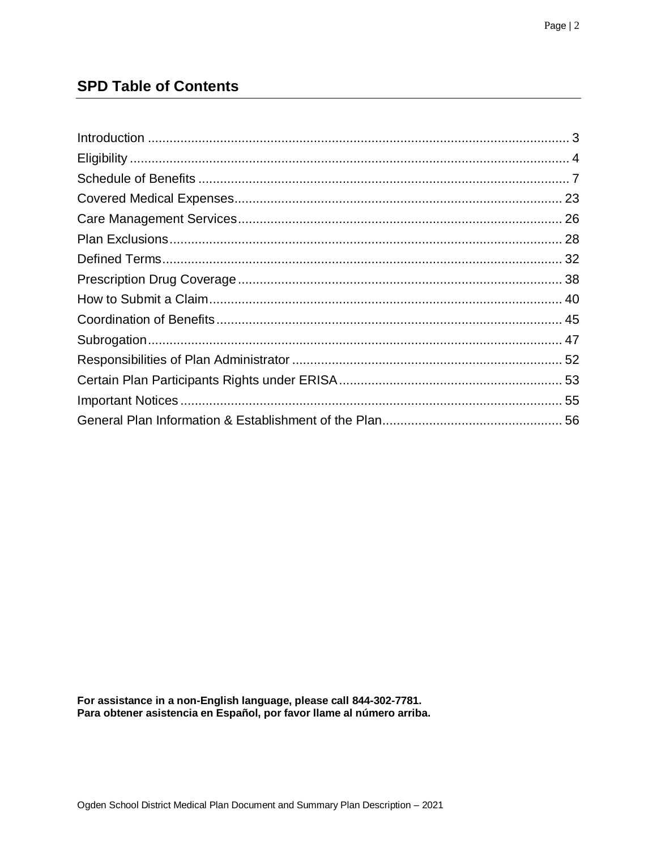## **SPD Table of Contents**

For assistance in a non-English language, please call 844-302-7781.<br>Para obtener asistencia en Español, por favor llame al número arriba.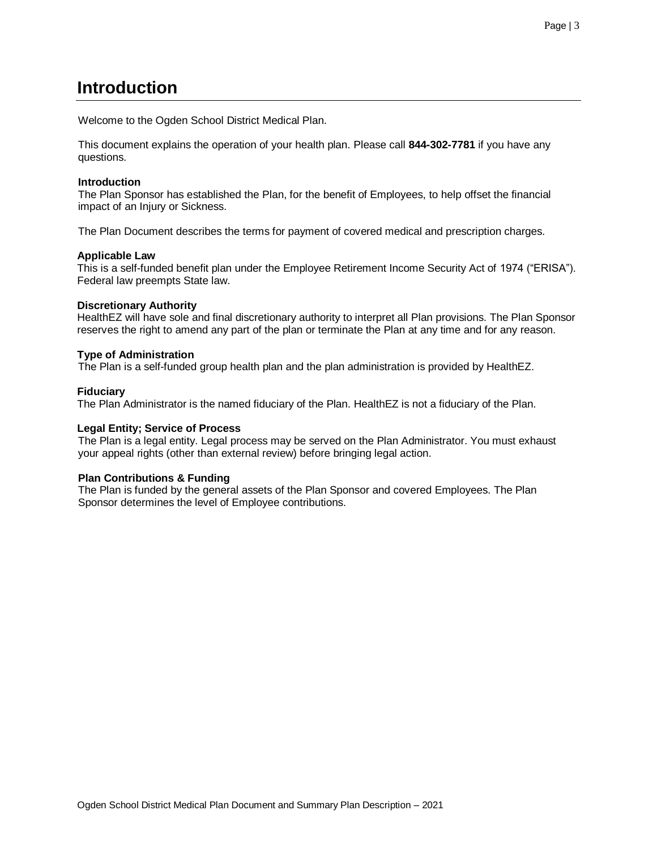# <span id="page-2-0"></span>**Introduction**

Welcome to the Ogden School District Medical Plan.

This document explains the operation of your health plan. Please call **844-302-7781** if you have any questions.

## **Introduction**

The Plan Sponsor has established the Plan, for the benefit of Employees, to help offset the financial impact of an Injury or Sickness.

The Plan Document describes the terms for payment of covered medical and prescription charges.

## **Applicable Law**

This is a self-funded benefit plan under the Employee Retirement Income Security Act of 1974 ("ERISA"). Federal law preempts State law.

## **Discretionary Authority**

HealthEZ will have sole and final discretionary authority to interpret all Plan provisions. The Plan Sponsor reserves the right to amend any part of the plan or terminate the Plan at any time and for any reason.

## **Type of Administration**

The Plan is a self-funded group health plan and the plan administration is provided by HealthEZ.

## **Fiduciary**

The Plan Administrator is the named fiduciary of the Plan. HealthEZ is not a fiduciary of the Plan.

## **Legal Entity; Service of Process**

The Plan is a legal entity. Legal process may be served on the Plan Administrator. You must exhaust your appeal rights (other than external review) before bringing legal action.

## **Plan Contributions & Funding**

The Plan is funded by the general assets of the Plan Sponsor and covered Employees. The Plan Sponsor determines the level of Employee contributions.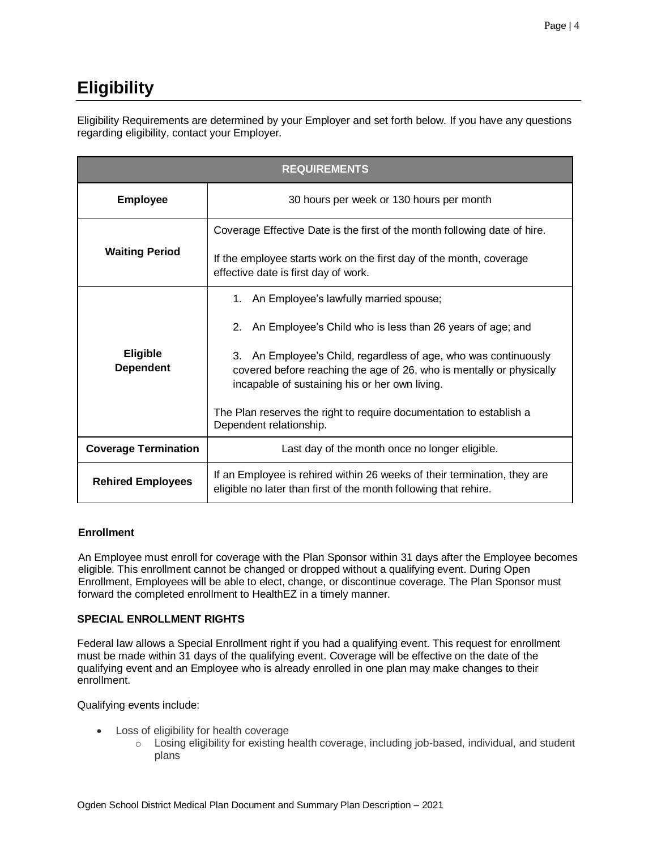# <span id="page-3-0"></span>**Eligibility**

Eligibility Requirements are determined by your Employer and set forth below. If you have any questions regarding eligibility, contact your Employer.

| <b>REQUIREMENTS</b>                                                                                                                  |                                                                                                                                                                                              |  |  |
|--------------------------------------------------------------------------------------------------------------------------------------|----------------------------------------------------------------------------------------------------------------------------------------------------------------------------------------------|--|--|
| <b>Employee</b>                                                                                                                      | 30 hours per week or 130 hours per month                                                                                                                                                     |  |  |
|                                                                                                                                      | Coverage Effective Date is the first of the month following date of hire.                                                                                                                    |  |  |
| <b>Waiting Period</b><br>If the employee starts work on the first day of the month, coverage<br>effective date is first day of work. |                                                                                                                                                                                              |  |  |
| 1. An Employee's lawfully married spouse;                                                                                            |                                                                                                                                                                                              |  |  |
|                                                                                                                                      | 2. An Employee's Child who is less than 26 years of age; and                                                                                                                                 |  |  |
| <b>Eligible</b><br><b>Dependent</b>                                                                                                  | An Employee's Child, regardless of age, who was continuously<br>3.<br>covered before reaching the age of 26, who is mentally or physically<br>incapable of sustaining his or her own living. |  |  |
|                                                                                                                                      | The Plan reserves the right to require documentation to establish a<br>Dependent relationship.                                                                                               |  |  |
| <b>Coverage Termination</b>                                                                                                          | Last day of the month once no longer eligible.                                                                                                                                               |  |  |
| <b>Rehired Employees</b>                                                                                                             | If an Employee is rehired within 26 weeks of their termination, they are<br>eligible no later than first of the month following that rehire.                                                 |  |  |

## **Enrollment**

An Employee must enroll for coverage with the Plan Sponsor within 31 days after the Employee becomes eligible. This enrollment cannot be changed or dropped without a qualifying event. During Open Enrollment, Employees will be able to elect, change, or discontinue coverage. The Plan Sponsor must forward the completed enrollment to HealthEZ in a timely manner.

## **SPECIAL ENROLLMENT RIGHTS**

Federal law allows a Special Enrollment right if you had a qualifying event. This request for enrollment must be made within 31 days of the qualifying event. Coverage will be effective on the date of the qualifying event and an Employee who is already enrolled in one plan may make changes to their enrollment.

Qualifying events include:

- Loss of eligibility for health coverage
	- o Losing eligibility for existing health coverage, including job-based, individual, and student plans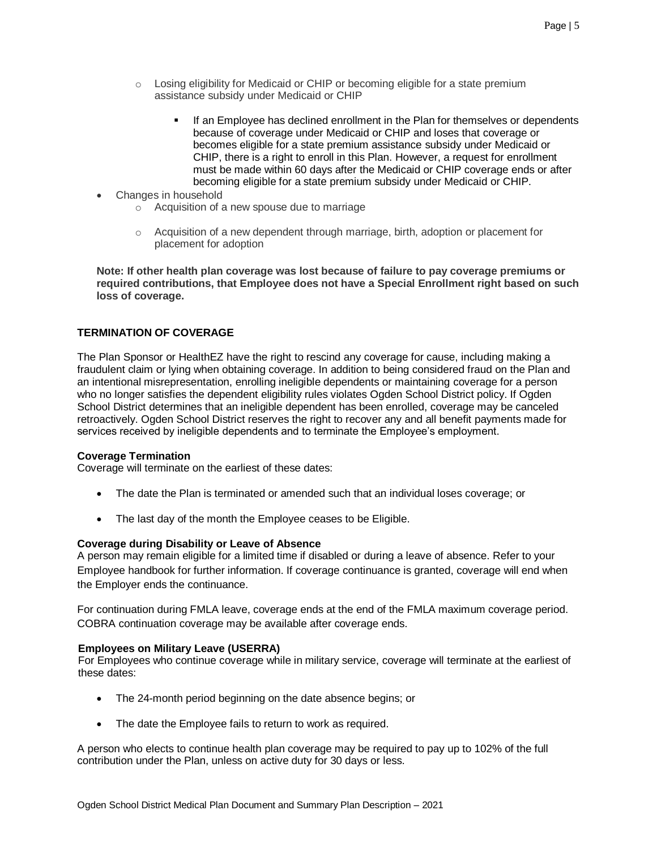- $\circ$  Losing eligibility for Medicaid or CHIP or becoming eligible for a state premium assistance subsidy under Medicaid or CHIP
	- If an Employee has declined enrollment in the Plan for themselves or dependents because of coverage under Medicaid or CHIP and loses that coverage or becomes eligible for a state premium assistance subsidy under Medicaid or CHIP, there is a right to enroll in this Plan. However, a request for enrollment must be made within 60 days after the Medicaid or CHIP coverage ends or after becoming eligible for a state premium subsidy under Medicaid or CHIP.
- Changes in household
	- o Acquisition of a new spouse due to marriage
	- $\circ$  Acquisition of a new dependent through marriage, birth, adoption or placement for placement for adoption

**Note: If other health plan coverage was lost because of failure to pay coverage premiums or required contributions, that Employee does not have a Special Enrollment right based on such loss of coverage.**

## **TERMINATION OF COVERAGE**

The Plan Sponsor or HealthEZ have the right to rescind any coverage for cause, including making a fraudulent claim or lying when obtaining coverage. In addition to being considered fraud on the Plan and an intentional misrepresentation, enrolling ineligible dependents or maintaining coverage for a person who no longer satisfies the dependent eligibility rules violates Ogden School District policy. If Ogden School District determines that an ineligible dependent has been enrolled, coverage may be canceled retroactively. Ogden School District reserves the right to recover any and all benefit payments made for services received by ineligible dependents and to terminate the Employee's employment.

## **Coverage Termination**

Coverage will terminate on the earliest of these dates:

- The date the Plan is terminated or amended such that an individual loses coverage; or
- The last day of the month the Employee ceases to be Eligible.

## **Coverage during Disability or Leave of Absence**

A person may remain eligible for a limited time if disabled or during a leave of absence. Refer to your Employee handbook for further information. If coverage continuance is granted, coverage will end when the Employer ends the continuance.

For continuation during FMLA leave, coverage ends at the end of the FMLA maximum coverage period. COBRA continuation coverage may be available after coverage ends.

## **Employees on Military Leave (USERRA)**

For Employees who continue coverage while in military service, coverage will terminate at the earliest of these dates:

- The 24-month period beginning on the date absence begins; or
- The date the Employee fails to return to work as required.

A person who elects to continue health plan coverage may be required to pay up to 102% of the full contribution under the Plan, unless on active duty for 30 days or less.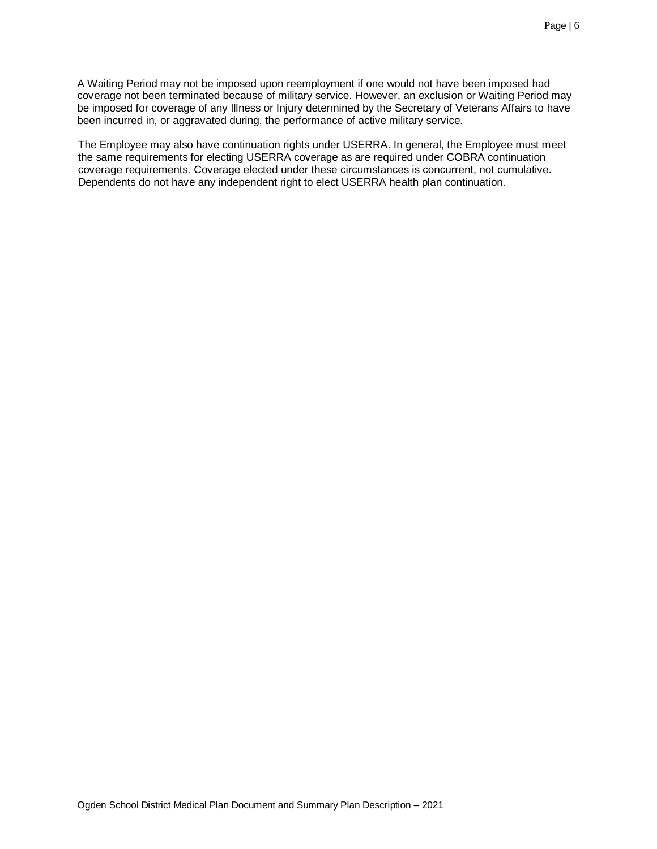A Waiting Period may not be imposed upon reemployment if one would not have been imposed had coverage not been terminated because of military service. However, an exclusion or Waiting Period may be imposed for coverage of any Illness or Injury determined by the Secretary of Veterans Affairs to have been incurred in, or aggravated during, the performance of active military service.

The Employee may also have continuation rights under USERRA. In general, the Employee must meet the same requirements for electing USERRA coverage as are required under COBRA continuation coverage requirements. Coverage elected under these circumstances is concurrent, not cumulative. Dependents do not have any independent right to elect USERRA health plan continuation.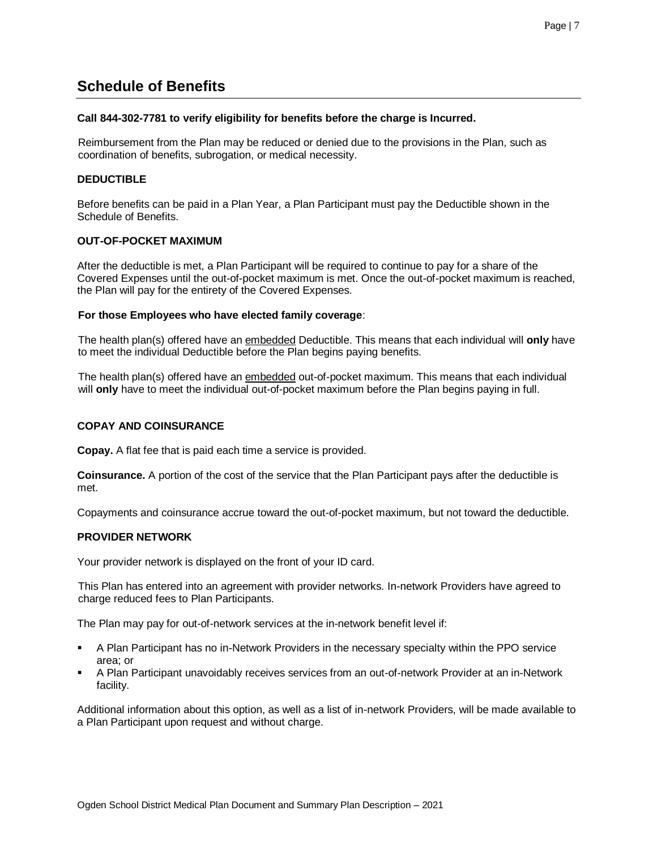## <span id="page-6-0"></span>**Schedule of Benefits**

## **Call 844-302-7781 to verify eligibility for benefits before the charge is Incurred.**

Reimbursement from the Plan may be reduced or denied due to the provisions in the Plan, such as coordination of benefits, subrogation, or medical necessity.

## **DEDUCTIBLE**

Before benefits can be paid in a Plan Year, a Plan Participant must pay the Deductible shown in the Schedule of Benefits.

## **OUT-OF-POCKET MAXIMUM**

After the deductible is met, a Plan Participant will be required to continue to pay for a share of the Covered Expenses until the out-of-pocket maximum is met. Once the out-of-pocket maximum is reached, the Plan will pay for the entirety of the Covered Expenses.

## **For those Employees who have elected family coverage**:

The health plan(s) offered have an embedded Deductible. This means that each individual will **only** have to meet the individual Deductible before the Plan begins paying benefits.

The health plan(s) offered have an embedded out-of-pocket maximum. This means that each individual will **only** have to meet the individual out-of-pocket maximum before the Plan begins paying in full.

## **COPAY AND COINSURANCE**

**Copay.** A flat fee that is paid each time a service is provided.

**Coinsurance.** A portion of the cost of the service that the Plan Participant pays after the deductible is met.

Copayments and coinsurance accrue toward the out-of-pocket maximum, but not toward the deductible.

## **PROVIDER NETWORK**

Your provider network is displayed on the front of your ID card.

This Plan has entered into an agreement with provider networks. In-network Providers have agreed to charge reduced fees to Plan Participants.

The Plan may pay for out-of-network services at the in-network benefit level if:

- A Plan Participant has no in-Network Providers in the necessary specialty within the PPO service area; or
- A Plan Participant unavoidably receives services from an out-of-network Provider at an in-Network facility.

Additional information about this option, as well as a list of in-network Providers, will be made available to a Plan Participant upon request and without charge.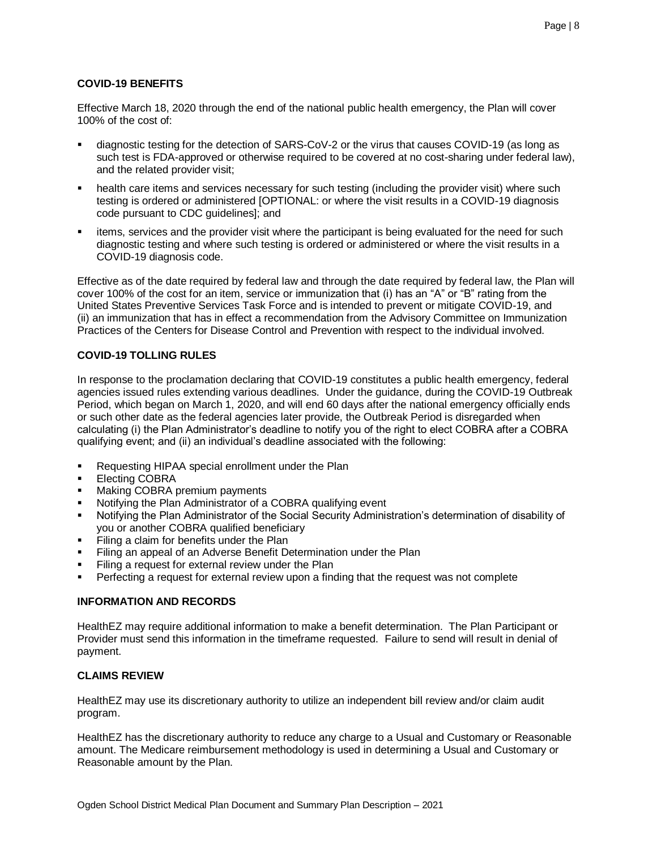## **COVID-19 BENEFITS**

Effective March 18, 2020 through the end of the national public health emergency, the Plan will cover 100% of the cost of:

- diagnostic testing for the detection of SARS-CoV-2 or the virus that causes COVID-19 (as long as such test is FDA-approved or otherwise required to be covered at no cost-sharing under federal law), and the related provider visit;
- health care items and services necessary for such testing (including the provider visit) where such testing is ordered or administered [OPTIONAL: or where the visit results in a COVID-19 diagnosis code pursuant to CDC guidelines]; and
- items, services and the provider visit where the participant is being evaluated for the need for such diagnostic testing and where such testing is ordered or administered or where the visit results in a COVID-19 diagnosis code.

Effective as of the date required by federal law and through the date required by federal law, the Plan will cover 100% of the cost for an item, service or immunization that (i) has an "A" or "B" rating from the United States Preventive Services Task Force and is intended to prevent or mitigate COVID-19, and (ii) an immunization that has in effect a recommendation from the Advisory Committee on Immunization Practices of the Centers for Disease Control and Prevention with respect to the individual involved.

## **COVID-19 TOLLING RULES**

In response to the proclamation declaring that COVID-19 constitutes a public health emergency, federal agencies issued rules extending various deadlines. Under the guidance, during the COVID-19 Outbreak Period, which began on March 1, 2020, and will end 60 days after the national emergency officially ends or such other date as the federal agencies later provide, the Outbreak Period is disregarded when calculating (i) the Plan Administrator's deadline to notify you of the right to elect COBRA after a COBRA qualifying event; and (ii) an individual's deadline associated with the following:

- Requesting HIPAA special enrollment under the Plan
- **Electing COBRA**
- Making COBRA premium payments
- Notifying the Plan Administrator of a COBRA qualifying event
- Notifying the Plan Administrator of the Social Security Administration's determination of disability of you or another COBRA qualified beneficiary
- Filing a claim for benefits under the Plan
- Filing an appeal of an Adverse Benefit Determination under the Plan
- Filing a request for external review under the Plan
- Perfecting a request for external review upon a finding that the request was not complete

## **INFORMATION AND RECORDS**

HealthEZ may require additional information to make a benefit determination. The Plan Participant or Provider must send this information in the timeframe requested. Failure to send will result in denial of payment.

## **CLAIMS REVIEW**

HealthEZ may use its discretionary authority to utilize an independent bill review and/or claim audit program.

HealthEZ has the discretionary authority to reduce any charge to a Usual and Customary or Reasonable amount. The Medicare reimbursement methodology is used in determining a Usual and Customary or Reasonable amount by the Plan.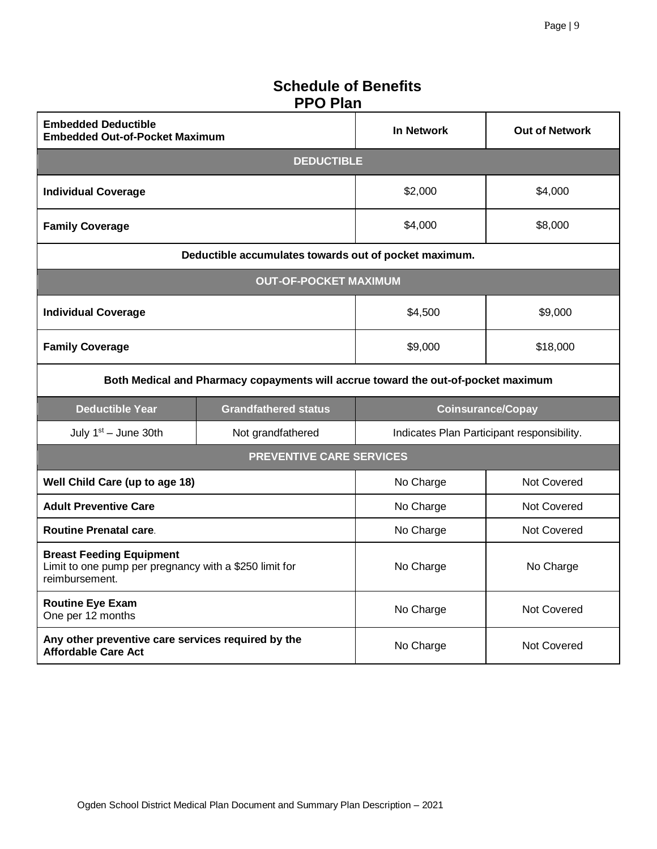# **Schedule of Benefits PPO Plan**

| <b>Embedded Deductible</b><br><b>Embedded Out-of-Pocket Maximum</b>                                         |                                                       | In Network         | <b>Out of Network</b>                      |  |
|-------------------------------------------------------------------------------------------------------------|-------------------------------------------------------|--------------------|--------------------------------------------|--|
|                                                                                                             | <b>DEDUCTIBLE</b>                                     |                    |                                            |  |
| <b>Individual Coverage</b>                                                                                  |                                                       | \$2,000<br>\$4,000 |                                            |  |
| <b>Family Coverage</b>                                                                                      |                                                       | \$4,000            | \$8,000                                    |  |
|                                                                                                             | Deductible accumulates towards out of pocket maximum. |                    |                                            |  |
|                                                                                                             | <b>OUT-OF-POCKET MAXIMUM</b>                          |                    |                                            |  |
| <b>Individual Coverage</b>                                                                                  |                                                       | \$4,500            | \$9,000                                    |  |
| <b>Family Coverage</b>                                                                                      |                                                       | \$9,000            | \$18,000                                   |  |
| Both Medical and Pharmacy copayments will accrue toward the out-of-pocket maximum                           |                                                       |                    |                                            |  |
|                                                                                                             |                                                       |                    |                                            |  |
| <b>Deductible Year</b>                                                                                      | <b>Grandfathered status</b>                           |                    | <b>Coinsurance/Copay</b>                   |  |
| July 1st - June 30th                                                                                        | Not grandfathered                                     |                    | Indicates Plan Participant responsibility. |  |
|                                                                                                             | <b>PREVENTIVE CARE SERVICES</b>                       |                    |                                            |  |
| Well Child Care (up to age 18)                                                                              |                                                       | No Charge          | Not Covered                                |  |
| <b>Adult Preventive Care</b>                                                                                |                                                       | No Charge          | Not Covered                                |  |
| <b>Routine Prenatal care.</b>                                                                               |                                                       | No Charge          | Not Covered                                |  |
| <b>Breast Feeding Equipment</b><br>Limit to one pump per pregnancy with a \$250 limit for<br>reimbursement. |                                                       | No Charge          | No Charge                                  |  |
| <b>Routine Eye Exam</b><br>One per 12 months                                                                |                                                       | No Charge          | <b>Not Covered</b>                         |  |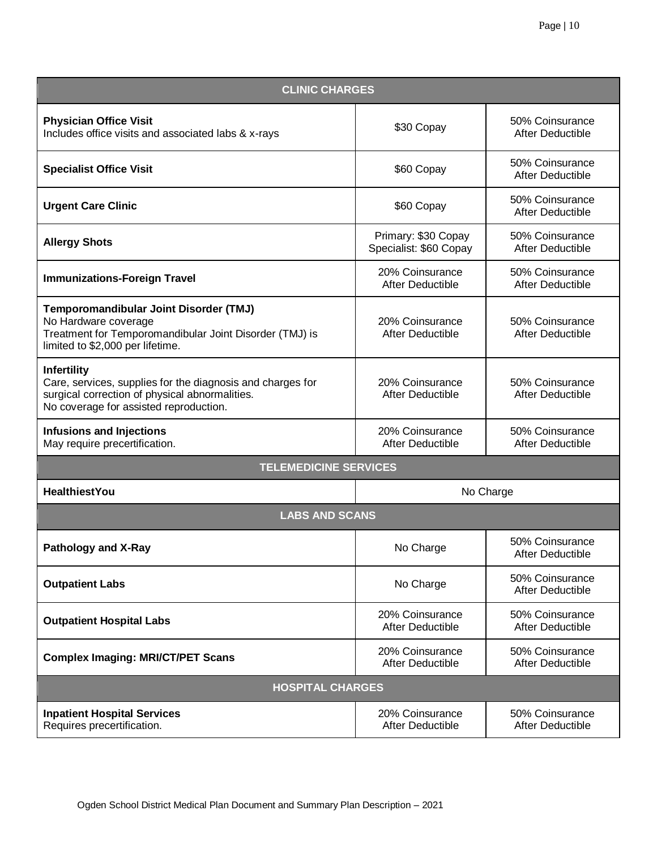| <b>CLINIC CHARGES</b>                                                                                                                                                        |                                               |                                            |  |  |
|------------------------------------------------------------------------------------------------------------------------------------------------------------------------------|-----------------------------------------------|--------------------------------------------|--|--|
| <b>Physician Office Visit</b><br>Includes office visits and associated labs & x-rays                                                                                         | \$30 Copay                                    | 50% Coinsurance<br>After Deductible        |  |  |
| <b>Specialist Office Visit</b>                                                                                                                                               | \$60 Copay                                    | 50% Coinsurance<br>After Deductible        |  |  |
| <b>Urgent Care Clinic</b>                                                                                                                                                    | \$60 Copay                                    | 50% Coinsurance<br>After Deductible        |  |  |
| <b>Allergy Shots</b>                                                                                                                                                         | Primary: \$30 Copay<br>Specialist: \$60 Copay | 50% Coinsurance<br>After Deductible        |  |  |
| <b>Immunizations-Foreign Travel</b>                                                                                                                                          | 20% Coinsurance<br>After Deductible           | 50% Coinsurance<br>After Deductible        |  |  |
| Temporomandibular Joint Disorder (TMJ)<br>No Hardware coverage<br>Treatment for Temporomandibular Joint Disorder (TMJ) is<br>limited to \$2,000 per lifetime.                | 20% Coinsurance<br>After Deductible           | 50% Coinsurance<br><b>After Deductible</b> |  |  |
| <b>Infertility</b><br>Care, services, supplies for the diagnosis and charges for<br>surgical correction of physical abnormalities.<br>No coverage for assisted reproduction. | 20% Coinsurance<br>After Deductible           | 50% Coinsurance<br><b>After Deductible</b> |  |  |
| <b>Infusions and Injections</b><br>May require precertification.                                                                                                             | 20% Coinsurance<br>After Deductible           | 50% Coinsurance<br>After Deductible        |  |  |
| <b>TELEMEDICINE SERVICES</b>                                                                                                                                                 |                                               |                                            |  |  |
| <b>HealthiestYou</b>                                                                                                                                                         |                                               | No Charge                                  |  |  |
| <b>LABS AND SCANS</b>                                                                                                                                                        |                                               |                                            |  |  |
| <b>Pathology and X-Ray</b>                                                                                                                                                   | No Charge                                     | 50% Coinsurance<br>After Deductible        |  |  |
| <b>Outpatient Labs</b>                                                                                                                                                       | No Charge                                     | 50% Coinsurance<br><b>After Deductible</b> |  |  |
| <b>Outpatient Hospital Labs</b>                                                                                                                                              | 20% Coinsurance<br>After Deductible           | 50% Coinsurance<br>After Deductible        |  |  |
| <b>Complex Imaging: MRI/CT/PET Scans</b>                                                                                                                                     | 20% Coinsurance<br>After Deductible           | 50% Coinsurance<br>After Deductible        |  |  |
| <b>HOSPITAL CHARGES</b>                                                                                                                                                      |                                               |                                            |  |  |
| <b>Inpatient Hospital Services</b><br>Requires precertification.                                                                                                             | 20% Coinsurance<br>After Deductible           | 50% Coinsurance<br>After Deductible        |  |  |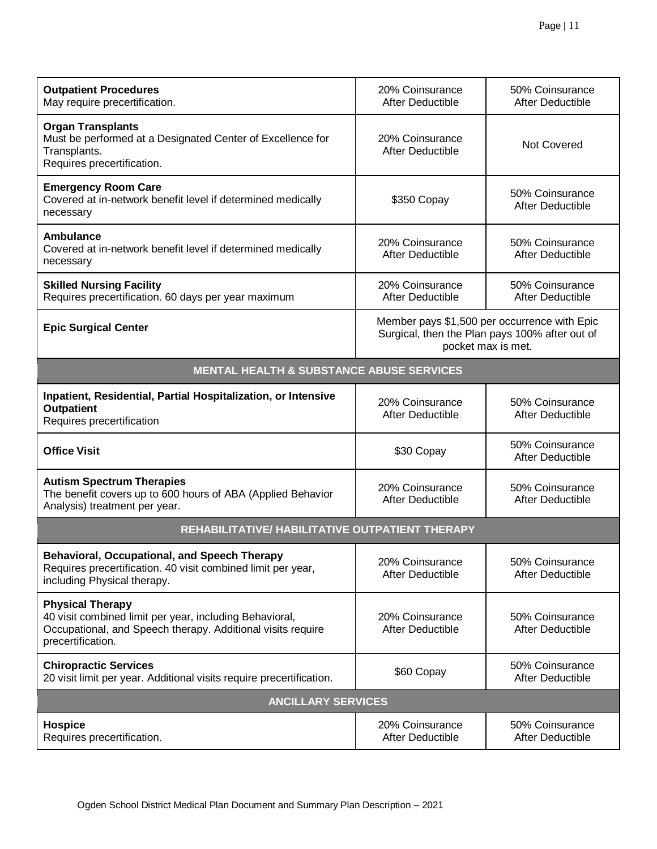| <b>Outpatient Procedures</b><br>May require precertification.                                                                                                          | 20% Coinsurance<br><b>After Deductible</b>                                                                           | 50% Coinsurance<br>After Deductible |
|------------------------------------------------------------------------------------------------------------------------------------------------------------------------|----------------------------------------------------------------------------------------------------------------------|-------------------------------------|
| <b>Organ Transplants</b><br>Must be performed at a Designated Center of Excellence for<br>Transplants.<br>Requires precertification.                                   | 20% Coinsurance<br><b>After Deductible</b>                                                                           | Not Covered                         |
| <b>Emergency Room Care</b><br>Covered at in-network benefit level if determined medically<br>necessary                                                                 | \$350 Copay                                                                                                          | 50% Coinsurance<br>After Deductible |
| <b>Ambulance</b><br>Covered at in-network benefit level if determined medically<br>necessary                                                                           | 20% Coinsurance<br>After Deductible                                                                                  | 50% Coinsurance<br>After Deductible |
| <b>Skilled Nursing Facility</b><br>Requires precertification. 60 days per year maximum                                                                                 | 20% Coinsurance<br>After Deductible                                                                                  | 50% Coinsurance<br>After Deductible |
| <b>Epic Surgical Center</b>                                                                                                                                            | Member pays \$1,500 per occurrence with Epic<br>Surgical, then the Plan pays 100% after out of<br>pocket max is met. |                                     |
| <b>MENTAL HEALTH &amp; SUBSTANCE ABUSE SERVICES</b>                                                                                                                    |                                                                                                                      |                                     |
| Inpatient, Residential, Partial Hospitalization, or Intensive<br><b>Outpatient</b><br>Requires precertification                                                        | 20% Coinsurance<br>After Deductible                                                                                  | 50% Coinsurance<br>After Deductible |
| <b>Office Visit</b>                                                                                                                                                    | \$30 Copay                                                                                                           | 50% Coinsurance<br>After Deductible |
| <b>Autism Spectrum Therapies</b><br>The benefit covers up to 600 hours of ABA (Applied Behavior<br>Analysis) treatment per year.                                       | 20% Coinsurance<br>After Deductible                                                                                  | 50% Coinsurance<br>After Deductible |
| REHABILITATIVE/ HABILITATIVE OUTPATIENT THERAPY                                                                                                                        |                                                                                                                      |                                     |
| <b>Behavioral, Occupational, and Speech Therapy</b><br>Requires precertification. 40 visit combined limit per year,<br>including Physical therapy.                     | 20% Coinsurance<br>After Deductible                                                                                  | 50% Coinsurance<br>After Deductible |
| <b>Physical Therapy</b><br>40 visit combined limit per year, including Behavioral,<br>Occupational, and Speech therapy. Additional visits require<br>precertification. | 20% Coinsurance<br>After Deductible                                                                                  | 50% Coinsurance<br>After Deductible |
| <b>Chiropractic Services</b><br>20 visit limit per year. Additional visits require precertification.                                                                   | \$60 Copay                                                                                                           | 50% Coinsurance<br>After Deductible |
| <b>ANCILLARY SERVICES</b>                                                                                                                                              |                                                                                                                      |                                     |
| <b>Hospice</b><br>Requires precertification.                                                                                                                           | 20% Coinsurance<br>After Deductible                                                                                  | 50% Coinsurance<br>After Deductible |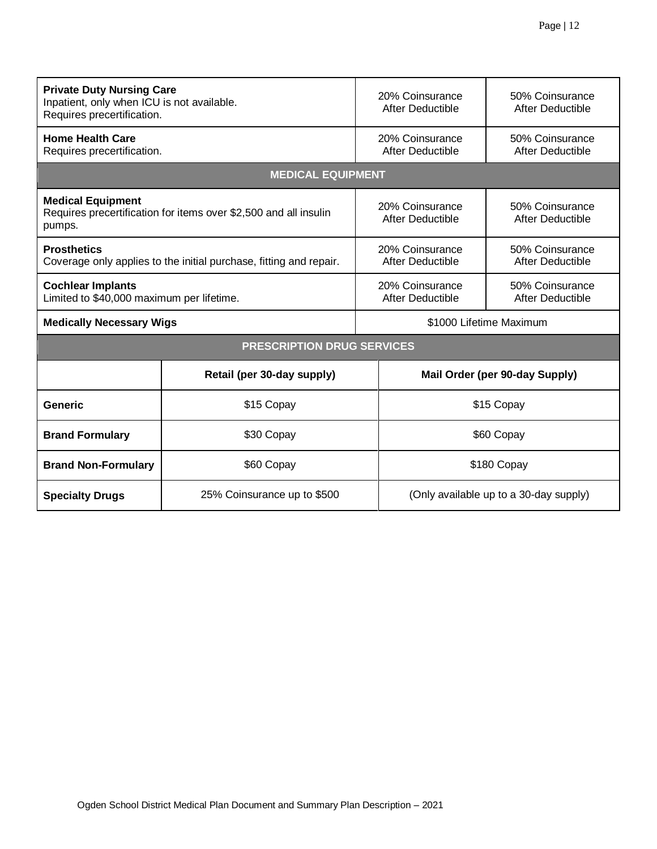| <b>Private Duty Nursing Care</b><br>Inpatient, only when ICU is not available.<br>Requires precertification. |                                   | 20% Coinsurance<br>After Deductible | 50% Coinsurance<br>After Deductible    |  |
|--------------------------------------------------------------------------------------------------------------|-----------------------------------|-------------------------------------|----------------------------------------|--|
| <b>Home Health Care</b><br>Requires precertification.                                                        |                                   | 20% Coinsurance<br>After Deductible | 50% Coinsurance<br>After Deductible    |  |
|                                                                                                              | <b>MEDICAL EQUIPMENT</b>          |                                     |                                        |  |
| <b>Medical Equipment</b><br>Requires precertification for items over \$2,500 and all insulin<br>pumps.       |                                   | 20% Coinsurance<br>After Deductible | 50% Coinsurance<br>After Deductible    |  |
| <b>Prosthetics</b><br>Coverage only applies to the initial purchase, fitting and repair.                     |                                   | 20% Coinsurance<br>After Deductible | 50% Coinsurance<br>After Deductible    |  |
| <b>Cochlear Implants</b><br>Limited to \$40,000 maximum per lifetime.                                        |                                   | 20% Coinsurance<br>After Deductible | 50% Coinsurance<br>After Deductible    |  |
| <b>Medically Necessary Wigs</b>                                                                              |                                   |                                     | \$1000 Lifetime Maximum                |  |
|                                                                                                              | <b>PRESCRIPTION DRUG SERVICES</b> |                                     |                                        |  |
|                                                                                                              | Retail (per 30-day supply)        |                                     | Mail Order (per 90-day Supply)         |  |
| Generic                                                                                                      | \$15 Copay                        | \$15 Copay                          |                                        |  |
| <b>Brand Formulary</b>                                                                                       | \$30 Copay                        |                                     | \$60 Copay                             |  |
| \$60 Copay<br><b>Brand Non-Formulary</b>                                                                     |                                   |                                     | \$180 Copay                            |  |
| 25% Coinsurance up to \$500<br><b>Specialty Drugs</b>                                                        |                                   |                                     | (Only available up to a 30-day supply) |  |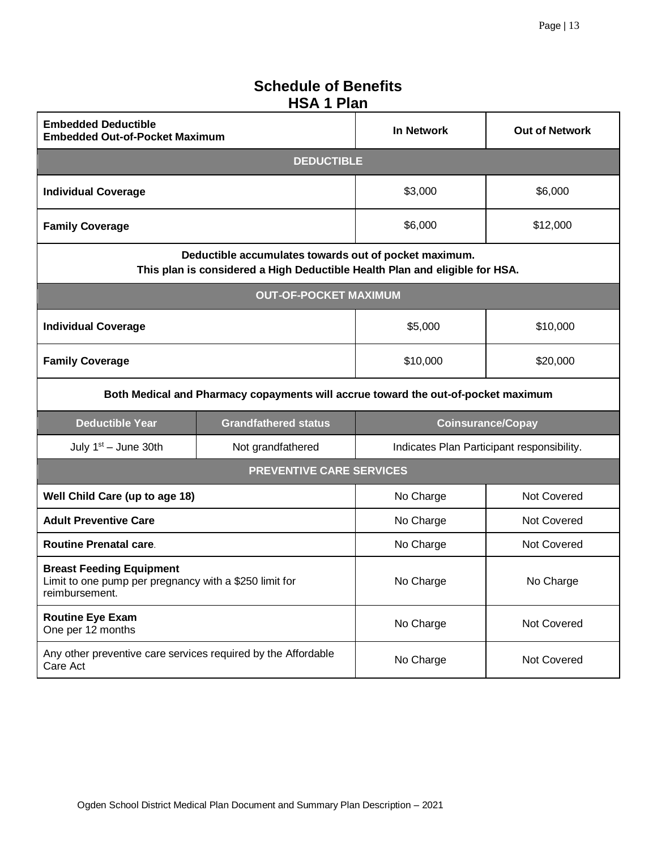## **Schedule of Benefits HSA 1 Plan**

| <b>Embedded Deductible</b><br><b>Embedded Out-of-Pocket Maximum</b>                                         |                                                                                                                                      | <b>In Network</b>  | <b>Out of Network</b>                      |
|-------------------------------------------------------------------------------------------------------------|--------------------------------------------------------------------------------------------------------------------------------------|--------------------|--------------------------------------------|
|                                                                                                             | <b>DEDUCTIBLE</b>                                                                                                                    |                    |                                            |
| <b>Individual Coverage</b>                                                                                  |                                                                                                                                      | \$6,000<br>\$3,000 |                                            |
| <b>Family Coverage</b>                                                                                      |                                                                                                                                      | \$6,000            | \$12,000                                   |
|                                                                                                             | Deductible accumulates towards out of pocket maximum.<br>This plan is considered a High Deductible Health Plan and eligible for HSA. |                    |                                            |
|                                                                                                             | <b>OUT-OF-POCKET MAXIMUM</b>                                                                                                         |                    |                                            |
| <b>Individual Coverage</b>                                                                                  |                                                                                                                                      | \$5,000            | \$10,000                                   |
| <b>Family Coverage</b>                                                                                      |                                                                                                                                      | \$10,000           | \$20,000                                   |
|                                                                                                             | Both Medical and Pharmacy copayments will accrue toward the out-of-pocket maximum                                                    |                    |                                            |
| <b>Deductible Year</b>                                                                                      | <b>Grandfathered status</b>                                                                                                          |                    | <b>Coinsurance/Copay</b>                   |
| July $1st -$ June 30th                                                                                      | Not grandfathered                                                                                                                    |                    | Indicates Plan Participant responsibility. |
|                                                                                                             | <b>PREVENTIVE CARE SERVICES</b>                                                                                                      |                    |                                            |
| Well Child Care (up to age 18)                                                                              |                                                                                                                                      | No Charge          | Not Covered                                |
| <b>Adult Preventive Care</b>                                                                                |                                                                                                                                      | No Charge          | Not Covered                                |
| <b>Routine Prenatal care.</b>                                                                               |                                                                                                                                      | No Charge          | Not Covered                                |
| <b>Breast Feeding Equipment</b><br>Limit to one pump per pregnancy with a \$250 limit for<br>reimbursement. |                                                                                                                                      | No Charge          | No Charge                                  |
| <b>Routine Eye Exam</b><br>One per 12 months                                                                |                                                                                                                                      | No Charge          | Not Covered                                |
| Any other preventive care services required by the Affordable<br>Care Act                                   |                                                                                                                                      | No Charge          | Not Covered                                |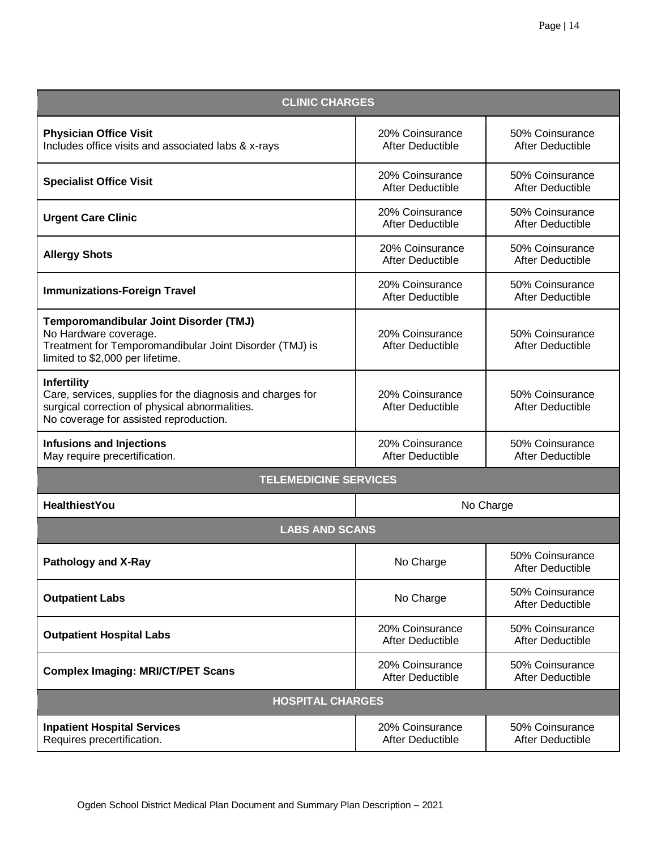| <b>CLINIC CHARGES</b>                                                                                                                                                        |                                            |                                            |  |  |
|------------------------------------------------------------------------------------------------------------------------------------------------------------------------------|--------------------------------------------|--------------------------------------------|--|--|
| <b>Physician Office Visit</b><br>Includes office visits and associated labs & x-rays                                                                                         | 20% Coinsurance<br><b>After Deductible</b> | 50% Coinsurance<br>After Deductible        |  |  |
| <b>Specialist Office Visit</b>                                                                                                                                               | 20% Coinsurance<br>After Deductible        | 50% Coinsurance<br>After Deductible        |  |  |
| <b>Urgent Care Clinic</b>                                                                                                                                                    | 20% Coinsurance<br>After Deductible        | 50% Coinsurance<br>After Deductible        |  |  |
| <b>Allergy Shots</b>                                                                                                                                                         | 20% Coinsurance<br>After Deductible        | 50% Coinsurance<br>After Deductible        |  |  |
| <b>Immunizations-Foreign Travel</b>                                                                                                                                          | 20% Coinsurance<br>After Deductible        | 50% Coinsurance<br>After Deductible        |  |  |
| Temporomandibular Joint Disorder (TMJ)<br>No Hardware coverage.<br>Treatment for Temporomandibular Joint Disorder (TMJ) is<br>limited to \$2,000 per lifetime.               | 20% Coinsurance<br>After Deductible        | 50% Coinsurance<br><b>After Deductible</b> |  |  |
| <b>Infertility</b><br>Care, services, supplies for the diagnosis and charges for<br>surgical correction of physical abnormalities.<br>No coverage for assisted reproduction. | 20% Coinsurance<br>After Deductible        | 50% Coinsurance<br>After Deductible        |  |  |
| <b>Infusions and Injections</b><br>May require precertification.                                                                                                             | 20% Coinsurance<br>After Deductible        | 50% Coinsurance<br>After Deductible        |  |  |
| <b>TELEMEDICINE SERVICES</b>                                                                                                                                                 |                                            |                                            |  |  |
| <b>HealthiestYou</b>                                                                                                                                                         |                                            | No Charge                                  |  |  |
| <b>LABS AND SCANS</b>                                                                                                                                                        |                                            |                                            |  |  |
| <b>Pathology and X-Ray</b>                                                                                                                                                   | No Charge                                  | 50% Coinsurance<br>After Deductible        |  |  |
| <b>Outpatient Labs</b>                                                                                                                                                       | No Charge                                  | 50% Coinsurance<br>After Deductible        |  |  |
| <b>Outpatient Hospital Labs</b>                                                                                                                                              | 20% Coinsurance<br>After Deductible        | 50% Coinsurance<br>After Deductible        |  |  |
| <b>Complex Imaging: MRI/CT/PET Scans</b>                                                                                                                                     | 20% Coinsurance<br>After Deductible        | 50% Coinsurance<br>After Deductible        |  |  |
| <b>HOSPITAL CHARGES</b>                                                                                                                                                      |                                            |                                            |  |  |
| <b>Inpatient Hospital Services</b><br>Requires precertification.                                                                                                             | 20% Coinsurance<br>After Deductible        | 50% Coinsurance<br>After Deductible        |  |  |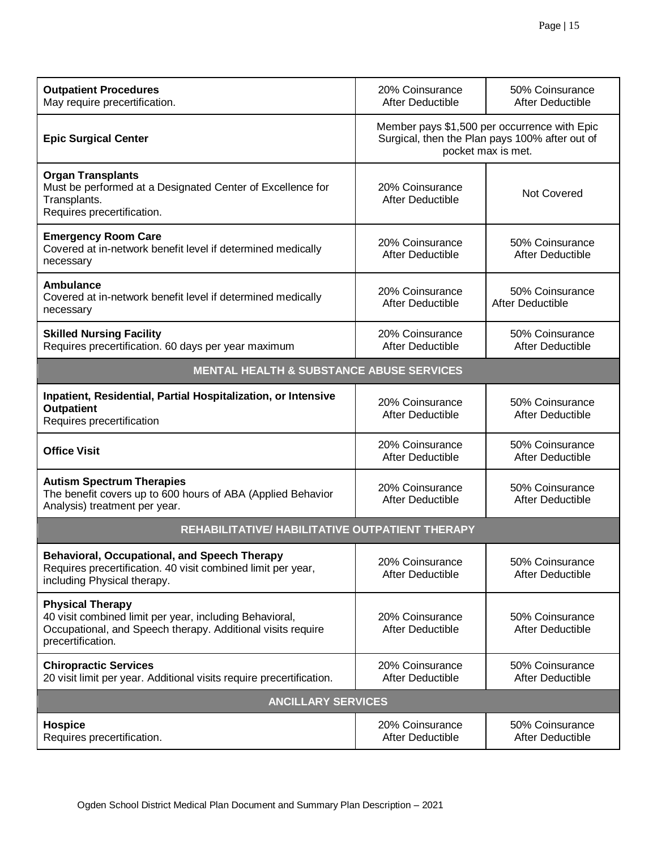| <b>Outpatient Procedures</b><br>May require precertification.                                                                                                          | 20% Coinsurance<br>After Deductible                                                                                  | 50% Coinsurance<br>After Deductible |
|------------------------------------------------------------------------------------------------------------------------------------------------------------------------|----------------------------------------------------------------------------------------------------------------------|-------------------------------------|
| <b>Epic Surgical Center</b>                                                                                                                                            | Member pays \$1,500 per occurrence with Epic<br>Surgical, then the Plan pays 100% after out of<br>pocket max is met. |                                     |
| <b>Organ Transplants</b><br>Must be performed at a Designated Center of Excellence for<br>Transplants.<br>Requires precertification.                                   | 20% Coinsurance<br>Not Covered<br>After Deductible                                                                   |                                     |
| <b>Emergency Room Care</b><br>Covered at in-network benefit level if determined medically<br>necessary                                                                 | 20% Coinsurance<br>After Deductible                                                                                  | 50% Coinsurance<br>After Deductible |
| <b>Ambulance</b><br>Covered at in-network benefit level if determined medically<br>necessary                                                                           | 50% Coinsurance<br>20% Coinsurance<br>After Deductible<br>After Deductible                                           |                                     |
| <b>Skilled Nursing Facility</b><br>Requires precertification. 60 days per year maximum                                                                                 | 20% Coinsurance<br>After Deductible                                                                                  | 50% Coinsurance<br>After Deductible |
| <b>MENTAL HEALTH &amp; SUBSTANCE ABUSE SERVICES</b>                                                                                                                    |                                                                                                                      |                                     |
| Inpatient, Residential, Partial Hospitalization, or Intensive<br><b>Outpatient</b><br>Requires precertification                                                        | 20% Coinsurance<br>After Deductible                                                                                  | 50% Coinsurance<br>After Deductible |
| <b>Office Visit</b>                                                                                                                                                    | 20% Coinsurance<br>After Deductible                                                                                  | 50% Coinsurance<br>After Deductible |
| <b>Autism Spectrum Therapies</b><br>The benefit covers up to 600 hours of ABA (Applied Behavior<br>Analysis) treatment per year.                                       | 20% Coinsurance<br>After Deductible                                                                                  | 50% Coinsurance<br>After Deductible |
| REHABILITATIVE/ HABILITATIVE OUTPATIENT THERAPY                                                                                                                        |                                                                                                                      |                                     |
| <b>Behavioral, Occupational, and Speech Therapy</b><br>Requires precertification. 40 visit combined limit per year,<br>including Physical therapy.                     | 20% Coinsurance<br>After Deductible                                                                                  | 50% Coinsurance<br>After Deductible |
| <b>Physical Therapy</b><br>40 visit combined limit per year, including Behavioral,<br>Occupational, and Speech therapy. Additional visits require<br>precertification. | 20% Coinsurance<br>After Deductible                                                                                  | 50% Coinsurance<br>After Deductible |
| <b>Chiropractic Services</b><br>20 visit limit per year. Additional visits require precertification.                                                                   | 20% Coinsurance<br>After Deductible                                                                                  | 50% Coinsurance<br>After Deductible |
| <b>ANCILLARY SERVICES</b>                                                                                                                                              |                                                                                                                      |                                     |
| <b>Hospice</b><br>Requires precertification.                                                                                                                           | 20% Coinsurance<br>After Deductible                                                                                  | 50% Coinsurance<br>After Deductible |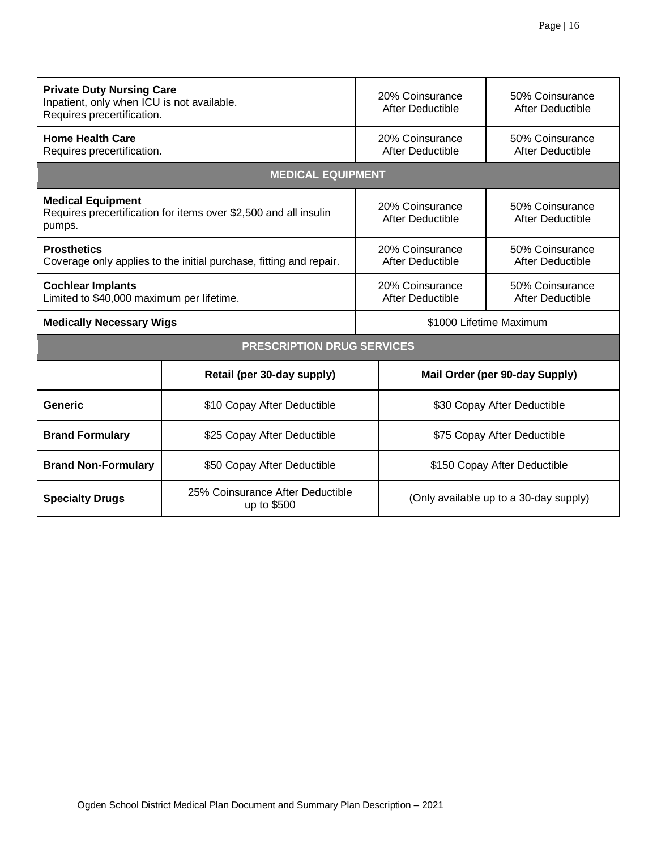| <b>Private Duty Nursing Care</b><br>Inpatient, only when ICU is not available.<br>Requires precertification. |                                                              |  | 20% Coinsurance<br>After Deductible    | 50% Coinsurance<br>After Deductible |
|--------------------------------------------------------------------------------------------------------------|--------------------------------------------------------------|--|----------------------------------------|-------------------------------------|
| <b>Home Health Care</b><br>Requires precertification.                                                        |                                                              |  | 20% Coinsurance<br>After Deductible    | 50% Coinsurance<br>After Deductible |
|                                                                                                              | <b>MEDICAL EQUIPMENT</b>                                     |  |                                        |                                     |
| <b>Medical Equipment</b><br>Requires precertification for items over \$2,500 and all insulin<br>pumps.       |                                                              |  | 20% Coinsurance<br>After Deductible    | 50% Coinsurance<br>After Deductible |
| <b>Prosthetics</b><br>Coverage only applies to the initial purchase, fitting and repair.                     |                                                              |  | 20% Coinsurance<br>After Deductible    | 50% Coinsurance<br>After Deductible |
| <b>Cochlear Implants</b><br>Limited to \$40,000 maximum per lifetime.                                        |                                                              |  | 20% Coinsurance<br>After Deductible    | 50% Coinsurance<br>After Deductible |
| <b>Medically Necessary Wigs</b>                                                                              |                                                              |  | \$1000 Lifetime Maximum                |                                     |
|                                                                                                              | <b>PRESCRIPTION DRUG SERVICES</b>                            |  |                                        |                                     |
|                                                                                                              | Retail (per 30-day supply)<br>Mail Order (per 90-day Supply) |  |                                        |                                     |
| Generic                                                                                                      | \$10 Copay After Deductible                                  |  | \$30 Copay After Deductible            |                                     |
| <b>Brand Formulary</b><br>\$25 Copay After Deductible                                                        |                                                              |  | \$75 Copay After Deductible            |                                     |
| <b>Brand Non-Formulary</b><br>\$50 Copay After Deductible                                                    |                                                              |  | \$150 Copay After Deductible           |                                     |
| 25% Coinsurance After Deductible<br><b>Specialty Drugs</b><br>up to \$500                                    |                                                              |  | (Only available up to a 30-day supply) |                                     |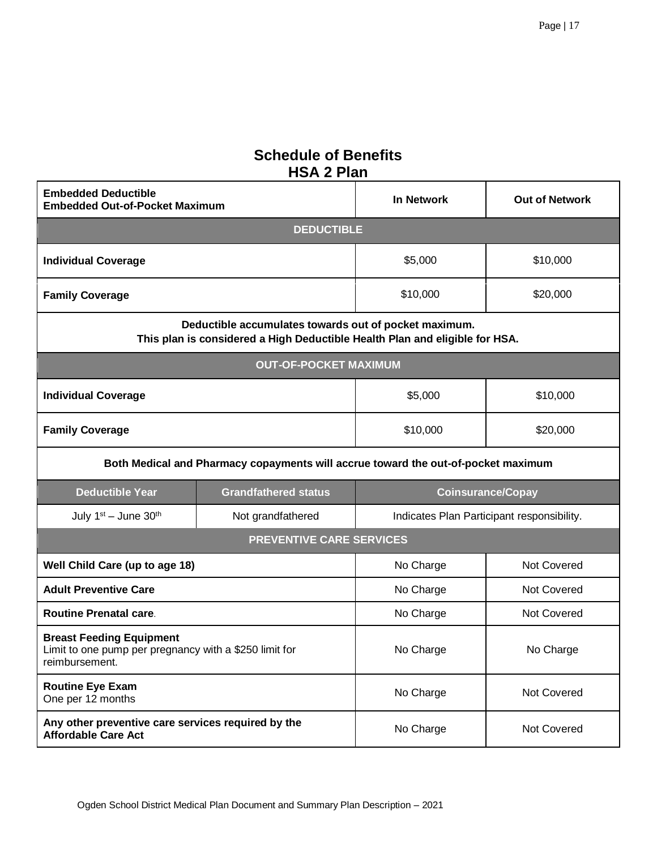## **Schedule of Benefits HSA 2 Plan**

| <b>Embedded Deductible</b><br><b>Embedded Out-of-Pocket Maximum</b>                                         |                                                                                                                                      | <b>In Network</b>   | <b>Out of Network</b>                      |
|-------------------------------------------------------------------------------------------------------------|--------------------------------------------------------------------------------------------------------------------------------------|---------------------|--------------------------------------------|
|                                                                                                             | <b>DEDUCTIBLE</b>                                                                                                                    |                     |                                            |
| <b>Individual Coverage</b>                                                                                  |                                                                                                                                      | \$5,000<br>\$10,000 |                                            |
| <b>Family Coverage</b>                                                                                      |                                                                                                                                      | \$10,000            | \$20,000                                   |
|                                                                                                             | Deductible accumulates towards out of pocket maximum.<br>This plan is considered a High Deductible Health Plan and eligible for HSA. |                     |                                            |
|                                                                                                             | <b>OUT-OF-POCKET MAXIMUM</b>                                                                                                         |                     |                                            |
| <b>Individual Coverage</b>                                                                                  |                                                                                                                                      | \$5,000             | \$10,000                                   |
| <b>Family Coverage</b><br>\$10,000                                                                          |                                                                                                                                      | \$20,000            |                                            |
|                                                                                                             | Both Medical and Pharmacy copayments will accrue toward the out-of-pocket maximum                                                    |                     |                                            |
| <b>Deductible Year</b>                                                                                      | <b>Grandfathered status</b>                                                                                                          |                     | <b>Coinsurance/Copay</b>                   |
| July $1st$ – June $30th$                                                                                    | Not grandfathered                                                                                                                    |                     | Indicates Plan Participant responsibility. |
|                                                                                                             | <b>PREVENTIVE CARE SERVICES</b>                                                                                                      |                     |                                            |
| Well Child Care (up to age 18)                                                                              |                                                                                                                                      | No Charge           | Not Covered                                |
| <b>Adult Preventive Care</b>                                                                                |                                                                                                                                      | No Charge           | Not Covered                                |
| <b>Routine Prenatal care.</b>                                                                               |                                                                                                                                      | No Charge           | Not Covered                                |
| <b>Breast Feeding Equipment</b><br>Limit to one pump per pregnancy with a \$250 limit for<br>reimbursement. |                                                                                                                                      | No Charge           | No Charge                                  |
| <b>Routine Eye Exam</b><br>One per 12 months                                                                |                                                                                                                                      | No Charge           | Not Covered                                |
| Any other preventive care services required by the<br><b>Affordable Care Act</b>                            |                                                                                                                                      | No Charge           | Not Covered                                |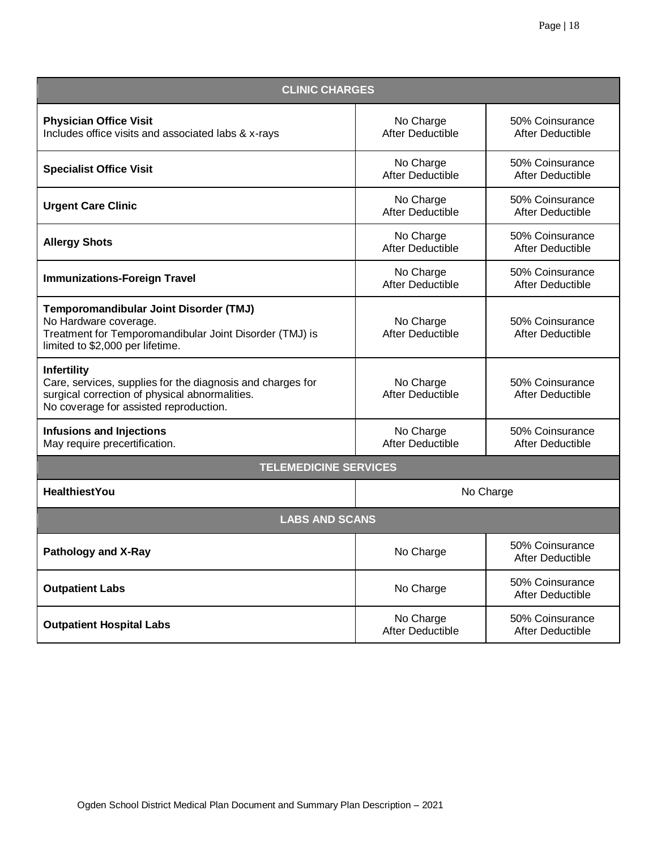| <b>CLINIC CHARGES</b>                                                                                                                                                        |                                                                             |                                     |  |  |
|------------------------------------------------------------------------------------------------------------------------------------------------------------------------------|-----------------------------------------------------------------------------|-------------------------------------|--|--|
| <b>Physician Office Visit</b><br>Includes office visits and associated labs & x-rays                                                                                         | No Charge<br>After Deductible                                               | 50% Coinsurance<br>After Deductible |  |  |
| <b>Specialist Office Visit</b>                                                                                                                                               | No Charge<br><b>After Deductible</b>                                        | 50% Coinsurance<br>After Deductible |  |  |
| <b>Urgent Care Clinic</b>                                                                                                                                                    | No Charge<br>After Deductible                                               | 50% Coinsurance<br>After Deductible |  |  |
| <b>Allergy Shots</b>                                                                                                                                                         | 50% Coinsurance<br>No Charge<br><b>After Deductible</b><br>After Deductible |                                     |  |  |
| <b>Immunizations-Foreign Travel</b>                                                                                                                                          | No Charge<br><b>After Deductible</b>                                        | 50% Coinsurance<br>After Deductible |  |  |
| Temporomandibular Joint Disorder (TMJ)<br>No Hardware coverage.<br>Treatment for Temporomandibular Joint Disorder (TMJ) is<br>limited to \$2,000 per lifetime.               | No Charge<br>After Deductible                                               | 50% Coinsurance<br>After Deductible |  |  |
| <b>Infertility</b><br>Care, services, supplies for the diagnosis and charges for<br>surgical correction of physical abnormalities.<br>No coverage for assisted reproduction. | No Charge<br><b>After Deductible</b>                                        | 50% Coinsurance<br>After Deductible |  |  |
| <b>Infusions and Injections</b><br>May require precertification.                                                                                                             | No Charge<br>After Deductible                                               | 50% Coinsurance<br>After Deductible |  |  |
| <b>TELEMEDICINE SERVICES</b>                                                                                                                                                 |                                                                             |                                     |  |  |
| <b>HealthiestYou</b>                                                                                                                                                         |                                                                             | No Charge                           |  |  |
| <b>LABS AND SCANS</b>                                                                                                                                                        |                                                                             |                                     |  |  |
| <b>Pathology and X-Ray</b>                                                                                                                                                   | No Charge                                                                   | 50% Coinsurance<br>After Deductible |  |  |
| <b>Outpatient Labs</b>                                                                                                                                                       | No Charge                                                                   | 50% Coinsurance<br>After Deductible |  |  |
| <b>Outpatient Hospital Labs</b>                                                                                                                                              | 50% Coinsurance<br>No Charge<br>After Deductible<br>After Deductible        |                                     |  |  |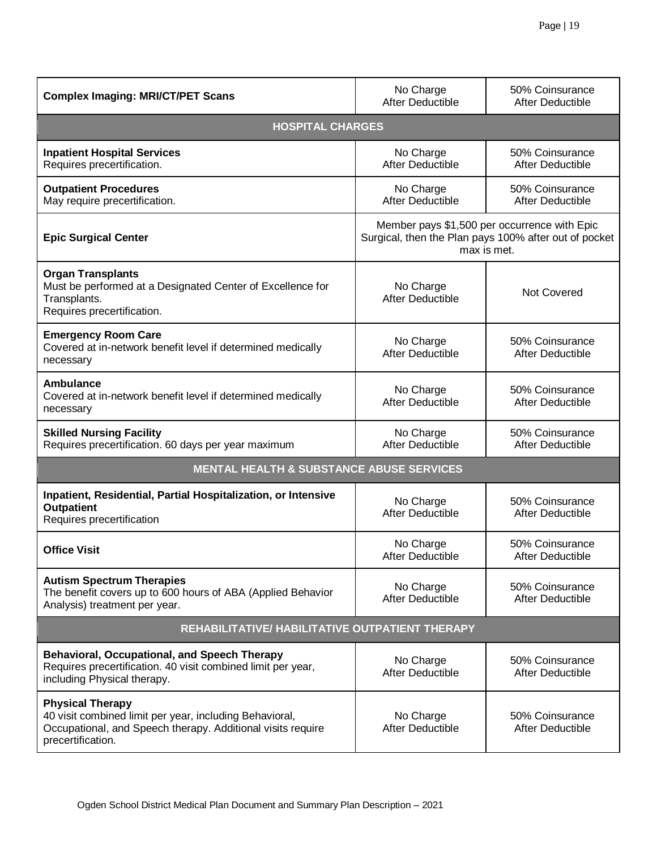| <b>Complex Imaging: MRI/CT/PET Scans</b>                                                                                                                               | No Charge<br>After Deductible                                                                                        | 50% Coinsurance<br>After Deductible |
|------------------------------------------------------------------------------------------------------------------------------------------------------------------------|----------------------------------------------------------------------------------------------------------------------|-------------------------------------|
| <b>HOSPITAL CHARGES</b>                                                                                                                                                |                                                                                                                      |                                     |
| <b>Inpatient Hospital Services</b><br>Requires precertification.                                                                                                       | No Charge<br>After Deductible                                                                                        | 50% Coinsurance<br>After Deductible |
| <b>Outpatient Procedures</b><br>May require precertification.                                                                                                          | No Charge<br>After Deductible                                                                                        | 50% Coinsurance<br>After Deductible |
| <b>Epic Surgical Center</b>                                                                                                                                            | Member pays \$1,500 per occurrence with Epic<br>Surgical, then the Plan pays 100% after out of pocket<br>max is met. |                                     |
| <b>Organ Transplants</b><br>Must be performed at a Designated Center of Excellence for<br>Transplants.<br>Requires precertification.                                   | No Charge<br>After Deductible                                                                                        | <b>Not Covered</b>                  |
| <b>Emergency Room Care</b><br>Covered at in-network benefit level if determined medically<br>necessary                                                                 | No Charge<br>After Deductible                                                                                        | 50% Coinsurance<br>After Deductible |
| Ambulance<br>Covered at in-network benefit level if determined medically<br>necessary                                                                                  | No Charge<br>After Deductible                                                                                        | 50% Coinsurance<br>After Deductible |
| <b>Skilled Nursing Facility</b><br>Requires precertification. 60 days per year maximum                                                                                 | No Charge<br>After Deductible                                                                                        | 50% Coinsurance<br>After Deductible |
| <b>MENTAL HEALTH &amp; SUBSTANCE ABUSE SERVICES</b>                                                                                                                    |                                                                                                                      |                                     |
| Inpatient, Residential, Partial Hospitalization, or Intensive<br><b>Outpatient</b><br>Requires precertification                                                        | No Charge<br>After Deductible                                                                                        | 50% Coinsurance<br>After Deductible |
| <b>Office Visit</b>                                                                                                                                                    | No Charge<br>After Deductible                                                                                        | 50% Coinsurance<br>After Deductible |
| <b>Autism Spectrum Therapies</b><br>The benefit covers up to 600 hours of ABA (Applied Behavior<br>Analysis) treatment per year.                                       | No Charge<br>After Deductible                                                                                        | 50% Coinsurance<br>After Deductible |
| REHABILITATIVE/ HABILITATIVE OUTPATIENT THERAPY                                                                                                                        |                                                                                                                      |                                     |
| <b>Behavioral, Occupational, and Speech Therapy</b><br>Requires precertification. 40 visit combined limit per year,<br>including Physical therapy.                     | No Charge<br><b>After Deductible</b>                                                                                 | 50% Coinsurance<br>After Deductible |
| <b>Physical Therapy</b><br>40 visit combined limit per year, including Behavioral,<br>Occupational, and Speech therapy. Additional visits require<br>precertification. | No Charge<br>After Deductible                                                                                        | 50% Coinsurance<br>After Deductible |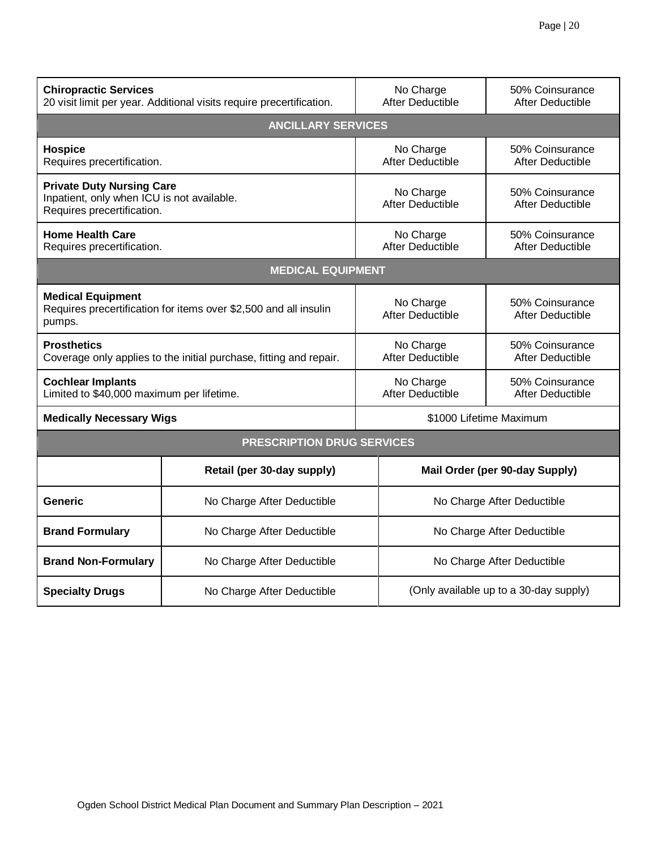| <b>Chiropractic Services</b><br>20 visit limit per year. Additional visits require precertification.         |                                                          | No Charge<br><b>After Deductible</b> | 50% Coinsurance<br>After Deductible    |  |
|--------------------------------------------------------------------------------------------------------------|----------------------------------------------------------|--------------------------------------|----------------------------------------|--|
|                                                                                                              | <b>ANCILLARY SERVICES</b>                                |                                      |                                        |  |
| <b>Hospice</b><br>Requires precertification.                                                                 |                                                          | No Charge<br>After Deductible        | 50% Coinsurance<br>After Deductible    |  |
| <b>Private Duty Nursing Care</b><br>Inpatient, only when ICU is not available.<br>Requires precertification. |                                                          | No Charge<br><b>After Deductible</b> | 50% Coinsurance<br>After Deductible    |  |
| <b>Home Health Care</b><br>Requires precertification.                                                        |                                                          | No Charge<br><b>After Deductible</b> | 50% Coinsurance<br>After Deductible    |  |
| <b>MEDICAL EQUIPMENT</b>                                                                                     |                                                          |                                      |                                        |  |
| <b>Medical Equipment</b><br>Requires precertification for items over \$2,500 and all insulin<br>pumps.       |                                                          | No Charge<br><b>After Deductible</b> | 50% Coinsurance<br>After Deductible    |  |
| <b>Prosthetics</b><br>Coverage only applies to the initial purchase, fitting and repair.                     |                                                          | No Charge<br><b>After Deductible</b> | 50% Coinsurance<br>After Deductible    |  |
| <b>Cochlear Implants</b><br>Limited to \$40,000 maximum per lifetime.                                        |                                                          | No Charge<br><b>After Deductible</b> | 50% Coinsurance<br>After Deductible    |  |
| <b>Medically Necessary Wigs</b>                                                                              |                                                          |                                      | \$1000 Lifetime Maximum                |  |
| <b>PRESCRIPTION DRUG SERVICES</b>                                                                            |                                                          |                                      |                                        |  |
|                                                                                                              | Retail (per 30-day supply)                               |                                      | Mail Order (per 90-day Supply)         |  |
| Generic                                                                                                      | No Charge After Deductible                               |                                      | No Charge After Deductible             |  |
| <b>Brand Formulary</b>                                                                                       | No Charge After Deductible<br>No Charge After Deductible |                                      |                                        |  |
| <b>Brand Non-Formulary</b>                                                                                   | No Charge After Deductible                               |                                      | No Charge After Deductible             |  |
| <b>Specialty Drugs</b><br>No Charge After Deductible                                                         |                                                          |                                      | (Only available up to a 30-day supply) |  |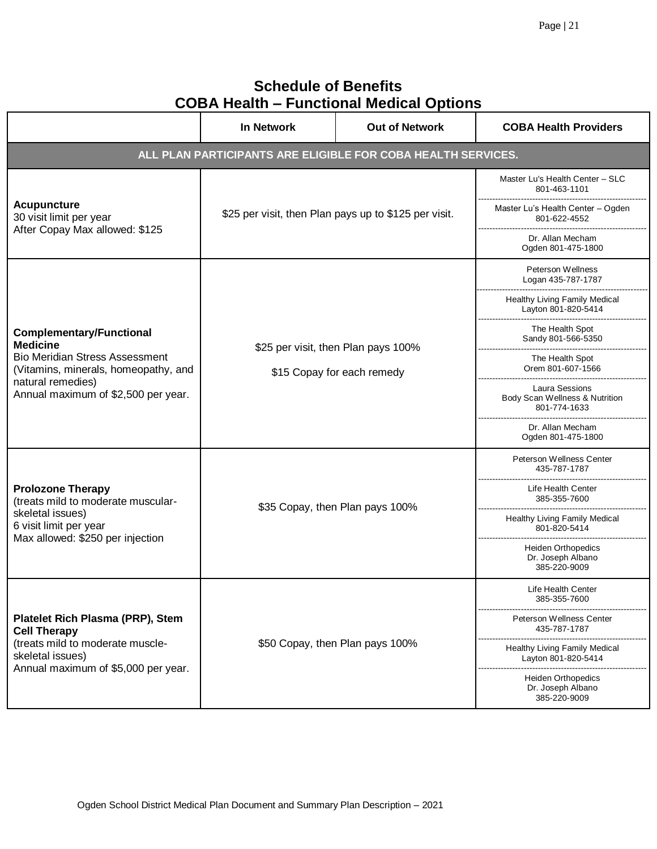## **Schedule of Benefits COBA Health – Functional Medical Options**

|                                                                                                                                                                                                 | In Network                                                        | <b>Out of Network</b>                                        | <b>COBA Health Providers</b>                                     |
|-------------------------------------------------------------------------------------------------------------------------------------------------------------------------------------------------|-------------------------------------------------------------------|--------------------------------------------------------------|------------------------------------------------------------------|
|                                                                                                                                                                                                 |                                                                   | ALL PLAN PARTICIPANTS ARE ELIGIBLE FOR COBA HEALTH SERVICES. |                                                                  |
|                                                                                                                                                                                                 | \$25 per visit, then Plan pays up to \$125 per visit.             |                                                              | Master Lu's Health Center - SLC<br>801-463-1101                  |
| <b>Acupuncture</b><br>30 visit limit per year<br>After Copay Max allowed: \$125                                                                                                                 |                                                                   |                                                              | Master Lu's Health Center - Ogden<br>801-622-4552                |
|                                                                                                                                                                                                 |                                                                   |                                                              | Dr. Allan Mecham<br>Ogden 801-475-1800                           |
|                                                                                                                                                                                                 | \$25 per visit, then Plan pays 100%<br>\$15 Copay for each remedy |                                                              | Peterson Wellness<br>Logan 435-787-1787                          |
|                                                                                                                                                                                                 |                                                                   |                                                              | Healthy Living Family Medical<br>Layton 801-820-5414             |
| <b>Complementary/Functional</b><br><b>Medicine</b><br><b>Bio Meridian Stress Assessment</b><br>(Vitamins, minerals, homeopathy, and<br>natural remedies)<br>Annual maximum of \$2,500 per year. |                                                                   |                                                              | The Health Spot<br>Sandy 801-566-5350                            |
|                                                                                                                                                                                                 |                                                                   |                                                              | The Health Spot<br>Orem 801-607-1566                             |
|                                                                                                                                                                                                 |                                                                   |                                                              | Laura Sessions<br>Body Scan Wellness & Nutrition<br>801-774-1633 |
|                                                                                                                                                                                                 |                                                                   |                                                              | Dr. Allan Mecham<br>Ogden 801-475-1800                           |
| <b>Prolozone Therapy</b><br>(treats mild to moderate muscular-<br>skeletal issues)<br>6 visit limit per year<br>Max allowed: \$250 per injection                                                | \$35 Copay, then Plan pays 100%                                   |                                                              | Peterson Wellness Center<br>435-787-1787                         |
|                                                                                                                                                                                                 |                                                                   |                                                              | Life Health Center<br>385-355-7600                               |
|                                                                                                                                                                                                 |                                                                   |                                                              | Healthy Living Family Medical<br>801-820-5414                    |
|                                                                                                                                                                                                 |                                                                   |                                                              | <b>Heiden Orthopedics</b><br>Dr. Joseph Albano<br>385-220-9009   |
| Platelet Rich Plasma (PRP), Stem<br><b>Cell Therapy</b><br>(treats mild to moderate muscle-<br>skeletal issues)<br>Annual maximum of \$5,000 per year.                                          | \$50 Copay, then Plan pays 100%                                   |                                                              | Life Health Center<br>385-355-7600                               |
|                                                                                                                                                                                                 |                                                                   |                                                              | Peterson Wellness Center<br>435-787-1787                         |
|                                                                                                                                                                                                 |                                                                   |                                                              | Healthy Living Family Medical<br>Layton 801-820-5414             |
|                                                                                                                                                                                                 |                                                                   |                                                              | <b>Heiden Orthopedics</b><br>Dr. Joseph Albano<br>385-220-9009   |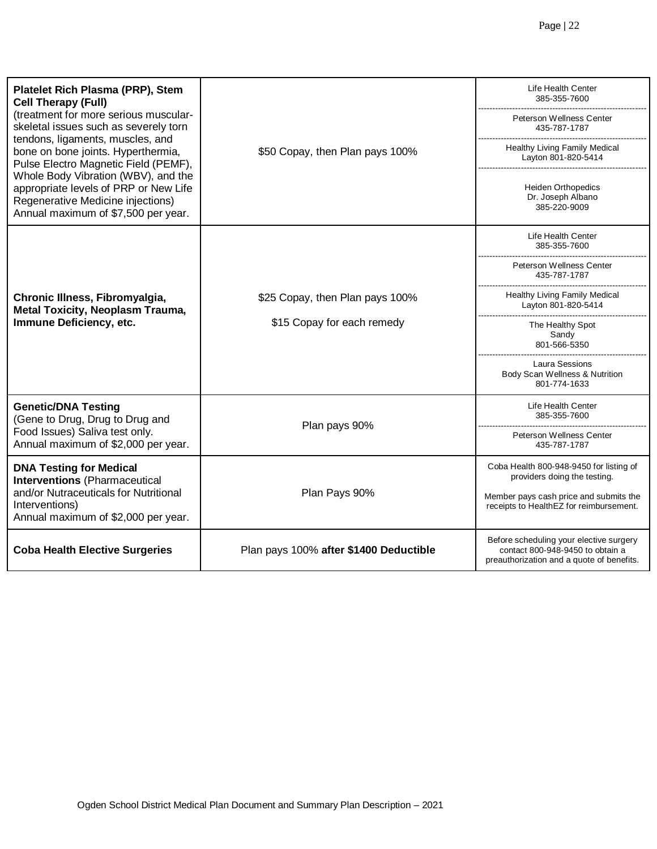| Platelet Rich Plasma (PRP), Stem<br><b>Cell Therapy (Full)</b>                                                                                                                                                                                                                                                                                               |                                                               | Life Health Center<br>385-355-7600                                                                                       |
|--------------------------------------------------------------------------------------------------------------------------------------------------------------------------------------------------------------------------------------------------------------------------------------------------------------------------------------------------------------|---------------------------------------------------------------|--------------------------------------------------------------------------------------------------------------------------|
| (treatment for more serious muscular-<br>skeletal issues such as severely torn<br>tendons, ligaments, muscles, and<br>bone on bone joints. Hyperthermia,<br>Pulse Electro Magnetic Field (PEMF),<br>Whole Body Vibration (WBV), and the<br>appropriate levels of PRP or New Life<br>Regenerative Medicine injections)<br>Annual maximum of \$7,500 per year. | \$50 Copay, then Plan pays 100%                               | Peterson Wellness Center<br>435-787-1787                                                                                 |
|                                                                                                                                                                                                                                                                                                                                                              |                                                               | Healthy Living Family Medical<br>Layton 801-820-5414                                                                     |
|                                                                                                                                                                                                                                                                                                                                                              |                                                               | <b>Heiden Orthopedics</b><br>Dr. Joseph Albano<br>385-220-9009                                                           |
| Chronic Illness, Fibromyalgia,<br><b>Metal Toxicity, Neoplasm Trauma,</b><br>Immune Deficiency, etc.                                                                                                                                                                                                                                                         |                                                               | Life Health Center<br>385-355-7600                                                                                       |
|                                                                                                                                                                                                                                                                                                                                                              |                                                               | Peterson Wellness Center<br>435-787-1787                                                                                 |
|                                                                                                                                                                                                                                                                                                                                                              | \$25 Copay, then Plan pays 100%<br>\$15 Copay for each remedy | Healthy Living Family Medical<br>Layton 801-820-5414                                                                     |
|                                                                                                                                                                                                                                                                                                                                                              |                                                               | The Healthy Spot<br>Sandy<br>801-566-5350                                                                                |
|                                                                                                                                                                                                                                                                                                                                                              |                                                               | Laura Sessions<br>Body Scan Wellness & Nutrition<br>801-774-1633                                                         |
| <b>Genetic/DNA Testing</b><br>(Gene to Drug, Drug to Drug and                                                                                                                                                                                                                                                                                                |                                                               | Life Health Center<br>385-355-7600                                                                                       |
| Plan pays 90%<br>Food Issues) Saliva test only.<br>Annual maximum of \$2,000 per year.                                                                                                                                                                                                                                                                       | Peterson Wellness Center<br>435-787-1787                      |                                                                                                                          |
| <b>DNA Testing for Medical</b><br><b>Interventions (Pharmaceutical</b>                                                                                                                                                                                                                                                                                       |                                                               | Coba Health 800-948-9450 for listing of<br>providers doing the testing.                                                  |
| and/or Nutraceuticals for Nutritional<br>Interventions)<br>Annual maximum of \$2,000 per year.                                                                                                                                                                                                                                                               | Plan Pays 90%                                                 | Member pays cash price and submits the<br>receipts to HealthEZ for reimbursement.                                        |
| <b>Coba Health Elective Surgeries</b>                                                                                                                                                                                                                                                                                                                        | Plan pays 100% after \$1400 Deductible                        | Before scheduling your elective surgery<br>contact 800-948-9450 to obtain a<br>preauthorization and a quote of benefits. |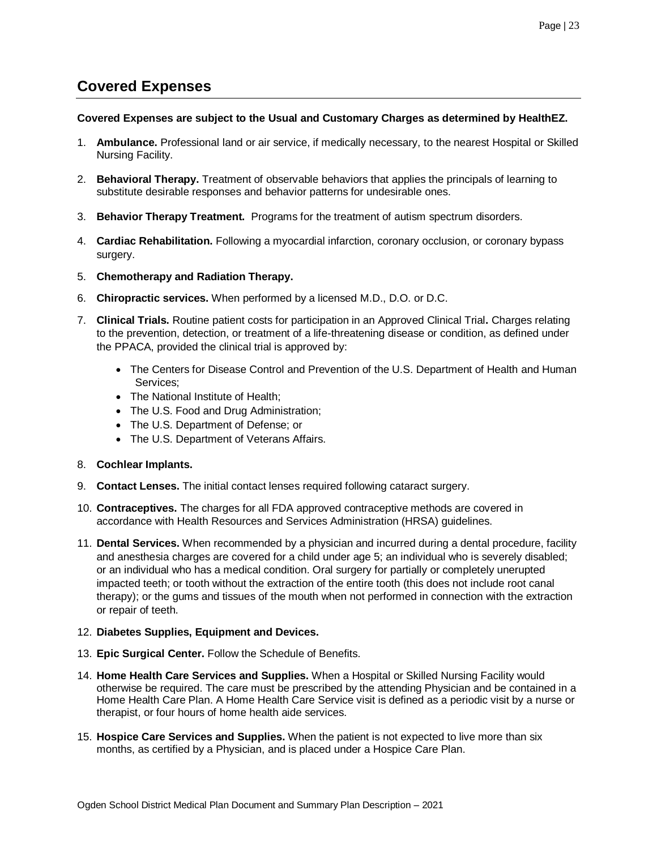## <span id="page-22-0"></span>**Covered Expenses**

## **Covered Expenses are subject to the Usual and Customary Charges as determined by HealthEZ.**

- 1. **Ambulance.** Professional land or air service, if medically necessary, to the nearest Hospital or Skilled Nursing Facility.
- 2. **Behavioral Therapy.** Treatment of observable behaviors that applies the principals of learning to substitute desirable responses and behavior patterns for undesirable ones.
- 3. **Behavior Therapy Treatment.** Programs for the treatment of autism spectrum disorders.
- 4. **Cardiac Rehabilitation.** Following a myocardial infarction, coronary occlusion, or coronary bypass surgery.
- 5. **Chemotherapy and Radiation Therapy.**
- 6. **Chiropractic services.** When performed by a licensed M.D., D.O. or D.C.
- 7. **Clinical Trials.** Routine patient costs for participation in an Approved Clinical Trial**.** Charges relating to the prevention, detection, or treatment of a life-threatening disease or condition, as defined under the PPACA, provided the clinical trial is approved by:
	- The Centers for Disease Control and Prevention of the U.S. Department of Health and Human Services;
	- The National Institute of Health;
	- The U.S. Food and Drug Administration;
	- The U.S. Department of Defense; or
	- The U.S. Department of Veterans Affairs.
- 8. **Cochlear Implants.**
- 9. **Contact Lenses.** The initial contact lenses required following cataract surgery.
- 10. **Contraceptives.** The charges for all FDA approved contraceptive methods are covered in accordance with Health Resources and Services Administration (HRSA) guidelines.
- 11. **Dental Services.** When recommended by a physician and incurred during a dental procedure, facility and anesthesia charges are covered for a child under age 5; an individual who is severely disabled; or an individual who has a medical condition. Oral surgery for partially or completely unerupted impacted teeth; or tooth without the extraction of the entire tooth (this does not include root canal therapy); or the gums and tissues of the mouth when not performed in connection with the extraction or repair of teeth.

## 12. **Diabetes Supplies, Equipment and Devices.**

- 13. **Epic Surgical Center.** Follow the Schedule of Benefits.
- 14. **Home Health Care Services and Supplies.** When a Hospital or Skilled Nursing Facility would otherwise be required. The care must be prescribed by the attending Physician and be contained in a Home Health Care Plan. A Home Health Care Service visit is defined as a periodic visit by a nurse or therapist, or four hours of home health aide services.
- 15. **Hospice Care Services and Supplies.** When the patient is not expected to live more than six months, as certified by a Physician, and is placed under a Hospice Care Plan.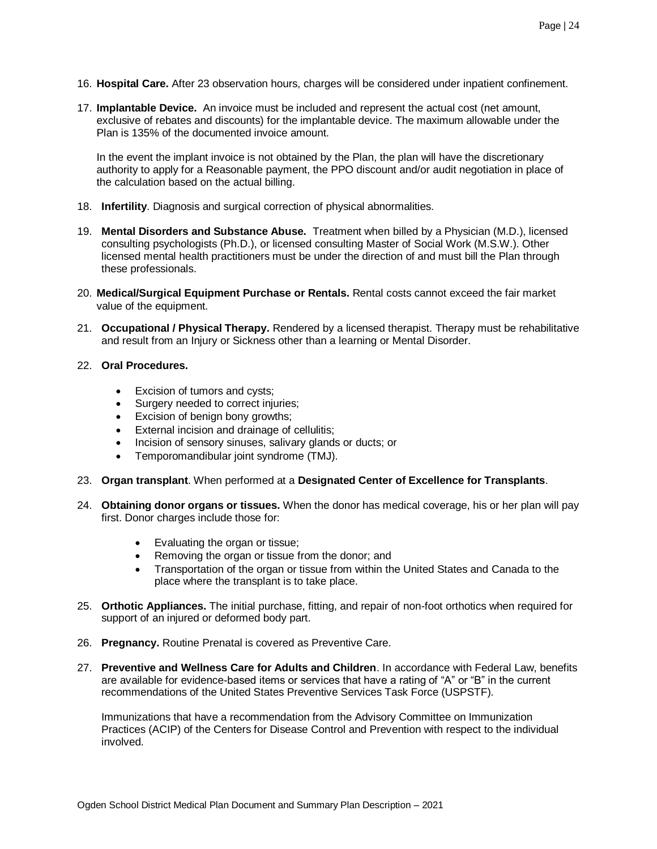- 16. **Hospital Care.** After 23 observation hours, charges will be considered under inpatient confinement.
- 17. **Implantable Device.** An invoice must be included and represent the actual cost (net amount, exclusive of rebates and discounts) for the implantable device. The maximum allowable under the Plan is 135% of the documented invoice amount.

In the event the implant invoice is not obtained by the Plan, the plan will have the discretionary authority to apply for a Reasonable payment, the PPO discount and/or audit negotiation in place of the calculation based on the actual billing.

- 18. **Infertility**. Diagnosis and surgical correction of physical abnormalities.
- 19. **Mental Disorders and Substance Abuse.** Treatment when billed by a Physician (M.D.), licensed consulting psychologists (Ph.D.), or licensed consulting Master of Social Work (M.S.W.). Other licensed mental health practitioners must be under the direction of and must bill the Plan through these professionals.
- 20. **Medical/Surgical Equipment Purchase or Rentals.** Rental costs cannot exceed the fair market value of the equipment.
- 21. **Occupational / Physical Therapy.** Rendered by a licensed therapist. Therapy must be rehabilitative and result from an Injury or Sickness other than a learning or Mental Disorder.
- 22. **Oral Procedures.**
	- Excision of tumors and cysts;
	- Surgery needed to correct injuries;
	- Excision of benign bony growths;
	- External incision and drainage of cellulitis;
	- Incision of sensory sinuses, salivary glands or ducts; or
	- Temporomandibular joint syndrome (TMJ).
- 23. **Organ transplant**. When performed at a **Designated Center of Excellence for Transplants**.
- 24. **Obtaining donor organs or tissues.** When the donor has medical coverage, his or her plan will pay first. Donor charges include those for:
	- Evaluating the organ or tissue;
	- Removing the organ or tissue from the donor; and
	- Transportation of the organ or tissue from within the United States and Canada to the place where the transplant is to take place.
- 25. **Orthotic Appliances.** The initial purchase, fitting, and repair of non-foot orthotics when required for support of an injured or deformed body part.
- 26. **Pregnancy.** Routine Prenatal is covered as Preventive Care.
- 27. **Preventive and Wellness Care for Adults and Children**. In accordance with Federal Law, benefits are available for evidence-based items or services that have a rating of "A" or "B" in the current recommendations of the United States Preventive Services Task Force (USPSTF).

Immunizations that have a recommendation from the Advisory Committee on Immunization Practices (ACIP) of the Centers for Disease Control and Prevention with respect to the individual involved.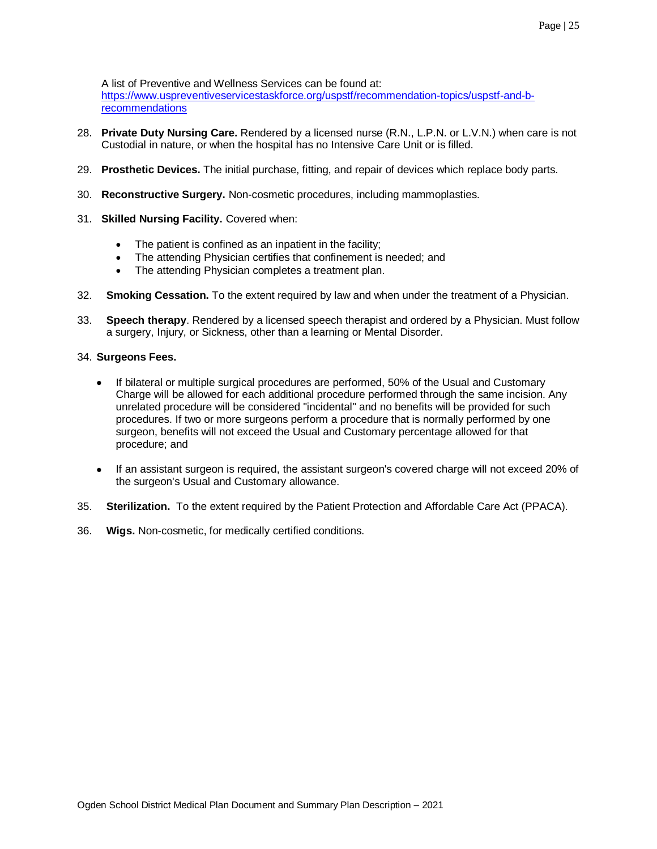<span id="page-24-0"></span>A list of Preventive and Wellness Services can be found at: [https://www.uspreventiveservicestaskforce.org/uspstf/recommendation-topics/uspstf-and-b](https://www.uspreventiveservicestaskforce.org/uspstf/recommendation-topics/uspstf-and-b-recommendations)[recommendations](https://www.uspreventiveservicestaskforce.org/uspstf/recommendation-topics/uspstf-and-b-recommendations)

- 28. **Private Duty Nursing Care.** Rendered by a licensed nurse (R.N., L.P.N. or L.V.N.) when care is not Custodial in nature, or when the hospital has no Intensive Care Unit or is filled.
- 29. **Prosthetic Devices.** The initial purchase, fitting, and repair of devices which replace body parts.
- 30. **Reconstructive Surgery.** Non-cosmetic procedures, including mammoplasties.
- 31. **Skilled Nursing Facility.** Covered when:
	- The patient is confined as an inpatient in the facility;
	- The attending Physician certifies that confinement is needed; and
	- The attending Physician completes a treatment plan.
- 32. **Smoking Cessation.** To the extent required by law and when under the treatment of a Physician.
- 33. **Speech therapy**. Rendered by a licensed speech therapist and ordered by a Physician. Must follow a surgery, Injury, or Sickness, other than a learning or Mental Disorder.

## 34. **Surgeons Fees.**

- If bilateral or multiple surgical procedures are performed, 50% of the Usual and Customary Charge will be allowed for each additional procedure performed through the same incision. Any unrelated procedure will be considered "incidental" and no benefits will be provided for such procedures. If two or more surgeons perform a procedure that is normally performed by one surgeon, benefits will not exceed the Usual and Customary percentage allowed for that procedure; and
- If an assistant surgeon is required, the assistant surgeon's covered charge will not exceed 20% of the surgeon's Usual and Customary allowance.
- 35. **Sterilization.** To the extent required by the Patient Protection and Affordable Care Act (PPACA).
- 36. **Wigs.** Non-cosmetic, for medically certified conditions.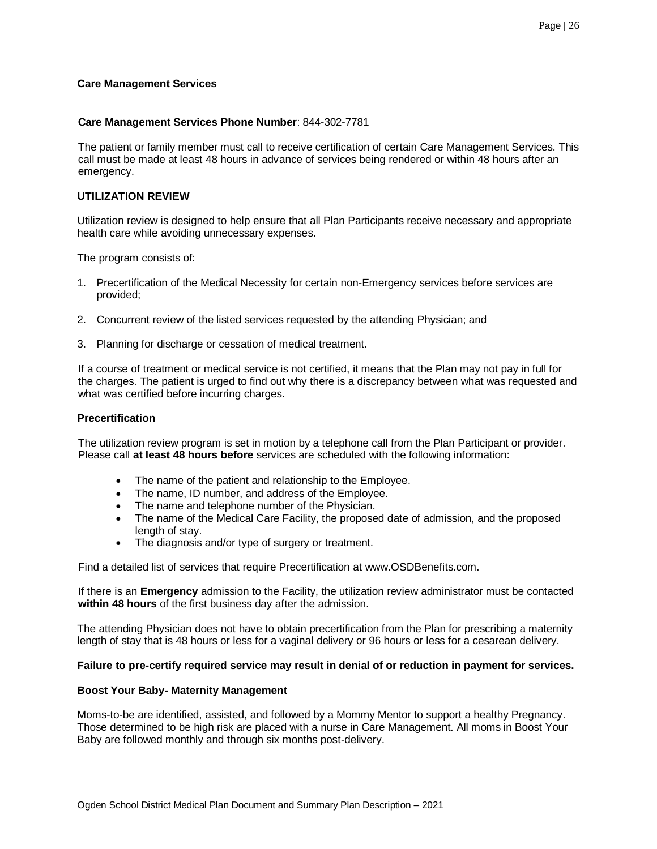#### **Care Management Services**

#### **Care Management Services Phone Number**: 844-302-7781

The patient or family member must call to receive certification of certain Care Management Services. This call must be made at least 48 hours in advance of services being rendered or within 48 hours after an emergency.

## **UTILIZATION REVIEW**

Utilization review is designed to help ensure that all Plan Participants receive necessary and appropriate health care while avoiding unnecessary expenses.

The program consists of:

- 1. Precertification of the Medical Necessity for certain non-Emergency services before services are provided;
- 2. Concurrent review of the listed services requested by the attending Physician; and
- 3. Planning for discharge or cessation of medical treatment.

If a course of treatment or medical service is not certified, it means that the Plan may not pay in full for the charges. The patient is urged to find out why there is a discrepancy between what was requested and what was certified before incurring charges.

#### **Precertification**

The utilization review program is set in motion by a telephone call from the Plan Participant or provider. Please call **at least 48 hours before** services are scheduled with the following information:

- The name of the patient and relationship to the Employee.
- The name, ID number, and address of the Employee.
- The name and telephone number of the Physician.
- The name of the Medical Care Facility, the proposed date of admission, and the proposed length of stay.
- The diagnosis and/or type of surgery or treatment.

Find a detailed list of services that require Precertification at www.OSDBenefits.com.

If there is an **Emergency** admission to the Facility, the utilization review administrator must be contacted **within 48 hours** of the first business day after the admission.

The attending Physician does not have to obtain precertification from the Plan for prescribing a maternity length of stay that is 48 hours or less for a vaginal delivery or 96 hours or less for a cesarean delivery.

## **Failure to pre-certify required service may result in denial of or reduction in payment for services.**

#### **Boost Your Baby- Maternity Management**

Moms-to-be are identified, assisted, and followed by a Mommy Mentor to support a healthy Pregnancy. Those determined to be high risk are placed with a nurse in Care Management. All moms in Boost Your Baby are followed monthly and through six months post-delivery.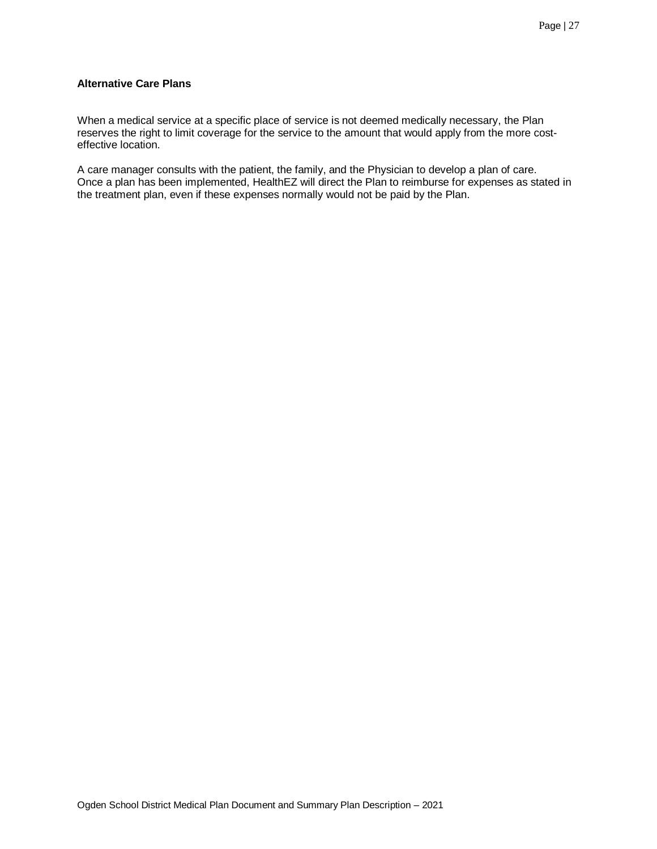## **Alternative Care Plans**

When a medical service at a specific place of service is not deemed medically necessary, the Plan reserves the right to limit coverage for the service to the amount that would apply from the more costeffective location.

A care manager consults with the patient, the family, and the Physician to develop a plan of care. Once a plan has been implemented, HealthEZ will direct the Plan to reimburse for expenses as stated in the treatment plan, even if these expenses normally would not be paid by the Plan.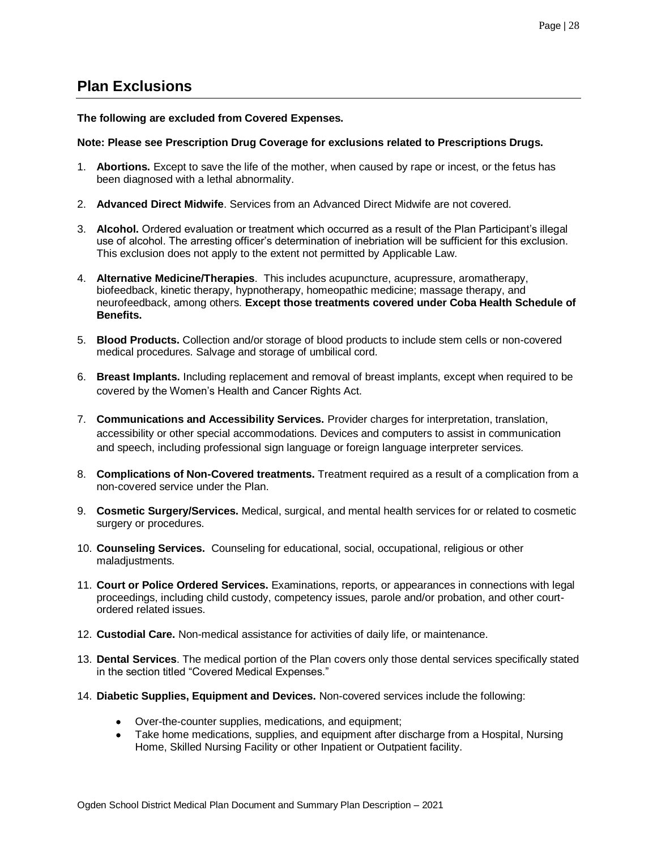## <span id="page-27-0"></span>**Plan Exclusions**

## **The following are excluded from Covered Expenses.**

## **Note: Please see Prescription Drug Coverage for exclusions related to Prescriptions Drugs.**

- 1. **Abortions.** Except to save the life of the mother, when caused by rape or incest, or the fetus has been diagnosed with a lethal abnormality.
- 2. **Advanced Direct Midwife**. Services from an Advanced Direct Midwife are not covered.
- 3. **Alcohol.** Ordered evaluation or treatment which occurred as a result of the Plan Participant's illegal use of alcohol. The arresting officer's determination of inebriation will be sufficient for this exclusion. This exclusion does not apply to the extent not permitted by Applicable Law.
- 4. **Alternative Medicine/Therapies**. This includes acupuncture, acupressure, aromatherapy, biofeedback, kinetic therapy, hypnotherapy, homeopathic medicine; massage therapy, and neurofeedback, among others. **Except those treatments covered under Coba Health Schedule of Benefits.**
- 5. **Blood Products.** Collection and/or storage of blood products to include stem cells or non-covered medical procedures. Salvage and storage of umbilical cord.
- 6. **Breast Implants.** Including replacement and removal of breast implants, except when required to be covered by the Women's Health and Cancer Rights Act.
- 7. **Communications and Accessibility Services.** Provider charges for interpretation, translation, accessibility or other special accommodations. Devices and computers to assist in communication and speech, including professional sign language or foreign language interpreter services.
- 8. **Complications of Non-Covered treatments.** Treatment required as a result of a complication from a non-covered service under the Plan.
- 9. **Cosmetic Surgery/Services.** Medical, surgical, and mental health services for or related to cosmetic surgery or procedures.
- 10. **Counseling Services.** Counseling for educational, social, occupational, religious or other maladjustments.
- 11. **Court or Police Ordered Services.** Examinations, reports, or appearances in connections with legal proceedings, including child custody, competency issues, parole and/or probation, and other courtordered related issues.
- 12. **Custodial Care.** Non-medical assistance for activities of daily life, or maintenance.
- 13. **Dental Services**. The medical portion of the Plan covers only those dental services specifically stated in the section titled "Covered Medical Expenses."
- 14. **Diabetic Supplies, Equipment and Devices.** Non-covered services include the following:
	- Over-the-counter supplies, medications, and equipment;
	- Take home medications, supplies, and equipment after discharge from a Hospital, Nursing Home, Skilled Nursing Facility or other Inpatient or Outpatient facility.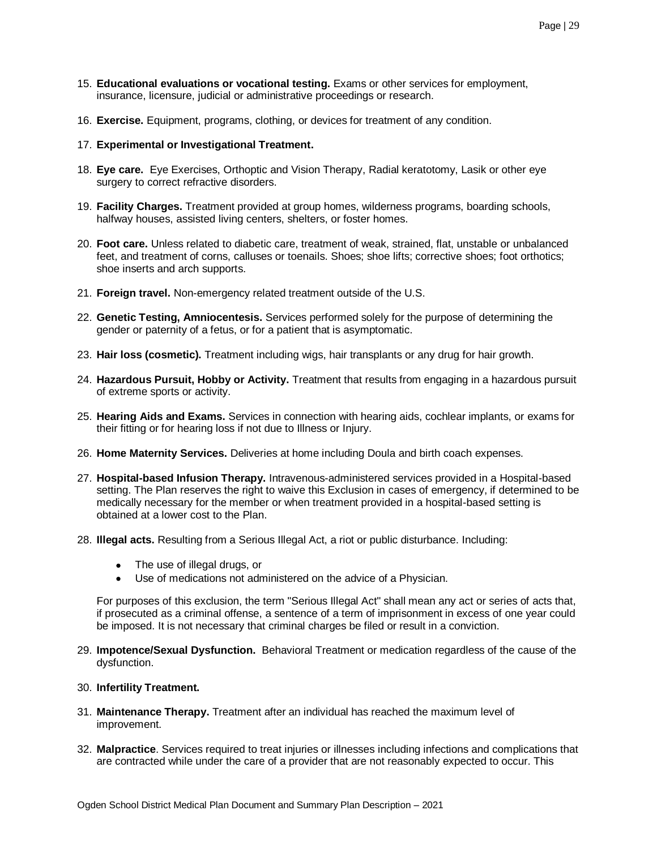- 15. **Educational evaluations or vocational testing.** Exams or other services for employment, insurance, licensure, judicial or administrative proceedings or research.
- 16. **Exercise.** Equipment, programs, clothing, or devices for treatment of any condition.
- 17. **Experimental or Investigational Treatment.**
- 18. **Eye care.** Eye Exercises, Orthoptic and Vision Therapy, Radial keratotomy, Lasik or other eye surgery to correct refractive disorders.
- 19. **Facility Charges.** Treatment provided at group homes, wilderness programs, boarding schools, halfway houses, assisted living centers, shelters, or foster homes.
- 20. **Foot care.** Unless related to diabetic care, treatment of weak, strained, flat, unstable or unbalanced feet, and treatment of corns, calluses or toenails. Shoes; shoe lifts; corrective shoes; foot orthotics; shoe inserts and arch supports.
- 21. **Foreign travel.** Non-emergency related treatment outside of the U.S.
- 22. **Genetic Testing, Amniocentesis.** Services performed solely for the purpose of determining the gender or paternity of a fetus, or for a patient that is asymptomatic.
- 23. **Hair loss (cosmetic).** Treatment including wigs, hair transplants or any drug for hair growth.
- 24. **Hazardous Pursuit, Hobby or Activity.** Treatment that results from engaging in a hazardous pursuit of extreme sports or activity.
- 25. **Hearing Aids and Exams.** Services in connection with hearing aids, cochlear implants, or exams for their fitting or for hearing loss if not due to Illness or Injury.
- 26. **Home Maternity Services.** Deliveries at home including Doula and birth coach expenses.
- 27. **Hospital-based Infusion Therapy.** Intravenous-administered services provided in a Hospital-based setting. The Plan reserves the right to waive this Exclusion in cases of emergency, if determined to be medically necessary for the member or when treatment provided in a hospital-based setting is obtained at a lower cost to the Plan.
- 28. **Illegal acts.** Resulting from a Serious Illegal Act, a riot or public disturbance. Including:
	- The use of illegal drugs, or
	- Use of medications not administered on the advice of a Physician.

For purposes of this exclusion, the term "Serious Illegal Act" shall mean any act or series of acts that, if prosecuted as a criminal offense, a sentence of a term of imprisonment in excess of one year could be imposed. It is not necessary that criminal charges be filed or result in a conviction.

- 29. **Impotence/Sexual Dysfunction.** Behavioral Treatment or medication regardless of the cause of the dysfunction.
- 30. **Infertility Treatment.**
- 31. **Maintenance Therapy.** Treatment after an individual has reached the maximum level of improvement.
- 32. **Malpractice**. Services required to treat injuries or illnesses including infections and complications that are contracted while under the care of a provider that are not reasonably expected to occur. This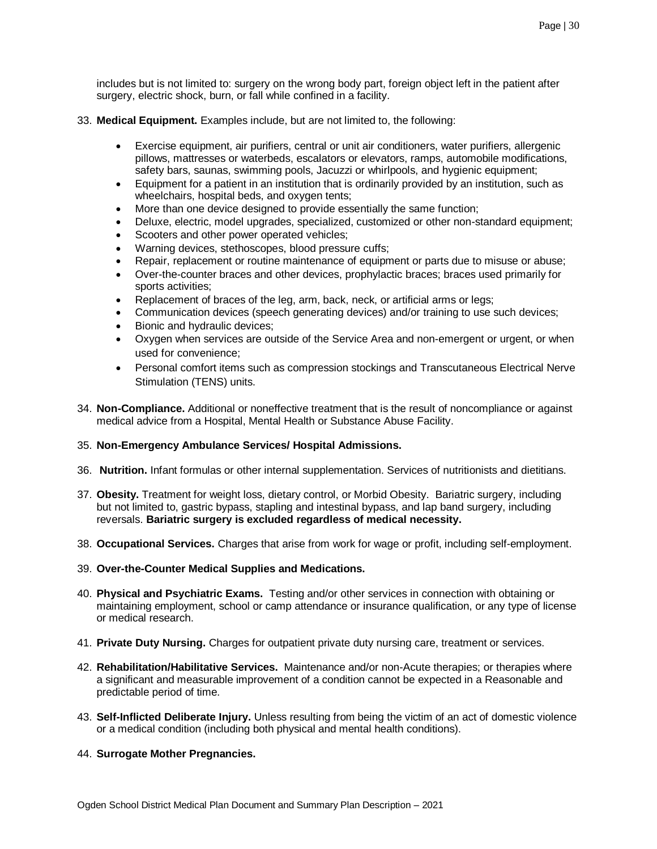includes but is not limited to: surgery on the wrong body part, foreign object left in the patient after surgery, electric shock, burn, or fall while confined in a facility.

- 33. **Medical Equipment.** Examples include, but are not limited to, the following:
	- Exercise equipment, air purifiers, central or unit air conditioners, water purifiers, allergenic pillows, mattresses or waterbeds, escalators or elevators, ramps, automobile modifications, safety bars, saunas, swimming pools, Jacuzzi or whirlpools, and hygienic equipment;
	- Equipment for a patient in an institution that is ordinarily provided by an institution, such as wheelchairs, hospital beds, and oxygen tents;
	- More than one device designed to provide essentially the same function;
	- Deluxe, electric, model upgrades, specialized, customized or other non-standard equipment;
	- Scooters and other power operated vehicles;
	- Warning devices, stethoscopes, blood pressure cuffs;
	- Repair, replacement or routine maintenance of equipment or parts due to misuse or abuse;
	- Over-the-counter braces and other devices, prophylactic braces; braces used primarily for sports activities;
	- Replacement of braces of the leg, arm, back, neck, or artificial arms or legs;
	- Communication devices (speech generating devices) and/or training to use such devices;
	- Bionic and hydraulic devices;
	- Oxygen when services are outside of the Service Area and non-emergent or urgent, or when used for convenience;
	- Personal comfort items such as compression stockings and Transcutaneous Electrical Nerve Stimulation (TENS) units.
- 34. **Non-Compliance.** Additional or noneffective treatment that is the result of noncompliance or against medical advice from a Hospital, Mental Health or Substance Abuse Facility.

## 35. **Non-Emergency Ambulance Services/ Hospital Admissions.**

- 36. **Nutrition.** Infant formulas or other internal supplementation. Services of nutritionists and dietitians.
- 37. **Obesity.** Treatment for weight loss, dietary control, or Morbid Obesity. Bariatric surgery, including but not limited to, gastric bypass, stapling and intestinal bypass, and lap band surgery, including reversals. **Bariatric surgery is excluded regardless of medical necessity.**
- 38. **Occupational Services.** Charges that arise from work for wage or profit, including self-employment.
- 39. **Over-the-Counter Medical Supplies and Medications.**
- 40. **Physical and Psychiatric Exams.** Testing and/or other services in connection with obtaining or maintaining employment, school or camp attendance or insurance qualification, or any type of license or medical research.
- 41. **Private Duty Nursing.** Charges for outpatient private duty nursing care, treatment or services.
- 42. **Rehabilitation/Habilitative Services.** Maintenance and/or non-Acute therapies; or therapies where a significant and measurable improvement of a condition cannot be expected in a Reasonable and predictable period of time.
- 43. **Self-Inflicted Deliberate Injury.** Unless resulting from being the victim of an act of domestic violence or a medical condition (including both physical and mental health conditions).
- 44. **Surrogate Mother Pregnancies.**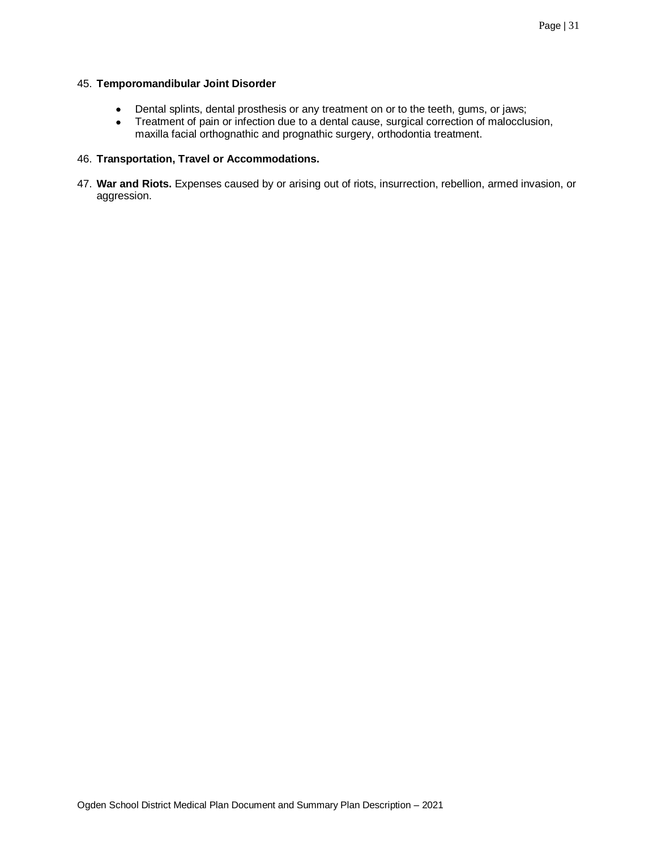## 45. **Temporomandibular Joint Disorder**

- Dental splints, dental prosthesis or any treatment on or to the teeth, gums, or jaws;
- Treatment of pain or infection due to a dental cause, surgical correction of malocclusion, maxilla facial orthognathic and prognathic surgery, orthodontia treatment.

## 46. **Transportation, Travel or Accommodations.**

47. **War and Riots.** Expenses caused by or arising out of riots, insurrection, rebellion, armed invasion, or aggression.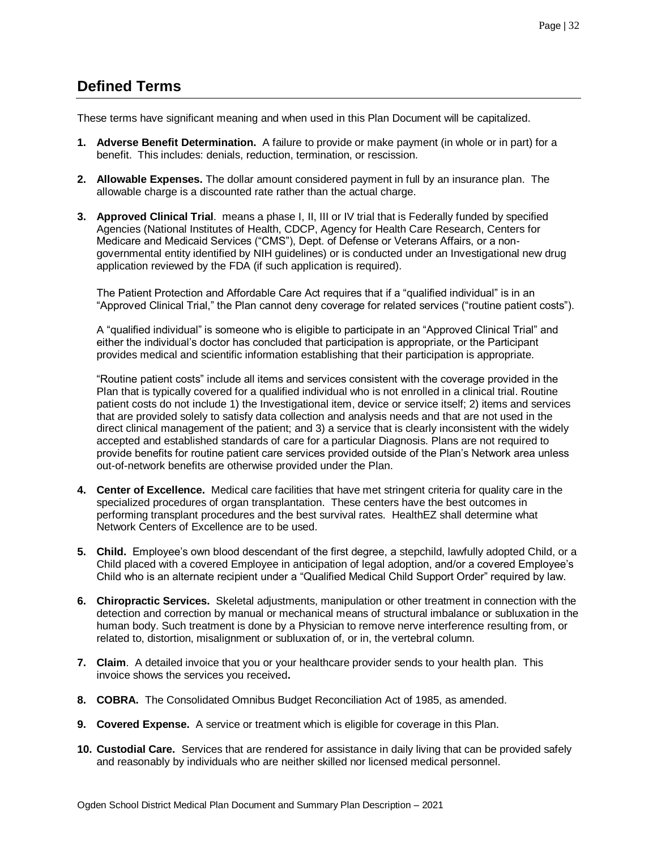## <span id="page-31-0"></span>**Defined Terms**

These terms have significant meaning and when used in this Plan Document will be capitalized.

- **1. Adverse Benefit Determination.** A failure to provide or make payment (in whole or in part) for a benefit. This includes: denials, reduction, termination, or rescission.
- **2. Allowable Expenses.** The dollar amount considered payment in full by an insurance plan. The allowable charge is a discounted rate rather than the actual charge.
- **3. Approved Clinical Trial**. means a phase I, II, III or IV trial that is Federally funded by specified Agencies (National Institutes of Health, CDCP, Agency for Health Care Research, Centers for Medicare and Medicaid Services ("CMS"), Dept. of Defense or Veterans Affairs, or a nongovernmental entity identified by NIH guidelines) or is conducted under an Investigational new drug application reviewed by the FDA (if such application is required).

The Patient Protection and Affordable Care Act requires that if a "qualified individual" is in an "Approved Clinical Trial," the Plan cannot deny coverage for related services ("routine patient costs").

A "qualified individual" is someone who is eligible to participate in an "Approved Clinical Trial" and either the individual's doctor has concluded that participation is appropriate, or the Participant provides medical and scientific information establishing that their participation is appropriate.

"Routine patient costs" include all items and services consistent with the coverage provided in the Plan that is typically covered for a qualified individual who is not enrolled in a clinical trial. Routine patient costs do not include 1) the Investigational item, device or service itself; 2) items and services that are provided solely to satisfy data collection and analysis needs and that are not used in the direct clinical management of the patient; and 3) a service that is clearly inconsistent with the widely accepted and established standards of care for a particular Diagnosis. Plans are not required to provide benefits for routine patient care services provided outside of the Plan's Network area unless out-of-network benefits are otherwise provided under the Plan.

- **4. Center of Excellence.** Medical care facilities that have met stringent criteria for quality care in the specialized procedures of organ transplantation. These centers have the best outcomes in performing transplant procedures and the best survival rates. HealthEZ shall determine what Network Centers of Excellence are to be used.
- **5. Child.** Employee's own blood descendant of the first degree, a stepchild, lawfully adopted Child, or a Child placed with a covered Employee in anticipation of legal adoption, and/or a covered Employee's Child who is an alternate recipient under a "Qualified Medical Child Support Order" required by law.
- **6. Chiropractic Services.** Skeletal adjustments, manipulation or other treatment in connection with the detection and correction by manual or mechanical means of structural imbalance or subluxation in the human body. Such treatment is done by a Physician to remove nerve interference resulting from, or related to, distortion, misalignment or subluxation of, or in, the vertebral column.
- **7. Claim**. A detailed invoice that you or your healthcare provider sends to your health plan. This invoice shows the services you received**.**
- **8. COBRA.** The Consolidated Omnibus Budget Reconciliation Act of 1985, as amended.
- **9. Covered Expense.** A service or treatment which is eligible for coverage in this Plan.
- **10. Custodial Care.** Services that are rendered for assistance in daily living that can be provided safely and reasonably by individuals who are neither skilled nor licensed medical personnel.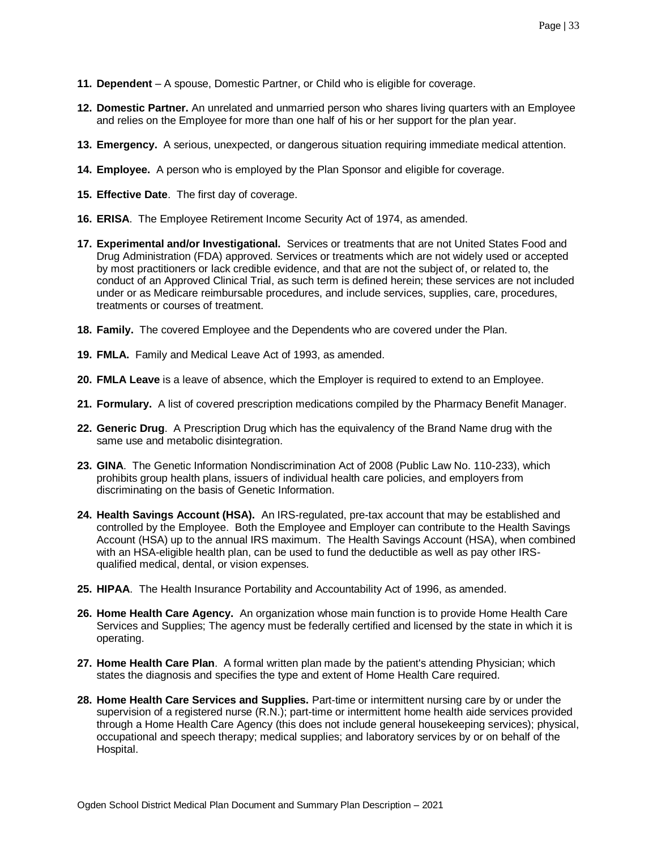- **11. Dependent** A spouse, Domestic Partner, or Child who is eligible for coverage.
- **12. Domestic Partner.** An unrelated and unmarried person who shares living quarters with an Employee and relies on the Employee for more than one half of his or her support for the plan year.
- **13. Emergency.** A serious, unexpected, or dangerous situation requiring immediate medical attention.
- **14. Employee.** A person who is employed by the Plan Sponsor and eligible for coverage.
- **15. Effective Date**. The first day of coverage.
- **16. ERISA**. The Employee Retirement Income Security Act of 1974, as amended.
- **17. Experimental and/or Investigational.** Services or treatments that are not United States Food and Drug Administration (FDA) approved. Services or treatments which are not widely used or accepted by most practitioners or lack credible evidence, and that are not the subject of, or related to, the conduct of an Approved Clinical Trial, as such term is defined herein; these services are not included under or as Medicare reimbursable procedures, and include services, supplies, care, procedures, treatments or courses of treatment.
- **18. Family.** The covered Employee and the Dependents who are covered under the Plan.
- **19. FMLA.** Family and Medical Leave Act of 1993, as amended.
- **20. FMLA Leave** is a leave of absence, which the Employer is required to extend to an Employee.
- **21. Formulary.** A list of covered prescription medications compiled by the Pharmacy Benefit Manager.
- **22. Generic Drug**. A Prescription Drug which has the equivalency of the Brand Name drug with the same use and metabolic disintegration.
- **23. GINA**. The Genetic Information Nondiscrimination Act of 2008 (Public Law No. 110-233), which prohibits group health plans, issuers of individual health care policies, and employers from discriminating on the basis of Genetic Information.
- **24. Health Savings Account (HSA).** An IRS-regulated, pre-tax account that may be established and controlled by the Employee. Both the Employee and Employer can contribute to the Health Savings Account (HSA) up to the annual IRS maximum. The Health Savings Account (HSA), when combined with an HSA-eligible health plan, can be used to fund the deductible as well as pay other IRSqualified medical, dental, or vision expenses.
- **25. HIPAA**. The Health Insurance Portability and Accountability Act of 1996, as amended.
- **26. Home Health Care Agency.** An organization whose main function is to provide Home Health Care Services and Supplies; The agency must be federally certified and licensed by the state in which it is operating.
- **27. Home Health Care Plan**. A formal written plan made by the patient's attending Physician; which states the diagnosis and specifies the type and extent of Home Health Care required.
- **28. Home Health Care Services and Supplies.** Part-time or intermittent nursing care by or under the supervision of a registered nurse (R.N.); part-time or intermittent home health aide services provided through a Home Health Care Agency (this does not include general housekeeping services); physical, occupational and speech therapy; medical supplies; and laboratory services by or on behalf of the Hospital.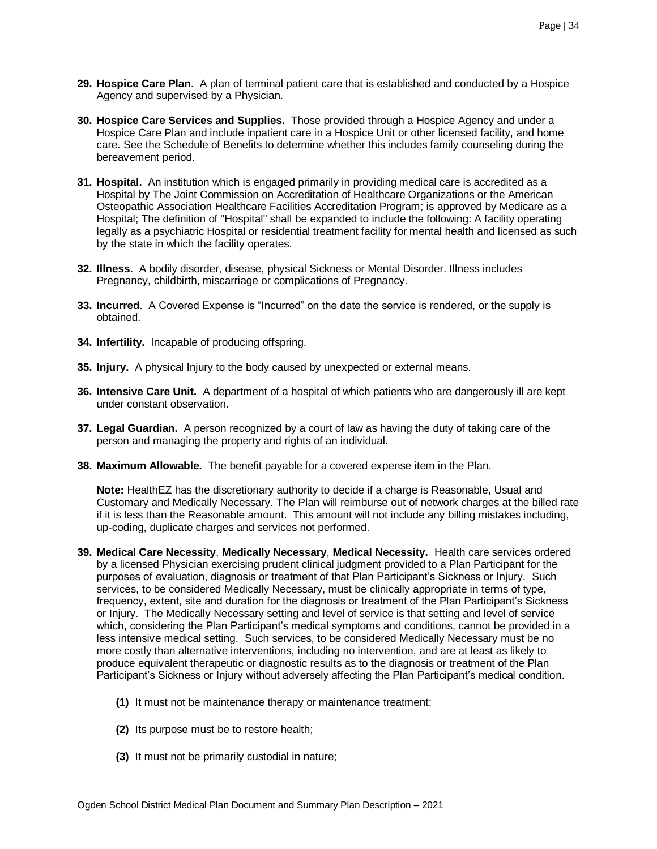- **29. Hospice Care Plan**. A plan of terminal patient care that is established and conducted by a Hospice Agency and supervised by a Physician.
- **30. Hospice Care Services and Supplies.** Those provided through a Hospice Agency and under a Hospice Care Plan and include inpatient care in a Hospice Unit or other licensed facility, and home care. See the Schedule of Benefits to determine whether this includes family counseling during the bereavement period.
- **31. Hospital.** An institution which is engaged primarily in providing medical care is accredited as a Hospital by The Joint Commission on Accreditation of Healthcare Organizations or the American Osteopathic Association Healthcare Facilities Accreditation Program; is approved by Medicare as a Hospital; The definition of "Hospital" shall be expanded to include the following: A facility operating legally as a psychiatric Hospital or residential treatment facility for mental health and licensed as such by the state in which the facility operates.
- **32. Illness.** A bodily disorder, disease, physical Sickness or Mental Disorder. Illness includes Pregnancy, childbirth, miscarriage or complications of Pregnancy.
- **33. Incurred**. A Covered Expense is "Incurred" on the date the service is rendered, or the supply is obtained.
- **34. Infertility.** Incapable of producing offspring.
- **35. Injury.** A physical Injury to the body caused by unexpected or external means.
- **36. Intensive Care Unit.** A department of a hospital of which patients who are dangerously ill are kept under constant observation.
- **37. Legal Guardian.** A person recognized by a court of law as having the duty of taking care of the person and managing the property and rights of an individual.
- **38. Maximum Allowable.** The benefit payable for a covered expense item in the Plan.

**Note:** HealthEZ has the discretionary authority to decide if a charge is Reasonable, Usual and Customary and Medically Necessary. The Plan will reimburse out of network charges at the billed rate if it is less than the Reasonable amount. This amount will not include any billing mistakes including, up-coding, duplicate charges and services not performed.

- **39. Medical Care Necessity**, **Medically Necessary**, **Medical Necessity.** Health care services ordered by a licensed Physician exercising prudent clinical judgment provided to a Plan Participant for the purposes of evaluation, diagnosis or treatment of that Plan Participant's Sickness or Injury. Such services, to be considered Medically Necessary, must be clinically appropriate in terms of type, frequency, extent, site and duration for the diagnosis or treatment of the Plan Participant's Sickness or Injury. The Medically Necessary setting and level of service is that setting and level of service which, considering the Plan Participant's medical symptoms and conditions, cannot be provided in a less intensive medical setting. Such services, to be considered Medically Necessary must be no more costly than alternative interventions, including no intervention, and are at least as likely to produce equivalent therapeutic or diagnostic results as to the diagnosis or treatment of the Plan Participant's Sickness or Injury without adversely affecting the Plan Participant's medical condition.
	- **(1)** It must not be maintenance therapy or maintenance treatment;
	- **(2)** Its purpose must be to restore health;
	- **(3)** It must not be primarily custodial in nature;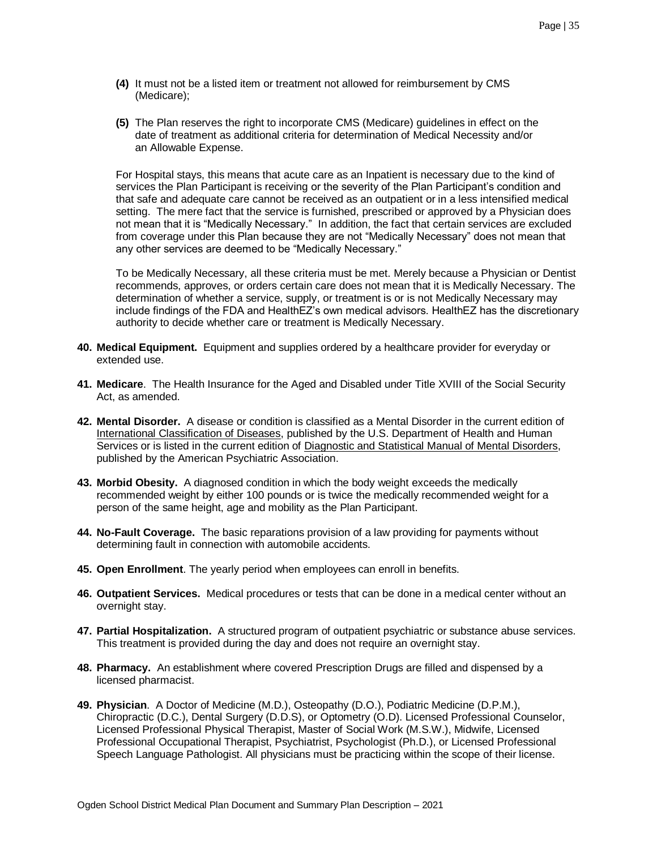- **(4)** It must not be a listed item or treatment not allowed for reimbursement by CMS (Medicare);
- **(5)** The Plan reserves the right to incorporate CMS (Medicare) guidelines in effect on the date of treatment as additional criteria for determination of Medical Necessity and/or an Allowable Expense.

For Hospital stays, this means that acute care as an Inpatient is necessary due to the kind of services the Plan Participant is receiving or the severity of the Plan Participant's condition and that safe and adequate care cannot be received as an outpatient or in a less intensified medical setting. The mere fact that the service is furnished, prescribed or approved by a Physician does not mean that it is "Medically Necessary." In addition, the fact that certain services are excluded from coverage under this Plan because they are not "Medically Necessary" does not mean that any other services are deemed to be "Medically Necessary."

To be Medically Necessary, all these criteria must be met. Merely because a Physician or Dentist recommends, approves, or orders certain care does not mean that it is Medically Necessary. The determination of whether a service, supply, or treatment is or is not Medically Necessary may include findings of the FDA and HealthEZ's own medical advisors. HealthEZ has the discretionary authority to decide whether care or treatment is Medically Necessary.

- **40. Medical Equipment.** Equipment and supplies ordered by a healthcare provider for everyday or extended use.
- **41. Medicare**. The Health Insurance for the Aged and Disabled under Title XVIII of the Social Security Act, as amended.
- **42. Mental Disorder.** A disease or condition is classified as a Mental Disorder in the current edition of International Classification of Diseases, published by the U.S. Department of Health and Human Services or is listed in the current edition of Diagnostic and Statistical Manual of Mental Disorders, published by the American Psychiatric Association.
- **43. Morbid Obesity.** A diagnosed condition in which the body weight exceeds the medically recommended weight by either 100 pounds or is twice the medically recommended weight for a person of the same height, age and mobility as the Plan Participant.
- **44. No-Fault Coverage.** The basic reparations provision of a law providing for payments without determining fault in connection with automobile accidents.
- **45. Open Enrollment**. The yearly period when employees can enroll in benefits.
- **46. Outpatient Services.** Medical procedures or tests that can be done in a medical center without an overnight stay.
- **47. Partial Hospitalization.** A structured program of outpatient psychiatric or substance abuse services. This treatment is provided during the day and does not require an overnight stay.
- **48. Pharmacy.** An establishment where covered Prescription Drugs are filled and dispensed by a licensed pharmacist.
- **49. Physician**. A Doctor of Medicine (M.D.), Osteopathy (D.O.), Podiatric Medicine (D.P.M.), Chiropractic (D.C.), Dental Surgery (D.D.S), or Optometry (O.D). Licensed Professional Counselor, Licensed Professional Physical Therapist, Master of Social Work (M.S.W.), Midwife, Licensed Professional Occupational Therapist, Psychiatrist, Psychologist (Ph.D.), or Licensed Professional Speech Language Pathologist. All physicians must be practicing within the scope of their license.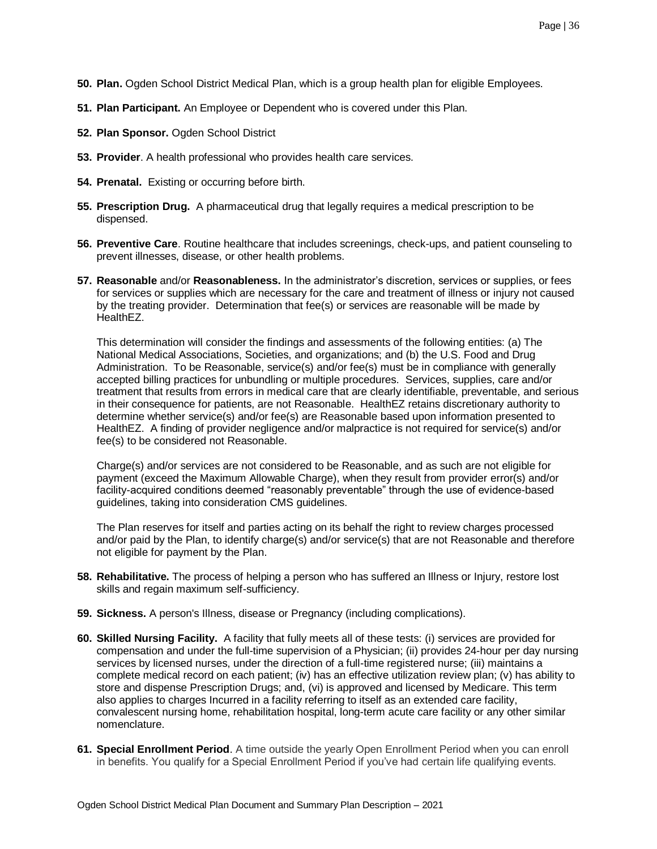- **50. Plan.** Ogden School District Medical Plan, which is a group health plan for eligible Employees.
- **51. Plan Participant.** An Employee or Dependent who is covered under this Plan.
- **52. Plan Sponsor.** Ogden School District
- **53. Provider**. A health professional who provides health care services.
- **54. Prenatal.** Existing or occurring before birth.
- **55. Prescription Drug.** A pharmaceutical drug that legally requires a medical prescription to be dispensed.
- **56. Preventive Care**. Routine healthcare that includes screenings, check-ups, and patient counseling to prevent illnesses, disease, or other health problems.
- **57. Reasonable** and/or **Reasonableness.** In the administrator's discretion, services or supplies, or fees for services or supplies which are necessary for the care and treatment of illness or injury not caused by the treating provider. Determination that fee(s) or services are reasonable will be made by HealthEZ.

This determination will consider the findings and assessments of the following entities: (a) The National Medical Associations, Societies, and organizations; and (b) the U.S. Food and Drug Administration. To be Reasonable, service(s) and/or fee(s) must be in compliance with generally accepted billing practices for unbundling or multiple procedures. Services, supplies, care and/or treatment that results from errors in medical care that are clearly identifiable, preventable, and serious in their consequence for patients, are not Reasonable. HealthEZ retains discretionary authority to determine whether service(s) and/or fee(s) are Reasonable based upon information presented to HealthEZ. A finding of provider negligence and/or malpractice is not required for service(s) and/or fee(s) to be considered not Reasonable.

Charge(s) and/or services are not considered to be Reasonable, and as such are not eligible for payment (exceed the Maximum Allowable Charge), when they result from provider error(s) and/or facility-acquired conditions deemed "reasonably preventable" through the use of evidence-based guidelines, taking into consideration CMS guidelines.

The Plan reserves for itself and parties acting on its behalf the right to review charges processed and/or paid by the Plan, to identify charge(s) and/or service(s) that are not Reasonable and therefore not eligible for payment by the Plan.

- **58. Rehabilitative.** The process of helping a person who has suffered an Illness or Injury, restore lost skills and regain maximum self-sufficiency.
- **59. Sickness.** A person's Illness, disease or Pregnancy (including complications).
- **60. Skilled Nursing Facility.** A facility that fully meets all of these tests: (i) services are provided for compensation and under the full-time supervision of a Physician; (ii) provides 24-hour per day nursing services by licensed nurses, under the direction of a full-time registered nurse; (iii) maintains a complete medical record on each patient; (iv) has an effective utilization review plan; (v) has ability to store and dispense Prescription Drugs; and, (vi) is approved and licensed by Medicare. This term also applies to charges Incurred in a facility referring to itself as an extended care facility, convalescent nursing home, rehabilitation hospital, long-term acute care facility or any other similar nomenclature.
- **61. Special Enrollment Period**. A time outside the yearly Open Enrollment Period when you can enroll in benefits. You qualify for a Special Enrollment Period if you've had certain life qualifying events.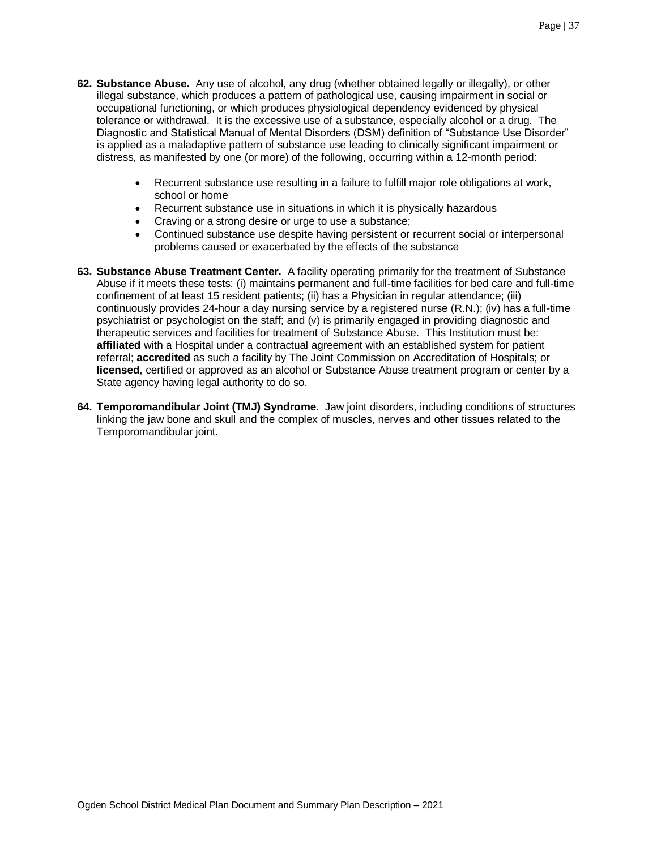- **62. Substance Abuse.** Any use of alcohol, any drug (whether obtained legally or illegally), or other illegal substance, which produces a pattern of pathological use, causing impairment in social or occupational functioning, or which produces physiological dependency evidenced by physical tolerance or withdrawal. It is the excessive use of a substance, especially alcohol or a drug. The Diagnostic and Statistical Manual of Mental Disorders (DSM) definition of "Substance Use Disorder" is applied as a maladaptive pattern of substance use leading to clinically significant impairment or distress, as manifested by one (or more) of the following, occurring within a 12-month period:
	- Recurrent substance use resulting in a failure to fulfill major role obligations at work, school or home
	- Recurrent substance use in situations in which it is physically hazardous
	- Craving or a strong desire or urge to use a substance;
	- Continued substance use despite having persistent or recurrent social or interpersonal problems caused or exacerbated by the effects of the substance
- **63. Substance Abuse Treatment Center.** A facility operating primarily for the treatment of Substance Abuse if it meets these tests: (i) maintains permanent and full-time facilities for bed care and full-time confinement of at least 15 resident patients; (ii) has a Physician in regular attendance; (iii) continuously provides 24-hour a day nursing service by a registered nurse (R.N.); (iv) has a full-time psychiatrist or psychologist on the staff; and (v) is primarily engaged in providing diagnostic and therapeutic services and facilities for treatment of Substance Abuse. This Institution must be: **affiliated** with a Hospital under a contractual agreement with an established system for patient referral; **accredited** as such a facility by The Joint Commission on Accreditation of Hospitals; or **licensed**, certified or approved as an alcohol or Substance Abuse treatment program or center by a State agency having legal authority to do so.
- **64. Temporomandibular Joint (TMJ) Syndrome**. Jaw joint disorders, including conditions of structures linking the jaw bone and skull and the complex of muscles, nerves and other tissues related to the Temporomandibular joint.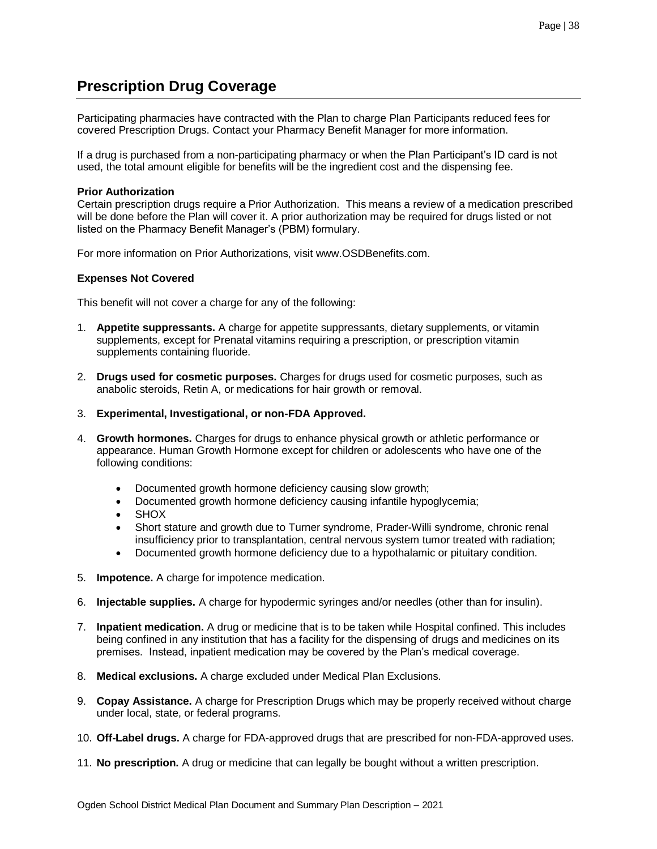## <span id="page-37-0"></span>**Prescription Drug Coverage**

Participating pharmacies have contracted with the Plan to charge Plan Participants reduced fees for covered Prescription Drugs. Contact your Pharmacy Benefit Manager for more information.

If a drug is purchased from a non-participating pharmacy or when the Plan Participant's ID card is not used, the total amount eligible for benefits will be the ingredient cost and the dispensing fee.

## **Prior Authorization**

Certain prescription drugs require a Prior Authorization. This means a review of a medication prescribed will be done before the Plan will cover it. A prior authorization may be required for drugs listed or not listed on the Pharmacy Benefit Manager's (PBM) formulary.

For more information on Prior Authorizations, visit www.OSDBenefits.com.

## **Expenses Not Covered**

This benefit will not cover a charge for any of the following:

- 1. **Appetite suppressants.** A charge for appetite suppressants, dietary supplements, or vitamin supplements, except for Prenatal vitamins requiring a prescription, or prescription vitamin supplements containing fluoride.
- 2. **Drugs used for cosmetic purposes.** Charges for drugs used for cosmetic purposes, such as anabolic steroids, Retin A, or medications for hair growth or removal.
- 3. **Experimental, Investigational, or non-FDA Approved.**
- 4. **Growth hormones.** Charges for drugs to enhance physical growth or athletic performance or appearance. Human Growth Hormone except for children or adolescents who have one of the following conditions:
	- Documented growth hormone deficiency causing slow growth;
	- Documented growth hormone deficiency causing infantile hypoglycemia;
	- **SHOX**
	- Short stature and growth due to Turner syndrome, Prader-Willi syndrome, chronic renal insufficiency prior to transplantation, central nervous system tumor treated with radiation;
	- Documented growth hormone deficiency due to a hypothalamic or pituitary condition.
- 5. **Impotence.** A charge for impotence medication.
- 6. **Injectable supplies.** A charge for hypodermic syringes and/or needles (other than for insulin).
- 7. **Inpatient medication.** A drug or medicine that is to be taken while Hospital confined. This includes being confined in any institution that has a facility for the dispensing of drugs and medicines on its premises. Instead, inpatient medication may be covered by the Plan's medical coverage.
- 8. **Medical exclusions.** A charge excluded under Medical Plan Exclusions.
- 9. **Copay Assistance.** A charge for Prescription Drugs which may be properly received without charge under local, state, or federal programs.
- 10. **Off-Label drugs.** A charge for FDA-approved drugs that are prescribed for non-FDA-approved uses.
- 11. **No prescription.** A drug or medicine that can legally be bought without a written prescription.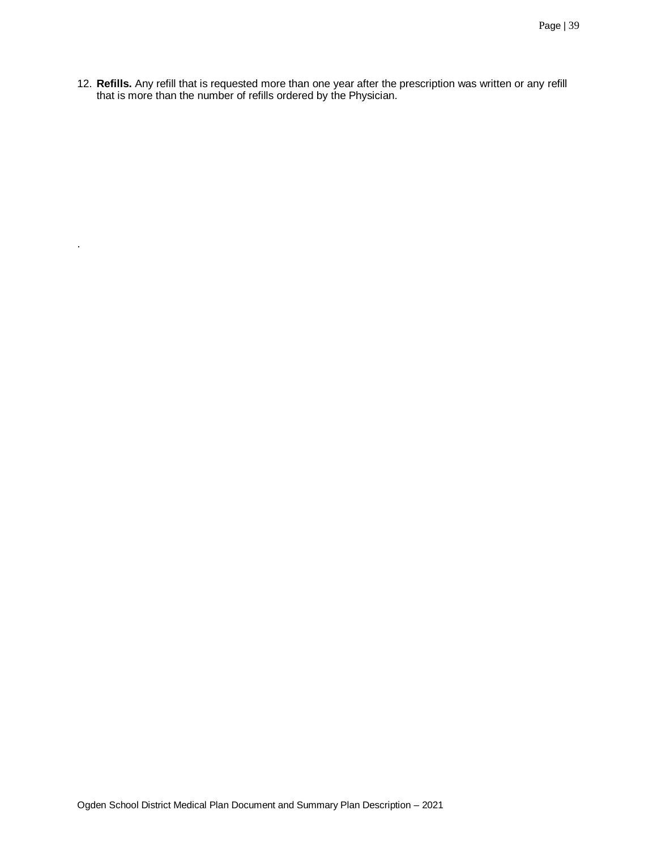12. **Refills.** Any refill that is requested more than one year after the prescription was written or any refill that is more than the number of refills ordered by the Physician.

.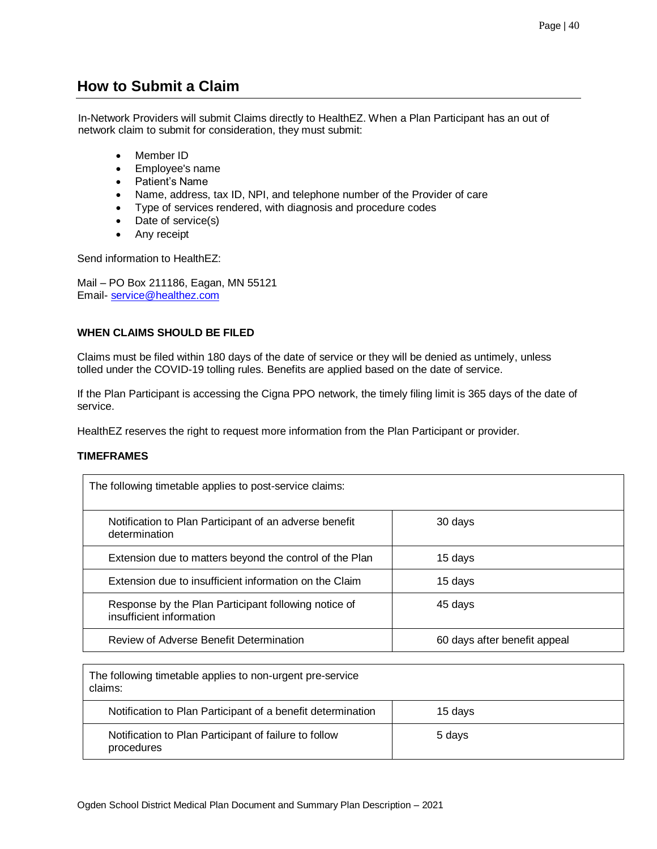## <span id="page-39-0"></span>**How to Submit a Claim**

In-Network Providers will submit Claims directly to HealthEZ. When a Plan Participant has an out of network claim to submit for consideration, they must submit:

- Member ID
- Employee's name
- Patient's Name
- Name, address, tax ID, NPI, and telephone number of the Provider of care
- Type of services rendered, with diagnosis and procedure codes
- Date of service(s)
- Any receipt

Send information to HealthEZ:

Mail – PO Box 211186, Eagan, MN 55121 Email- [service@healthez.com](mailto:service@healthez.com)

## **WHEN CLAIMS SHOULD BE FILED**

Claims must be filed within 180 days of the date of service or they will be denied as untimely, unless tolled under the COVID-19 tolling rules. Benefits are applied based on the date of service.

If the Plan Participant is accessing the Cigna PPO network, the timely filing limit is 365 days of the date of service.

HealthEZ reserves the right to request more information from the Plan Participant or provider.

## **TIMEFRAMES**

| The following timetable applies to post-service claims:                          |                              |
|----------------------------------------------------------------------------------|------------------------------|
| Notification to Plan Participant of an adverse benefit<br>determination          | 30 days                      |
| Extension due to matters beyond the control of the Plan                          | 15 days                      |
| Extension due to insufficient information on the Claim                           | 15 days                      |
| Response by the Plan Participant following notice of<br>insufficient information | 45 days                      |
| Review of Adverse Benefit Determination                                          | 60 days after benefit appeal |

The following timetable applies to non-urgent pre-service claims: Notification to Plan Participant of a benefit determination 15 days Notification to Plan Participant of failure to follow procedures 5 days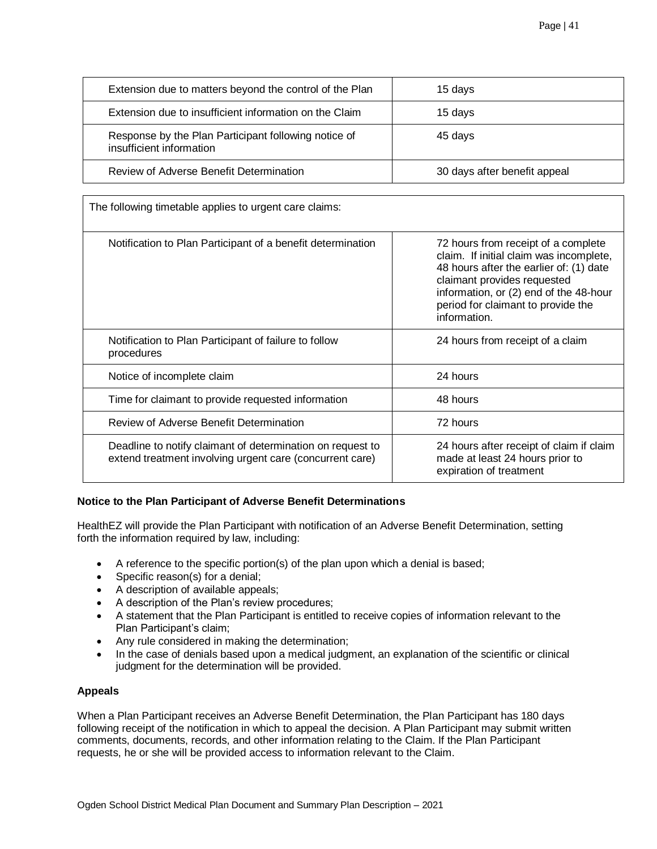| Extension due to matters beyond the control of the Plan                          | 15 days                      |
|----------------------------------------------------------------------------------|------------------------------|
| Extension due to insufficient information on the Claim                           | 15 days                      |
| Response by the Plan Participant following notice of<br>insufficient information | 45 days                      |
| Review of Adverse Benefit Determination                                          | 30 days after benefit appeal |

| The following timetable applies to urgent care claims:                                                                 |                                                                                                                                                                                                                                                          |
|------------------------------------------------------------------------------------------------------------------------|----------------------------------------------------------------------------------------------------------------------------------------------------------------------------------------------------------------------------------------------------------|
| Notification to Plan Participant of a benefit determination                                                            | 72 hours from receipt of a complete<br>claim. If initial claim was incomplete,<br>48 hours after the earlier of: (1) date<br>claimant provides requested<br>information, or (2) end of the 48-hour<br>period for claimant to provide the<br>information. |
| Notification to Plan Participant of failure to follow<br>procedures                                                    | 24 hours from receipt of a claim                                                                                                                                                                                                                         |
| Notice of incomplete claim                                                                                             | 24 hours                                                                                                                                                                                                                                                 |
| Time for claimant to provide requested information                                                                     | 48 hours                                                                                                                                                                                                                                                 |
| Review of Adverse Benefit Determination                                                                                | 72 hours                                                                                                                                                                                                                                                 |
| Deadline to notify claimant of determination on request to<br>extend treatment involving urgent care (concurrent care) | 24 hours after receipt of claim if claim<br>made at least 24 hours prior to<br>expiration of treatment                                                                                                                                                   |

## **Notice to the Plan Participant of Adverse Benefit Determinations**

HealthEZ will provide the Plan Participant with notification of an Adverse Benefit Determination, setting forth the information required by law, including:

- A reference to the specific portion(s) of the plan upon which a denial is based;
- Specific reason(s) for a denial;
- A description of available appeals;
- A description of the Plan's review procedures;
- A statement that the Plan Participant is entitled to receive copies of information relevant to the Plan Participant's claim;
- Any rule considered in making the determination;
- In the case of denials based upon a medical judgment, an explanation of the scientific or clinical judgment for the determination will be provided.

## **Appeals**

When a Plan Participant receives an Adverse Benefit Determination, the Plan Participant has 180 days following receipt of the notification in which to appeal the decision. A Plan Participant may submit written comments, documents, records, and other information relating to the Claim. If the Plan Participant requests, he or she will be provided access to information relevant to the Claim.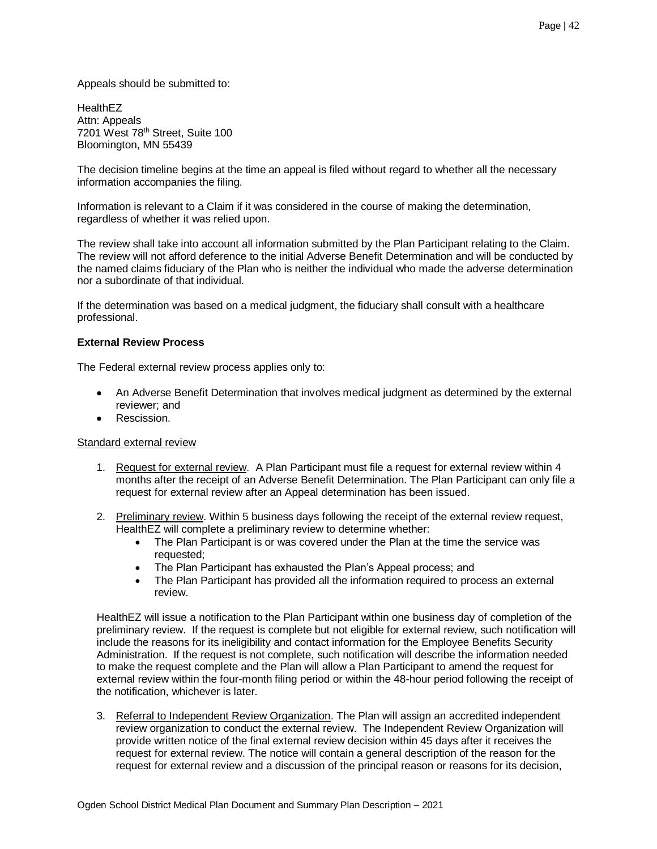Appeals should be submitted to:

**HealthEZ** Attn: Appeals 7201 West 78<sup>th</sup> Street, Suite 100 Bloomington, MN 55439

The decision timeline begins at the time an appeal is filed without regard to whether all the necessary information accompanies the filing.

Information is relevant to a Claim if it was considered in the course of making the determination, regardless of whether it was relied upon.

The review shall take into account all information submitted by the Plan Participant relating to the Claim. The review will not afford deference to the initial Adverse Benefit Determination and will be conducted by the named claims fiduciary of the Plan who is neither the individual who made the adverse determination nor a subordinate of that individual.

If the determination was based on a medical judgment, the fiduciary shall consult with a healthcare professional.

## **External Review Process**

The Federal external review process applies only to:

- An Adverse Benefit Determination that involves medical judgment as determined by the external reviewer; and
- Rescission.

## Standard external review

- 1. Request for external review. A Plan Participant must file a request for external review within 4 months after the receipt of an Adverse Benefit Determination. The Plan Participant can only file a request for external review after an Appeal determination has been issued.
- 2. Preliminary review. Within 5 business days following the receipt of the external review request, HealthEZ will complete a preliminary review to determine whether:
	- The Plan Participant is or was covered under the Plan at the time the service was requested;
	- The Plan Participant has exhausted the Plan's Appeal process; and
	- The Plan Participant has provided all the information required to process an external review.

HealthEZ will issue a notification to the Plan Participant within one business day of completion of the preliminary review. If the request is complete but not eligible for external review, such notification will include the reasons for its ineligibility and contact information for the Employee Benefits Security Administration. If the request is not complete, such notification will describe the information needed to make the request complete and the Plan will allow a Plan Participant to amend the request for external review within the four-month filing period or within the 48-hour period following the receipt of the notification, whichever is later.

3. Referral to Independent Review Organization. The Plan will assign an accredited independent review organization to conduct the external review. The Independent Review Organization will provide written notice of the final external review decision within 45 days after it receives the request for external review. The notice will contain a general description of the reason for the request for external review and a discussion of the principal reason or reasons for its decision,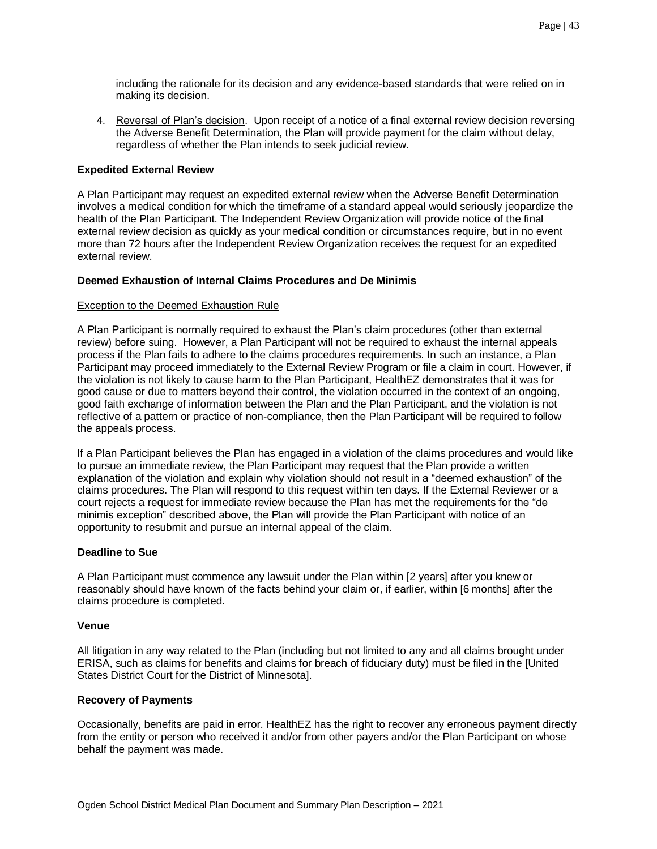including the rationale for its decision and any evidence-based standards that were relied on in making its decision.

4. Reversal of Plan's decision. Upon receipt of a notice of a final external review decision reversing the Adverse Benefit Determination, the Plan will provide payment for the claim without delay, regardless of whether the Plan intends to seek judicial review.

## **Expedited External Review**

A Plan Participant may request an expedited external review when the Adverse Benefit Determination involves a medical condition for which the timeframe of a standard appeal would seriously jeopardize the health of the Plan Participant. The Independent Review Organization will provide notice of the final external review decision as quickly as your medical condition or circumstances require, but in no event more than 72 hours after the Independent Review Organization receives the request for an expedited external review.

#### **Deemed Exhaustion of Internal Claims Procedures and De Minimis**

#### Exception to the Deemed Exhaustion Rule

A Plan Participant is normally required to exhaust the Plan's claim procedures (other than external review) before suing. However, a Plan Participant will not be required to exhaust the internal appeals process if the Plan fails to adhere to the claims procedures requirements. In such an instance, a Plan Participant may proceed immediately to the External Review Program or file a claim in court. However, if the violation is not likely to cause harm to the Plan Participant, HealthEZ demonstrates that it was for good cause or due to matters beyond their control, the violation occurred in the context of an ongoing, good faith exchange of information between the Plan and the Plan Participant, and the violation is not reflective of a pattern or practice of non-compliance, then the Plan Participant will be required to follow the appeals process.

If a Plan Participant believes the Plan has engaged in a violation of the claims procedures and would like to pursue an immediate review, the Plan Participant may request that the Plan provide a written explanation of the violation and explain why violation should not result in a "deemed exhaustion" of the claims procedures. The Plan will respond to this request within ten days. If the External Reviewer or a court rejects a request for immediate review because the Plan has met the requirements for the "de minimis exception" described above, the Plan will provide the Plan Participant with notice of an opportunity to resubmit and pursue an internal appeal of the claim.

## **Deadline to Sue**

A Plan Participant must commence any lawsuit under the Plan within [2 years] after you knew or reasonably should have known of the facts behind your claim or, if earlier, within [6 months] after the claims procedure is completed.

#### **Venue**

All litigation in any way related to the Plan (including but not limited to any and all claims brought under ERISA, such as claims for benefits and claims for breach of fiduciary duty) must be filed in the [United States District Court for the District of Minnesota].

#### **Recovery of Payments**

Occasionally, benefits are paid in error. HealthEZ has the right to recover any erroneous payment directly from the entity or person who received it and/or from other payers and/or the Plan Participant on whose behalf the payment was made.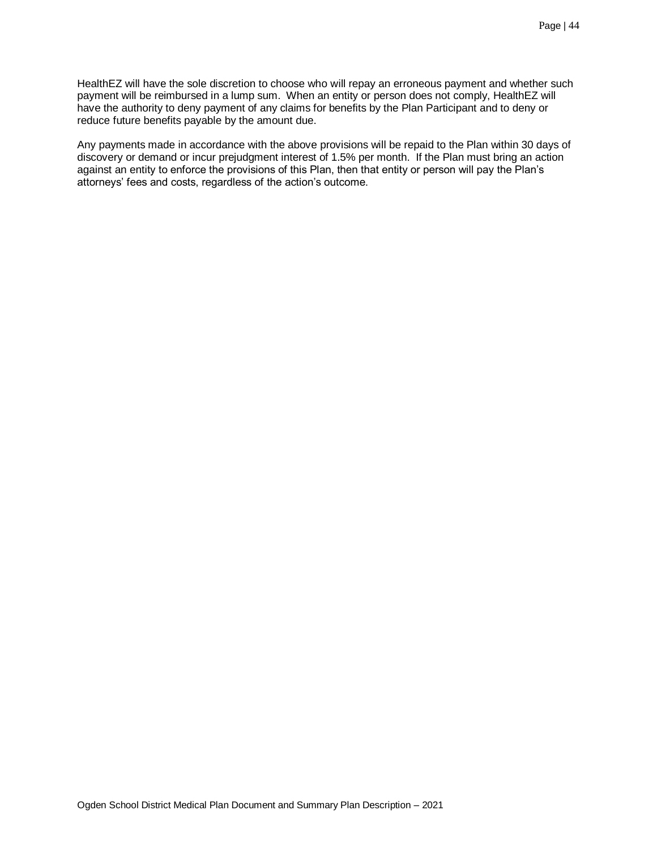HealthEZ will have the sole discretion to choose who will repay an erroneous payment and whether such payment will be reimbursed in a lump sum. When an entity or person does not comply, HealthEZ will have the authority to deny payment of any claims for benefits by the Plan Participant and to deny or reduce future benefits payable by the amount due.

<span id="page-43-0"></span>Any payments made in accordance with the above provisions will be repaid to the Plan within 30 days of discovery or demand or incur prejudgment interest of 1.5% per month. If the Plan must bring an action against an entity to enforce the provisions of this Plan, then that entity or person will pay the Plan's attorneys' fees and costs, regardless of the action's outcome.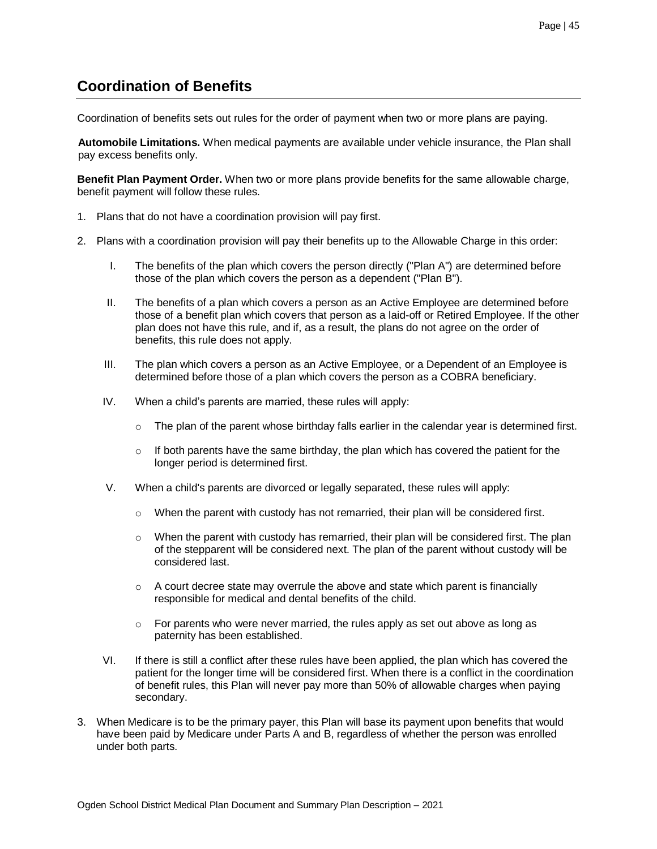## **Coordination of Benefits**

Coordination of benefits sets out rules for the order of payment when two or more plans are paying.

**Automobile Limitations.** When medical payments are available under vehicle insurance, the Plan shall pay excess benefits only.

**Benefit Plan Payment Order.** When two or more plans provide benefits for the same allowable charge, benefit payment will follow these rules.

- 1. Plans that do not have a coordination provision will pay first.
- 2. Plans with a coordination provision will pay their benefits up to the Allowable Charge in this order:
	- I. The benefits of the plan which covers the person directly ("Plan A") are determined before those of the plan which covers the person as a dependent ("Plan B").
	- II. The benefits of a plan which covers a person as an Active Employee are determined before those of a benefit plan which covers that person as a laid-off or Retired Employee. If the other plan does not have this rule, and if, as a result, the plans do not agree on the order of benefits, this rule does not apply.
	- III. The plan which covers a person as an Active Employee, or a Dependent of an Employee is determined before those of a plan which covers the person as a COBRA beneficiary.
	- IV. When a child's parents are married, these rules will apply:
		- $\circ$  The plan of the parent whose birthday falls earlier in the calendar year is determined first.
		- $\circ$  If both parents have the same birthday, the plan which has covered the patient for the longer period is determined first.
	- V. When a child's parents are divorced or legally separated, these rules will apply:
		- o When the parent with custody has not remarried, their plan will be considered first.
		- $\circ$  When the parent with custody has remarried, their plan will be considered first. The plan of the stepparent will be considered next. The plan of the parent without custody will be considered last.
		- $\circ$  A court decree state may overrule the above and state which parent is financially responsible for medical and dental benefits of the child.
		- $\circ$  For parents who were never married, the rules apply as set out above as long as paternity has been established.
	- VI. If there is still a conflict after these rules have been applied, the plan which has covered the patient for the longer time will be considered first. When there is a conflict in the coordination of benefit rules, this Plan will never pay more than 50% of allowable charges when paying secondary.
- 3. When Medicare is to be the primary payer, this Plan will base its payment upon benefits that would have been paid by Medicare under Parts A and B, regardless of whether the person was enrolled under both parts.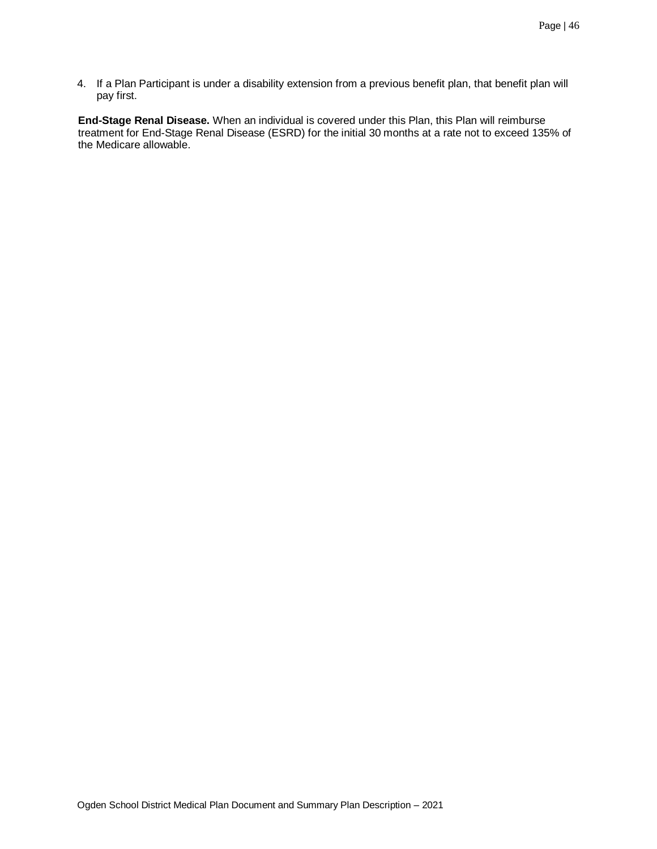4. If a Plan Participant is under a disability extension from a previous benefit plan, that benefit plan will pay first.

**End-Stage Renal Disease.** When an individual is covered under this Plan, this Plan will reimburse treatment for End-Stage Renal Disease (ESRD) for the initial 30 months at a rate not to exceed 135% of the Medicare allowable.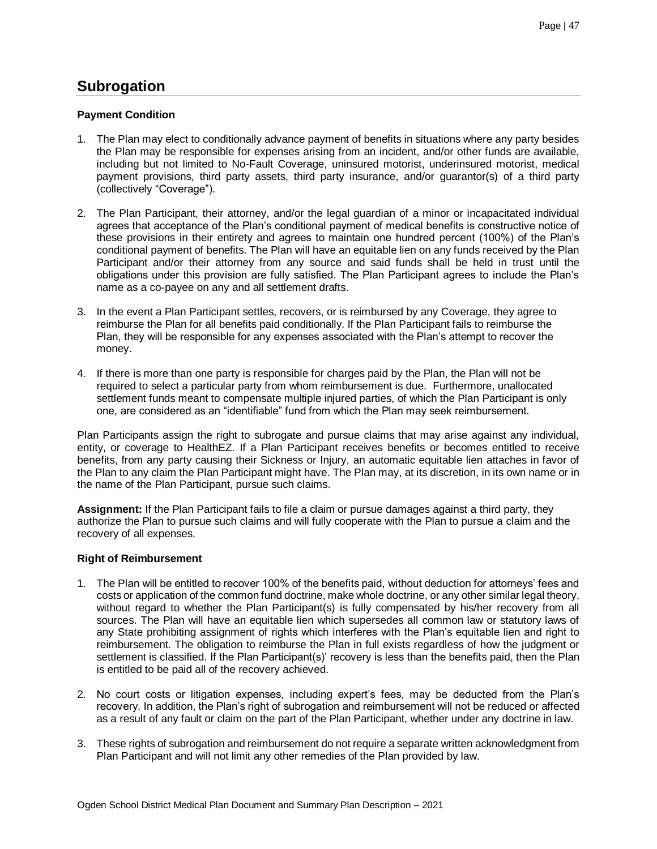## <span id="page-46-0"></span>**Subrogation**

## **Payment Condition**

- 1. The Plan may elect to conditionally advance payment of benefits in situations where any party besides the Plan may be responsible for expenses arising from an incident, and/or other funds are available, including but not limited to No-Fault Coverage, uninsured motorist, underinsured motorist, medical payment provisions, third party assets, third party insurance, and/or guarantor(s) of a third party (collectively "Coverage").
- 2. The Plan Participant, their attorney, and/or the legal guardian of a minor or incapacitated individual agrees that acceptance of the Plan's conditional payment of medical benefits is constructive notice of these provisions in their entirety and agrees to maintain one hundred percent (100%) of the Plan's conditional payment of benefits. The Plan will have an equitable lien on any funds received by the Plan Participant and/or their attorney from any source and said funds shall be held in trust until the obligations under this provision are fully satisfied. The Plan Participant agrees to include the Plan's name as a co-payee on any and all settlement drafts.
- 3. In the event a Plan Participant settles, recovers, or is reimbursed by any Coverage, they agree to reimburse the Plan for all benefits paid conditionally. If the Plan Participant fails to reimburse the Plan, they will be responsible for any expenses associated with the Plan's attempt to recover the money.
- 4. If there is more than one party is responsible for charges paid by the Plan, the Plan will not be required to select a particular party from whom reimbursement is due. Furthermore, unallocated settlement funds meant to compensate multiple injured parties, of which the Plan Participant is only one, are considered as an "identifiable" fund from which the Plan may seek reimbursement.

Plan Participants assign the right to subrogate and pursue claims that may arise against any individual, entity, or coverage to HealthEZ. If a Plan Participant receives benefits or becomes entitled to receive benefits, from any party causing their Sickness or Injury, an automatic equitable lien attaches in favor of the Plan to any claim the Plan Participant might have. The Plan may, at its discretion, in its own name or in the name of the Plan Participant, pursue such claims.

**Assignment:** If the Plan Participant fails to file a claim or pursue damages against a third party, they authorize the Plan to pursue such claims and will fully cooperate with the Plan to pursue a claim and the recovery of all expenses.

## **Right of Reimbursement**

- 1. The Plan will be entitled to recover 100% of the benefits paid, without deduction for attorneys' fees and costs or application of the common fund doctrine, make whole doctrine, or any other similar legal theory, without regard to whether the Plan Participant(s) is fully compensated by his/her recovery from all sources. The Plan will have an equitable lien which supersedes all common law or statutory laws of any State prohibiting assignment of rights which interferes with the Plan's equitable lien and right to reimbursement. The obligation to reimburse the Plan in full exists regardless of how the judgment or settlement is classified. If the Plan Participant(s)' recovery is less than the benefits paid, then the Plan is entitled to be paid all of the recovery achieved.
- 2. No court costs or litigation expenses, including expert's fees, may be deducted from the Plan's recovery. In addition, the Plan's right of subrogation and reimbursement will not be reduced or affected as a result of any fault or claim on the part of the Plan Participant, whether under any doctrine in law.
- 3. These rights of subrogation and reimbursement do not require a separate written acknowledgment from Plan Participant and will not limit any other remedies of the Plan provided by law.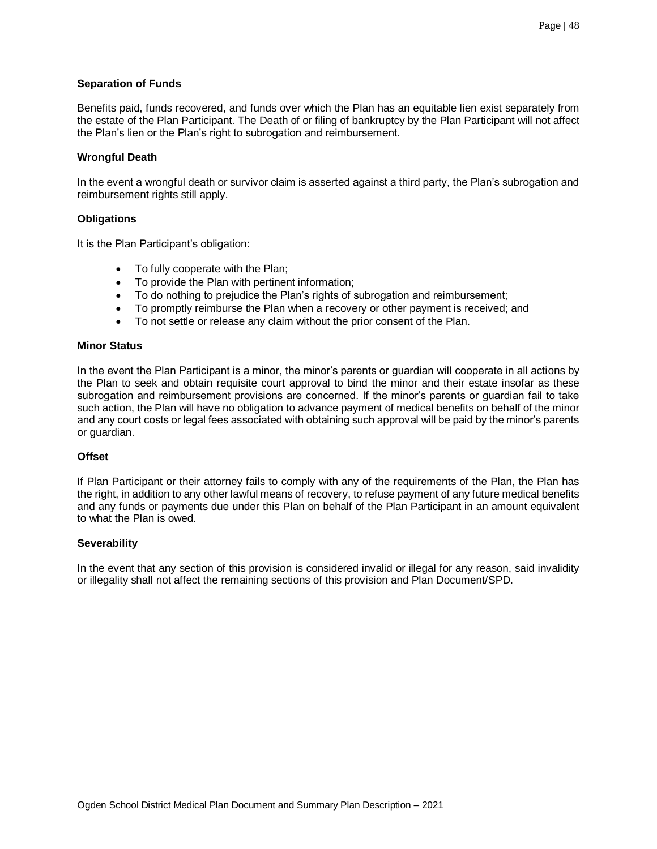#### **Separation of Funds**

Benefits paid, funds recovered, and funds over which the Plan has an equitable lien exist separately from the estate of the Plan Participant. The Death of or filing of bankruptcy by the Plan Participant will not affect the Plan's lien or the Plan's right to subrogation and reimbursement.

#### **Wrongful Death**

In the event a wrongful death or survivor claim is asserted against a third party, the Plan's subrogation and reimbursement rights still apply.

#### **Obligations**

It is the Plan Participant's obligation:

- To fully cooperate with the Plan;
- To provide the Plan with pertinent information;
- To do nothing to prejudice the Plan's rights of subrogation and reimbursement;
- To promptly reimburse the Plan when a recovery or other payment is received; and
- To not settle or release any claim without the prior consent of the Plan.

#### **Minor Status**

In the event the Plan Participant is a minor, the minor's parents or guardian will cooperate in all actions by the Plan to seek and obtain requisite court approval to bind the minor and their estate insofar as these subrogation and reimbursement provisions are concerned. If the minor's parents or guardian fail to take such action, the Plan will have no obligation to advance payment of medical benefits on behalf of the minor and any court costs or legal fees associated with obtaining such approval will be paid by the minor's parents or guardian.

#### **Offset**

If Plan Participant or their attorney fails to comply with any of the requirements of the Plan, the Plan has the right, in addition to any other lawful means of recovery, to refuse payment of any future medical benefits and any funds or payments due under this Plan on behalf of the Plan Participant in an amount equivalent to what the Plan is owed.

#### **Severability**

In the event that any section of this provision is considered invalid or illegal for any reason, said invalidity or illegality shall not affect the remaining sections of this provision and Plan Document/SPD.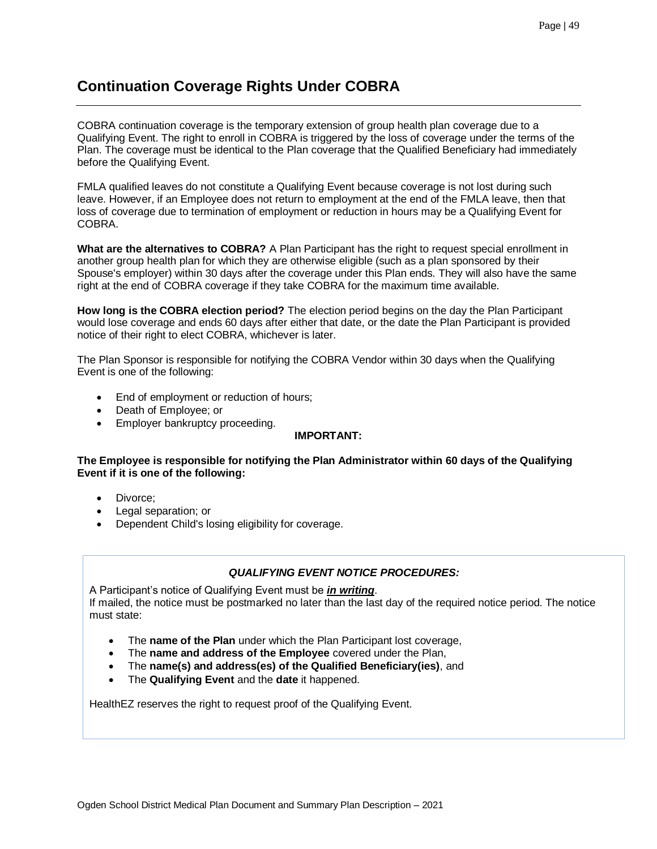## **Continuation Coverage Rights Under COBRA**

COBRA continuation coverage is the temporary extension of group health plan coverage due to a Qualifying Event. The right to enroll in COBRA is triggered by the loss of coverage under the terms of the Plan. The coverage must be identical to the Plan coverage that the Qualified Beneficiary had immediately before the Qualifying Event.

FMLA qualified leaves do not constitute a Qualifying Event because coverage is not lost during such leave. However, if an Employee does not return to employment at the end of the FMLA leave, then that loss of coverage due to termination of employment or reduction in hours may be a Qualifying Event for COBRA.

**What are the alternatives to COBRA?** A Plan Participant has the right to request special enrollment in another group health plan for which they are otherwise eligible (such as a plan sponsored by their Spouse's employer) within 30 days after the coverage under this Plan ends. They will also have the same right at the end of COBRA coverage if they take COBRA for the maximum time available.

**How long is the COBRA election period?** The election period begins on the day the Plan Participant would lose coverage and ends 60 days after either that date, or the date the Plan Participant is provided notice of their right to elect COBRA, whichever is later.

The Plan Sponsor is responsible for notifying the COBRA Vendor within 30 days when the Qualifying Event is one of the following:

- End of employment or reduction of hours;
- Death of Employee; or
- Employer bankruptcy proceeding.

## **IMPORTANT:**

**The Employee is responsible for notifying the Plan Administrator within 60 days of the Qualifying Event if it is one of the following:**

- Divorce:
- Legal separation; or
- Dependent Child's losing eligibility for coverage.

## *QUALIFYING EVENT NOTICE PROCEDURES:*

A Participant's notice of Qualifying Event must be *in writing*. If mailed, the notice must be postmarked no later than the last day of the required notice period. The notice must state:

- The **name of the Plan** under which the Plan Participant lost coverage,
- The **name and address of the Employee** covered under the Plan,
- The **name(s) and address(es) of the Qualified Beneficiary(ies)**, and
- The **Qualifying Event** and the **date** it happened.

HealthEZ reserves the right to request proof of the Qualifying Event.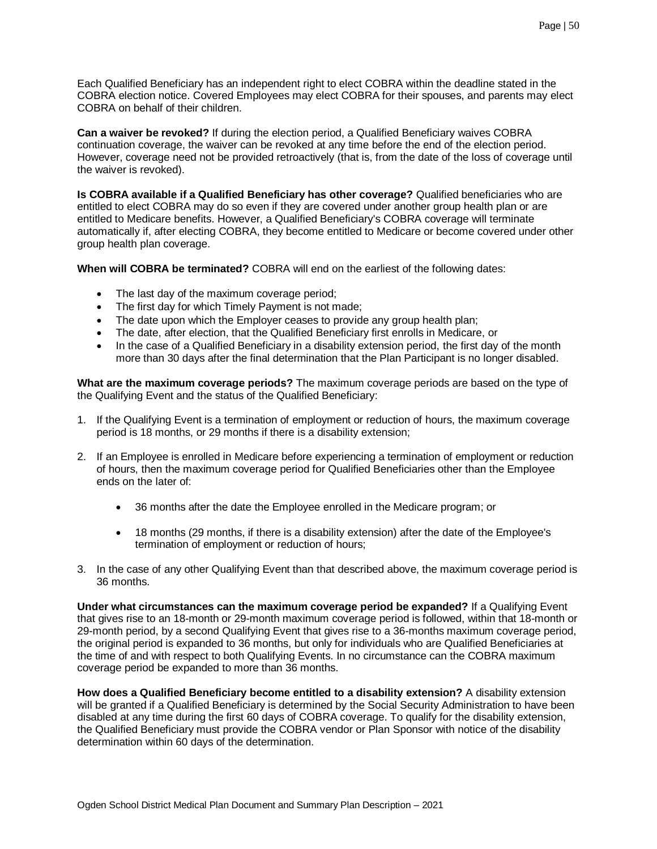Each Qualified Beneficiary has an independent right to elect COBRA within the deadline stated in the COBRA election notice. Covered Employees may elect COBRA for their spouses, and parents may elect COBRA on behalf of their children.

**Can a waiver be revoked?** If during the election period, a Qualified Beneficiary waives COBRA continuation coverage, the waiver can be revoked at any time before the end of the election period. However, coverage need not be provided retroactively (that is, from the date of the loss of coverage until the waiver is revoked).

**Is COBRA available if a Qualified Beneficiary has other coverage?** Qualified beneficiaries who are entitled to elect COBRA may do so even if they are covered under another group health plan or are entitled to Medicare benefits. However, a Qualified Beneficiary's COBRA coverage will terminate automatically if, after electing COBRA, they become entitled to Medicare or become covered under other group health plan coverage.

**When will COBRA be terminated?** COBRA will end on the earliest of the following dates:

- The last day of the maximum coverage period;
- The first day for which Timely Payment is not made;
- The date upon which the Employer ceases to provide any group health plan;
- The date, after election, that the Qualified Beneficiary first enrolls in Medicare, or
- In the case of a Qualified Beneficiary in a disability extension period, the first day of the month more than 30 days after the final determination that the Plan Participant is no longer disabled.

**What are the maximum coverage periods?** The maximum coverage periods are based on the type of the Qualifying Event and the status of the Qualified Beneficiary:

- 1. If the Qualifying Event is a termination of employment or reduction of hours, the maximum coverage period is 18 months, or 29 months if there is a disability extension;
- 2. If an Employee is enrolled in Medicare before experiencing a termination of employment or reduction of hours, then the maximum coverage period for Qualified Beneficiaries other than the Employee ends on the later of:
	- 36 months after the date the Employee enrolled in the Medicare program; or
	- 18 months (29 months, if there is a disability extension) after the date of the Employee's termination of employment or reduction of hours;
- 3. In the case of any other Qualifying Event than that described above, the maximum coverage period is 36 months.

**Under what circumstances can the maximum coverage period be expanded?** If a Qualifying Event that gives rise to an 18-month or 29-month maximum coverage period is followed, within that 18-month or 29-month period, by a second Qualifying Event that gives rise to a 36-months maximum coverage period, the original period is expanded to 36 months, but only for individuals who are Qualified Beneficiaries at the time of and with respect to both Qualifying Events. In no circumstance can the COBRA maximum coverage period be expanded to more than 36 months.

**How does a Qualified Beneficiary become entitled to a disability extension?** A disability extension will be granted if a Qualified Beneficiary is determined by the Social Security Administration to have been disabled at any time during the first 60 days of COBRA coverage. To qualify for the disability extension, the Qualified Beneficiary must provide the COBRA vendor or Plan Sponsor with notice of the disability determination within 60 days of the determination.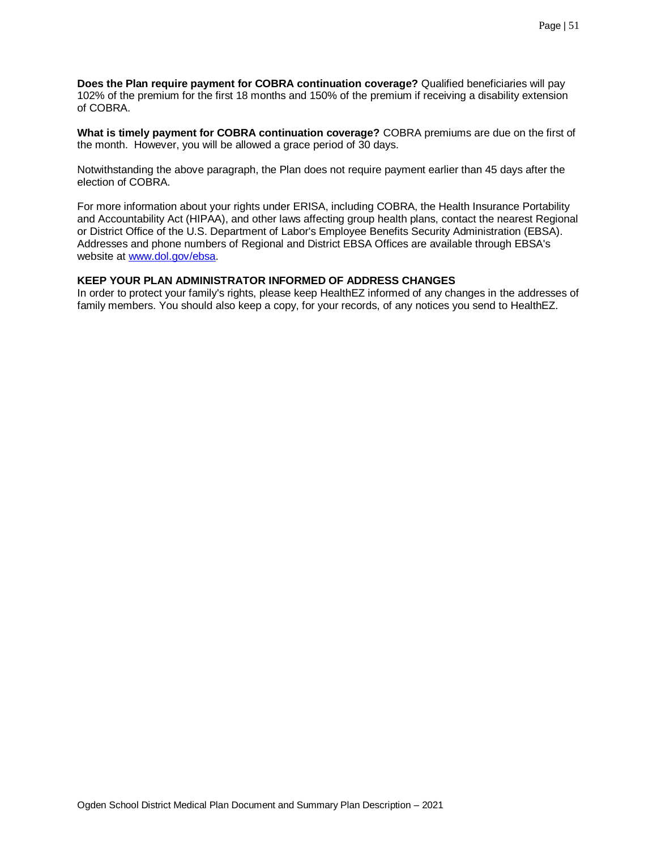**Does the Plan require payment for COBRA continuation coverage?** Qualified beneficiaries will pay 102% of the premium for the first 18 months and 150% of the premium if receiving a disability extension of COBRA.

**What is timely payment for COBRA continuation coverage?** COBRA premiums are due on the first of the month. However, you will be allowed a grace period of 30 days.

Notwithstanding the above paragraph, the Plan does not require payment earlier than 45 days after the election of COBRA.

For more information about your rights under ERISA, including COBRA, the Health Insurance Portability and Accountability Act (HIPAA), and other laws affecting group health plans, contact the nearest Regional or District Office of the U.S. Department of Labor's Employee Benefits Security Administration (EBSA). Addresses and phone numbers of Regional and District EBSA Offices are available through EBSA's website at [www.dol.gov/ebsa.](http://www.dol.gov/ebsa)

#### **KEEP YOUR PLAN ADMINISTRATOR INFORMED OF ADDRESS CHANGES**

In order to protect your family's rights, please keep HealthEZ informed of any changes in the addresses of family members. You should also keep a copy, for your records, of any notices you send to HealthEZ.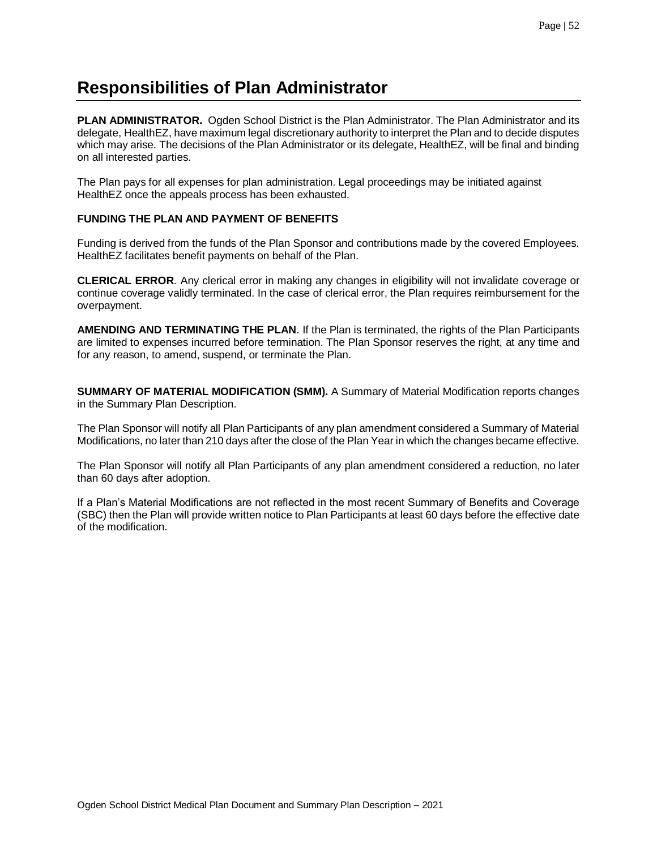# <span id="page-51-0"></span>**Responsibilities of Plan Administrator**

**PLAN ADMINISTRATOR.** Ogden School District is the Plan Administrator. The Plan Administrator and its delegate, HealthEZ, have maximum legal discretionary authority to interpret the Plan and to decide disputes which may arise. The decisions of the Plan Administrator or its delegate, HealthEZ, will be final and binding on all interested parties.

The Plan pays for all expenses for plan administration. Legal proceedings may be initiated against HealthEZ once the appeals process has been exhausted.

## **FUNDING THE PLAN AND PAYMENT OF BENEFITS**

Funding is derived from the funds of the Plan Sponsor and contributions made by the covered Employees. HealthEZ facilitates benefit payments on behalf of the Plan.

**CLERICAL ERROR**. Any clerical error in making any changes in eligibility will not invalidate coverage or continue coverage validly terminated. In the case of clerical error, the Plan requires reimbursement for the overpayment.

**AMENDING AND TERMINATING THE PLAN**. If the Plan is terminated, the rights of the Plan Participants are limited to expenses incurred before termination. The Plan Sponsor reserves the right, at any time and for any reason, to amend, suspend, or terminate the Plan.

**SUMMARY OF MATERIAL MODIFICATION (SMM).** A Summary of Material Modification reports changes in the Summary Plan Description.

The Plan Sponsor will notify all Plan Participants of any plan amendment considered a Summary of Material Modifications, no later than 210 days after the close of the Plan Year in which the changes became effective.

The Plan Sponsor will notify all Plan Participants of any plan amendment considered a reduction, no later than 60 days after adoption.

If a Plan's Material Modifications are not reflected in the most recent Summary of Benefits and Coverage (SBC) then the Plan will provide written notice to Plan Participants at least 60 days before the effective date of the modification.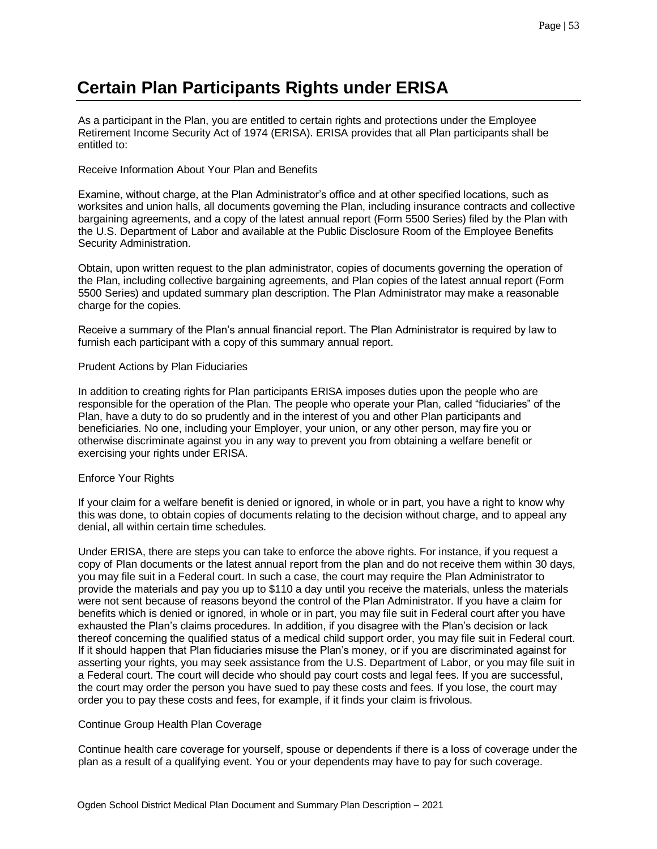# <span id="page-52-0"></span>**Certain Plan Participants Rights under ERISA**

As a participant in the Plan, you are entitled to certain rights and protections under the Employee Retirement Income Security Act of 1974 (ERISA). ERISA provides that all Plan participants shall be entitled to:

#### Receive Information About Your Plan and Benefits

Examine, without charge, at the Plan Administrator's office and at other specified locations, such as worksites and union halls, all documents governing the Plan, including insurance contracts and collective bargaining agreements, and a copy of the latest annual report (Form 5500 Series) filed by the Plan with the U.S. Department of Labor and available at the Public Disclosure Room of the Employee Benefits Security Administration.

Obtain, upon written request to the plan administrator, copies of documents governing the operation of the Plan, including collective bargaining agreements, and Plan copies of the latest annual report (Form 5500 Series) and updated summary plan description. The Plan Administrator may make a reasonable charge for the copies.

Receive a summary of the Plan's annual financial report. The Plan Administrator is required by law to furnish each participant with a copy of this summary annual report.

#### Prudent Actions by Plan Fiduciaries

In addition to creating rights for Plan participants ERISA imposes duties upon the people who are responsible for the operation of the Plan. The people who operate your Plan, called "fiduciaries" of the Plan, have a duty to do so prudently and in the interest of you and other Plan participants and beneficiaries. No one, including your Employer, your union, or any other person, may fire you or otherwise discriminate against you in any way to prevent you from obtaining a welfare benefit or exercising your rights under ERISA.

## Enforce Your Rights

If your claim for a welfare benefit is denied or ignored, in whole or in part, you have a right to know why this was done, to obtain copies of documents relating to the decision without charge, and to appeal any denial, all within certain time schedules.

Under ERISA, there are steps you can take to enforce the above rights. For instance, if you request a copy of Plan documents or the latest annual report from the plan and do not receive them within 30 days, you may file suit in a Federal court. In such a case, the court may require the Plan Administrator to provide the materials and pay you up to \$110 a day until you receive the materials, unless the materials were not sent because of reasons beyond the control of the Plan Administrator. If you have a claim for benefits which is denied or ignored, in whole or in part, you may file suit in Federal court after you have exhausted the Plan's claims procedures. In addition, if you disagree with the Plan's decision or lack thereof concerning the qualified status of a medical child support order, you may file suit in Federal court. If it should happen that Plan fiduciaries misuse the Plan's money, or if you are discriminated against for asserting your rights, you may seek assistance from the U.S. Department of Labor, or you may file suit in a Federal court. The court will decide who should pay court costs and legal fees. If you are successful, the court may order the person you have sued to pay these costs and fees. If you lose, the court may order you to pay these costs and fees, for example, if it finds your claim is frivolous.

## Continue Group Health Plan Coverage

Continue health care coverage for yourself, spouse or dependents if there is a loss of coverage under the plan as a result of a qualifying event. You or your dependents may have to pay for such coverage.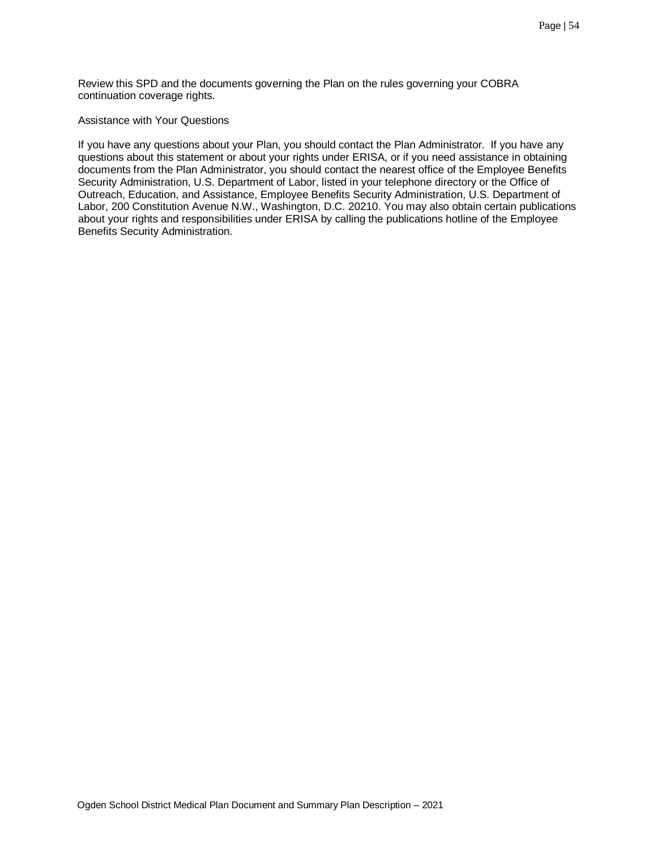Review this SPD and the documents governing the Plan on the rules governing your COBRA continuation coverage rights.

#### Assistance with Your Questions

If you have any questions about your Plan, you should contact the Plan Administrator. If you have any questions about this statement or about your rights under ERISA, or if you need assistance in obtaining documents from the Plan Administrator, you should contact the nearest office of the Employee Benefits Security Administration, U.S. Department of Labor, listed in your telephone directory or the Office of Outreach, Education, and Assistance, Employee Benefits Security Administration, U.S. Department of Labor, 200 Constitution Avenue N.W., Washington, D.C. 20210. You may also obtain certain publications about your rights and responsibilities under ERISA by calling the publications hotline of the Employee Benefits Security Administration.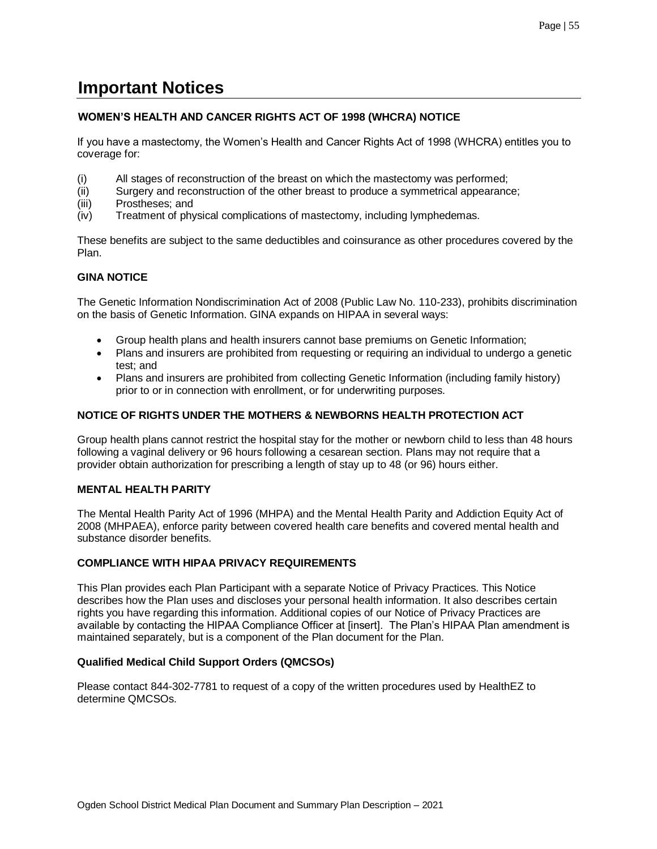# <span id="page-54-0"></span>**Important Notices**

## **WOMEN'S HEALTH AND CANCER RIGHTS ACT OF 1998 (WHCRA) NOTICE**

If you have a mastectomy, the Women's Health and Cancer Rights Act of 1998 (WHCRA) entitles you to coverage for:

- (i) All stages of reconstruction of the breast on which the mastectomy was performed;
- (ii) Surgery and reconstruction of the other breast to produce a symmetrical appearance;
- (iii) Prostheses; and
- (iv) Treatment of physical complications of mastectomy, including lymphedemas.

These benefits are subject to the same deductibles and coinsurance as other procedures covered by the Plan.

## **GINA NOTICE**

The Genetic Information Nondiscrimination Act of 2008 (Public Law No. 110-233), prohibits discrimination on the basis of Genetic Information. GINA expands on HIPAA in several ways:

- Group health plans and health insurers cannot base premiums on Genetic Information;
- Plans and insurers are prohibited from requesting or requiring an individual to undergo a genetic test; and
- Plans and insurers are prohibited from collecting Genetic Information (including family history) prior to or in connection with enrollment, or for underwriting purposes.

## **NOTICE OF RIGHTS UNDER THE MOTHERS & NEWBORNS HEALTH PROTECTION ACT**

Group health plans cannot restrict the hospital stay for the mother or newborn child to less than 48 hours following a vaginal delivery or 96 hours following a cesarean section. Plans may not require that a provider obtain authorization for prescribing a length of stay up to 48 (or 96) hours either.

## **MENTAL HEALTH PARITY**

The Mental Health Parity Act of 1996 (MHPA) and the Mental Health Parity and Addiction Equity Act of 2008 (MHPAEA), enforce parity between covered health care benefits and covered mental health and substance disorder benefits.

## **COMPLIANCE WITH HIPAA PRIVACY REQUIREMENTS**

This Plan provides each Plan Participant with a separate Notice of Privacy Practices. This Notice describes how the Plan uses and discloses your personal health information. It also describes certain rights you have regarding this information. Additional copies of our Notice of Privacy Practices are available by contacting the HIPAA Compliance Officer at [insert]. The Plan's HIPAA Plan amendment is maintained separately, but is a component of the Plan document for the Plan.

## **Qualified Medical Child Support Orders (QMCSOs)**

Please contact 844-302-7781 to request of a copy of the written procedures used by HealthEZ to determine QMCSOs.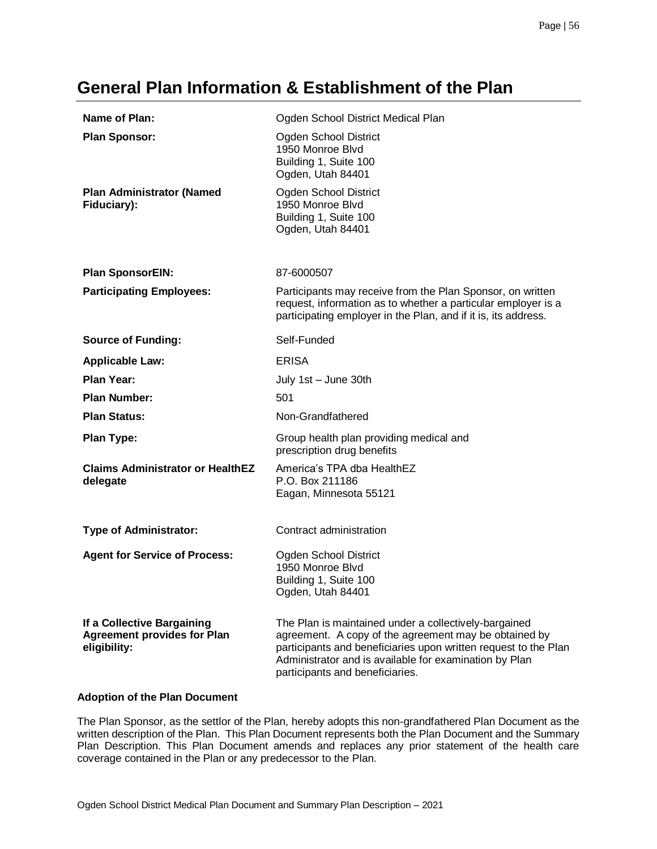# <span id="page-55-0"></span>**General Plan Information & Establishment of the Plan**

| Name of Plan:                                                                    | Ogden School District Medical Plan                                                                                                                                                                                                                                             |
|----------------------------------------------------------------------------------|--------------------------------------------------------------------------------------------------------------------------------------------------------------------------------------------------------------------------------------------------------------------------------|
| <b>Plan Sponsor:</b>                                                             | Ogden School District<br>1950 Monroe Blvd<br>Building 1, Suite 100<br>Ogden, Utah 84401                                                                                                                                                                                        |
| <b>Plan Administrator (Named</b><br>Fiduciary):                                  | Ogden School District<br>1950 Monroe Blvd<br>Building 1, Suite 100<br>Ogden, Utah 84401                                                                                                                                                                                        |
| <b>Plan SponsorEIN:</b>                                                          | 87-6000507                                                                                                                                                                                                                                                                     |
| <b>Participating Employees:</b>                                                  | Participants may receive from the Plan Sponsor, on written<br>request, information as to whether a particular employer is a<br>participating employer in the Plan, and if it is, its address.                                                                                  |
| <b>Source of Funding:</b>                                                        | Self-Funded                                                                                                                                                                                                                                                                    |
| <b>Applicable Law:</b>                                                           | <b>ERISA</b>                                                                                                                                                                                                                                                                   |
| <b>Plan Year:</b>                                                                | July 1st - June 30th                                                                                                                                                                                                                                                           |
| <b>Plan Number:</b>                                                              | 501                                                                                                                                                                                                                                                                            |
| <b>Plan Status:</b>                                                              | Non-Grandfathered                                                                                                                                                                                                                                                              |
| <b>Plan Type:</b>                                                                | Group health plan providing medical and<br>prescription drug benefits                                                                                                                                                                                                          |
| <b>Claims Administrator or HealthEZ</b><br>delegate                              | America's TPA dba HealthEZ<br>P.O. Box 211186<br>Eagan, Minnesota 55121                                                                                                                                                                                                        |
| <b>Type of Administrator:</b>                                                    | Contract administration                                                                                                                                                                                                                                                        |
| <b>Agent for Service of Process:</b>                                             | Ogden School District<br>1950 Monroe Blvd<br>Building 1, Suite 100<br>Ogden, Utah 84401                                                                                                                                                                                        |
| If a Collective Bargaining<br><b>Agreement provides for Plan</b><br>eligibility: | The Plan is maintained under a collectively-bargained<br>agreement. A copy of the agreement may be obtained by<br>participants and beneficiaries upon written request to the Plan<br>Administrator and is available for examination by Plan<br>participants and beneficiaries. |

## **Adoption of the Plan Document**

The Plan Sponsor, as the settlor of the Plan, hereby adopts this non-grandfathered Plan Document as the written description of the Plan. This Plan Document represents both the Plan Document and the Summary Plan Description. This Plan Document amends and replaces any prior statement of the health care coverage contained in the Plan or any predecessor to the Plan.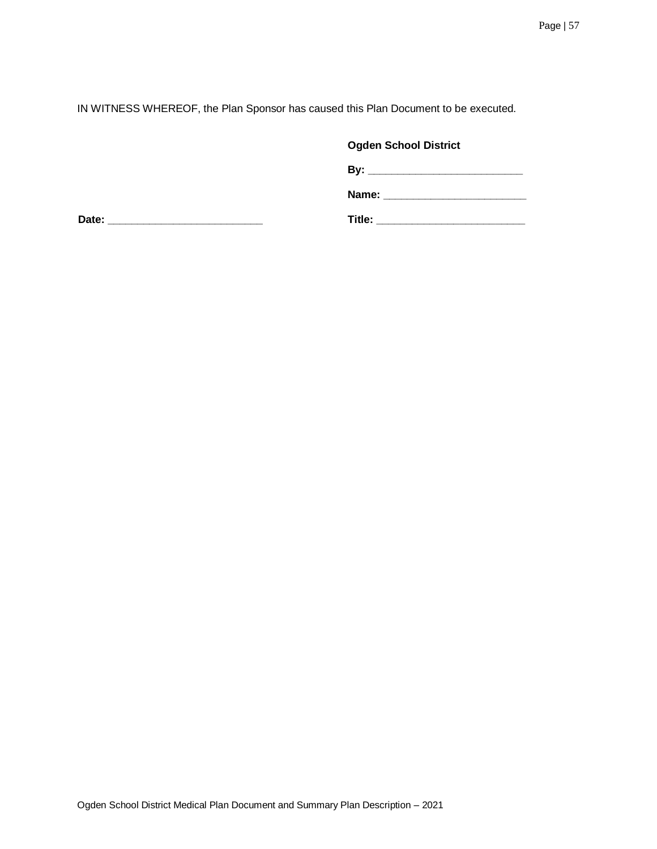IN WITNESS WHEREOF, the Plan Sponsor has caused this Plan Document to be executed.

## **Ogden School District**

**By: \_\_\_\_\_\_\_\_\_\_\_\_\_\_\_\_\_\_\_\_\_\_\_\_\_\_\_\_\_\_** 

**Name: \_\_\_\_\_\_\_\_\_\_\_\_\_\_\_\_\_\_\_\_\_\_\_\_**

**Date: \_\_\_\_\_\_\_\_\_\_\_\_\_\_\_\_\_\_\_\_\_\_\_\_\_\_ Title: \_\_\_\_\_\_\_\_\_\_\_\_\_\_\_\_\_\_\_\_\_\_\_\_\_**